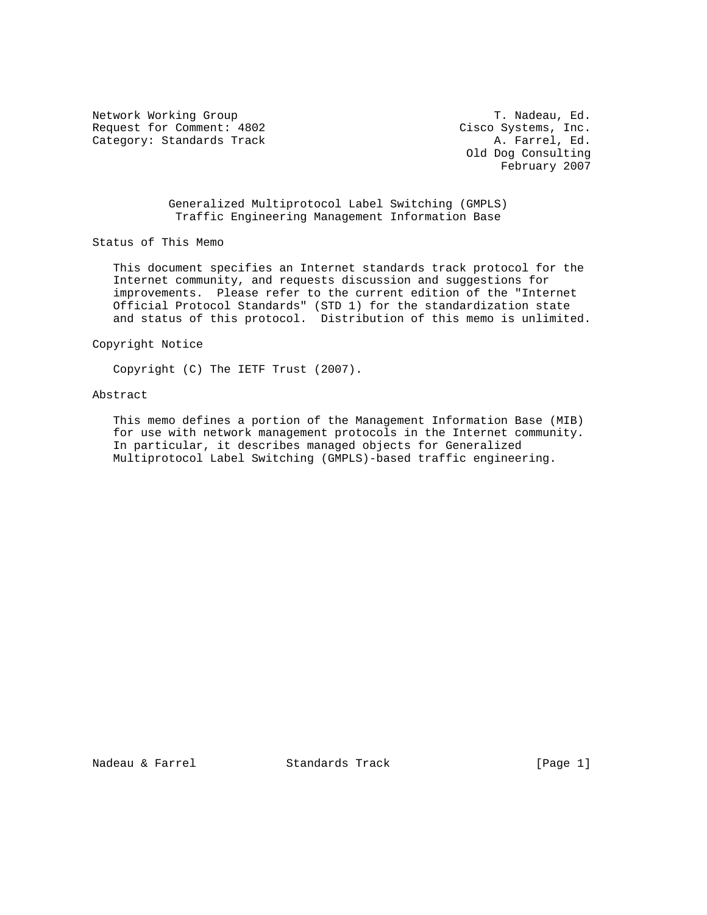Network Working Group T. Nadeau, Ed. Request for Comment: 4802 Cisco Systems, Inc. Category: Standards Track A. Farrel, Ed.

 Old Dog Consulting February 2007

 Generalized Multiprotocol Label Switching (GMPLS) Traffic Engineering Management Information Base

Status of This Memo

 This document specifies an Internet standards track protocol for the Internet community, and requests discussion and suggestions for improvements. Please refer to the current edition of the "Internet Official Protocol Standards" (STD 1) for the standardization state and status of this protocol. Distribution of this memo is unlimited.

Copyright Notice

Copyright (C) The IETF Trust (2007).

# Abstract

 This memo defines a portion of the Management Information Base (MIB) for use with network management protocols in the Internet community. In particular, it describes managed objects for Generalized Multiprotocol Label Switching (GMPLS)-based traffic engineering.

Nadeau & Farrel Standards Track [Page 1]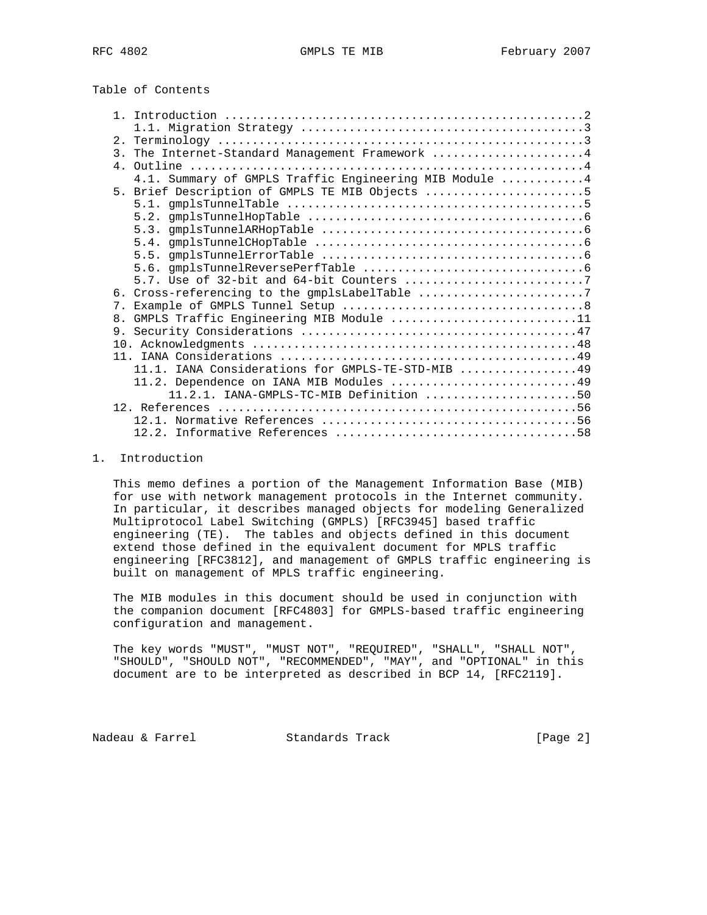Table of Contents

|                | 3. The Internet-Standard Management Framework 4         |
|----------------|---------------------------------------------------------|
|                |                                                         |
|                | 4.1. Summary of GMPLS Traffic Engineering MIB Module  4 |
|                | 5. Brief Description of GMPLS TE MIB Objects 5          |
|                |                                                         |
|                |                                                         |
|                |                                                         |
|                |                                                         |
|                |                                                         |
|                |                                                         |
|                |                                                         |
|                | 6. Cross-referencing to the gmplsLabelTable 7           |
| 7.             |                                                         |
| 8 <sub>1</sub> | GMPLS Traffic Engineering MIB Module 11                 |
|                |                                                         |
|                |                                                         |
|                |                                                         |
|                | 11.1. IANA Considerations for GMPLS-TE-STD-MIB 49       |
|                | 11.2. Dependence on IANA MIB Modules 49                 |
|                | $11.2.1.$ IANA-GMPLS-TC-MIB Definition 50               |
|                |                                                         |
|                |                                                         |
|                |                                                         |

## 1. Introduction

 This memo defines a portion of the Management Information Base (MIB) for use with network management protocols in the Internet community. In particular, it describes managed objects for modeling Generalized Multiprotocol Label Switching (GMPLS) [RFC3945] based traffic engineering (TE). The tables and objects defined in this document extend those defined in the equivalent document for MPLS traffic engineering [RFC3812], and management of GMPLS traffic engineering is built on management of MPLS traffic engineering.

 The MIB modules in this document should be used in conjunction with the companion document [RFC4803] for GMPLS-based traffic engineering configuration and management.

 The key words "MUST", "MUST NOT", "REQUIRED", "SHALL", "SHALL NOT", "SHOULD", "SHOULD NOT", "RECOMMENDED", "MAY", and "OPTIONAL" in this document are to be interpreted as described in BCP 14, [RFC2119].

Nadeau & Farrel Standards Track [Page 2]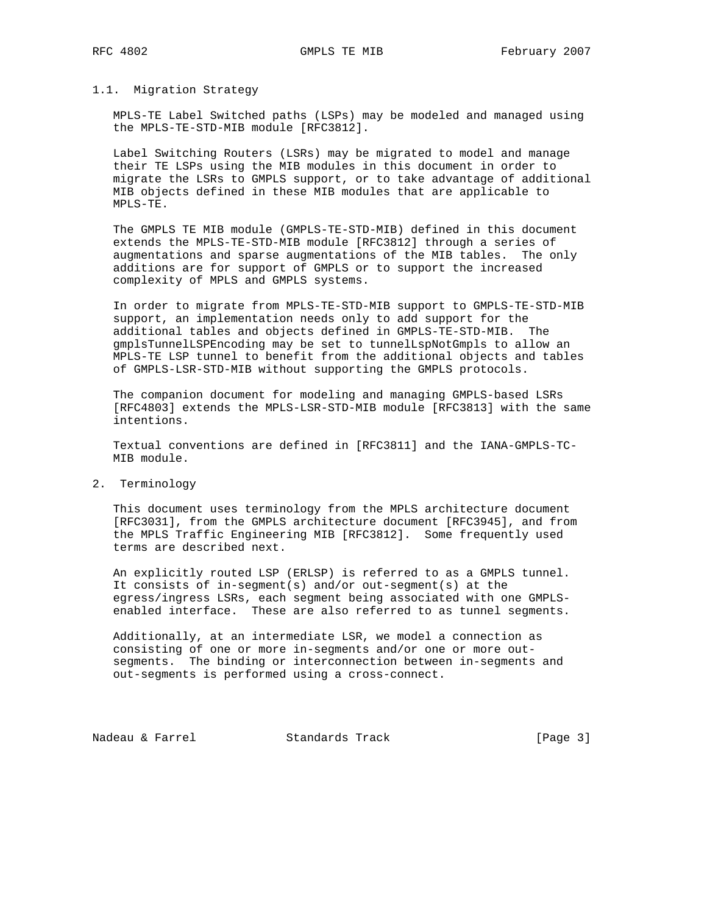#### 1.1. Migration Strategy

 MPLS-TE Label Switched paths (LSPs) may be modeled and managed using the MPLS-TE-STD-MIB module [RFC3812].

 Label Switching Routers (LSRs) may be migrated to model and manage their TE LSPs using the MIB modules in this document in order to migrate the LSRs to GMPLS support, or to take advantage of additional MIB objects defined in these MIB modules that are applicable to MPLS-TE.

 The GMPLS TE MIB module (GMPLS-TE-STD-MIB) defined in this document extends the MPLS-TE-STD-MIB module [RFC3812] through a series of augmentations and sparse augmentations of the MIB tables. The only additions are for support of GMPLS or to support the increased complexity of MPLS and GMPLS systems.

 In order to migrate from MPLS-TE-STD-MIB support to GMPLS-TE-STD-MIB support, an implementation needs only to add support for the additional tables and objects defined in GMPLS-TE-STD-MIB. The gmplsTunnelLSPEncoding may be set to tunnelLspNotGmpls to allow an MPLS-TE LSP tunnel to benefit from the additional objects and tables of GMPLS-LSR-STD-MIB without supporting the GMPLS protocols.

 The companion document for modeling and managing GMPLS-based LSRs [RFC4803] extends the MPLS-LSR-STD-MIB module [RFC3813] with the same intentions.

 Textual conventions are defined in [RFC3811] and the IANA-GMPLS-TC- MIB module.

2. Terminology

 This document uses terminology from the MPLS architecture document [RFC3031], from the GMPLS architecture document [RFC3945], and from the MPLS Traffic Engineering MIB [RFC3812]. Some frequently used terms are described next.

 An explicitly routed LSP (ERLSP) is referred to as a GMPLS tunnel. It consists of in-segment(s) and/or out-segment(s) at the egress/ingress LSRs, each segment being associated with one GMPLS enabled interface. These are also referred to as tunnel segments.

 Additionally, at an intermediate LSR, we model a connection as consisting of one or more in-segments and/or one or more out segments. The binding or interconnection between in-segments and out-segments is performed using a cross-connect.

Nadeau & Farrel Standards Track [Page 3]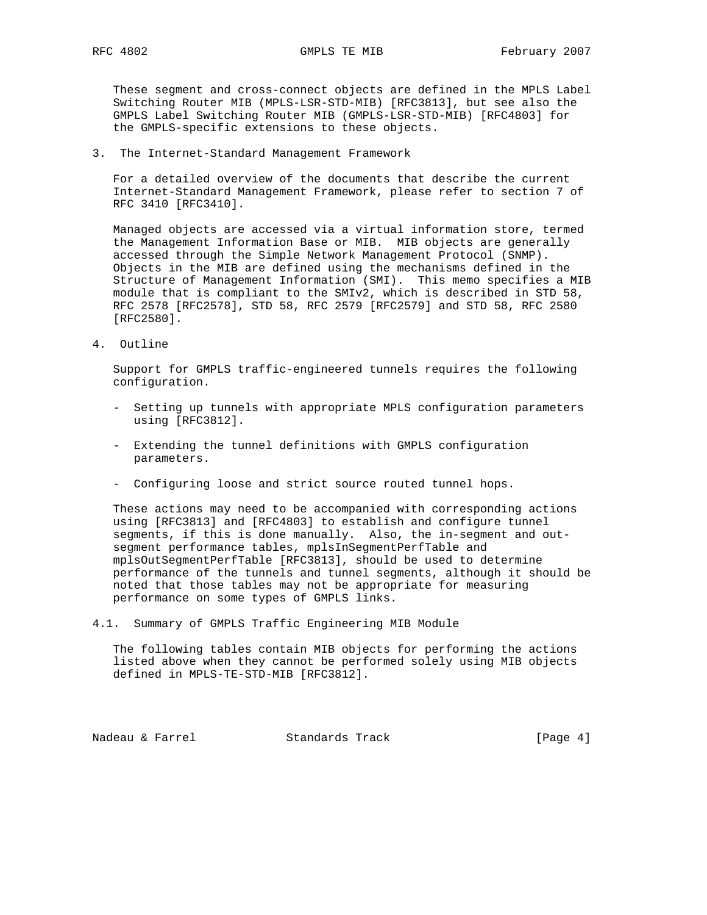These segment and cross-connect objects are defined in the MPLS Label Switching Router MIB (MPLS-LSR-STD-MIB) [RFC3813], but see also the GMPLS Label Switching Router MIB (GMPLS-LSR-STD-MIB) [RFC4803] for the GMPLS-specific extensions to these objects.

3. The Internet-Standard Management Framework

 For a detailed overview of the documents that describe the current Internet-Standard Management Framework, please refer to section 7 of RFC 3410 [RFC3410].

 Managed objects are accessed via a virtual information store, termed the Management Information Base or MIB. MIB objects are generally accessed through the Simple Network Management Protocol (SNMP). Objects in the MIB are defined using the mechanisms defined in the Structure of Management Information (SMI). This memo specifies a MIB module that is compliant to the SMIv2, which is described in STD 58, RFC 2578 [RFC2578], STD 58, RFC 2579 [RFC2579] and STD 58, RFC 2580 [RFC2580].

4. Outline

 Support for GMPLS traffic-engineered tunnels requires the following configuration.

- Setting up tunnels with appropriate MPLS configuration parameters using [RFC3812].
- Extending the tunnel definitions with GMPLS configuration parameters.
- Configuring loose and strict source routed tunnel hops.

 These actions may need to be accompanied with corresponding actions using [RFC3813] and [RFC4803] to establish and configure tunnel segments, if this is done manually. Also, the in-segment and out segment performance tables, mplsInSegmentPerfTable and mplsOutSegmentPerfTable [RFC3813], should be used to determine performance of the tunnels and tunnel segments, although it should be noted that those tables may not be appropriate for measuring performance on some types of GMPLS links.

4.1. Summary of GMPLS Traffic Engineering MIB Module

 The following tables contain MIB objects for performing the actions listed above when they cannot be performed solely using MIB objects defined in MPLS-TE-STD-MIB [RFC3812].

Nadeau & Farrel Standards Track (Page 4)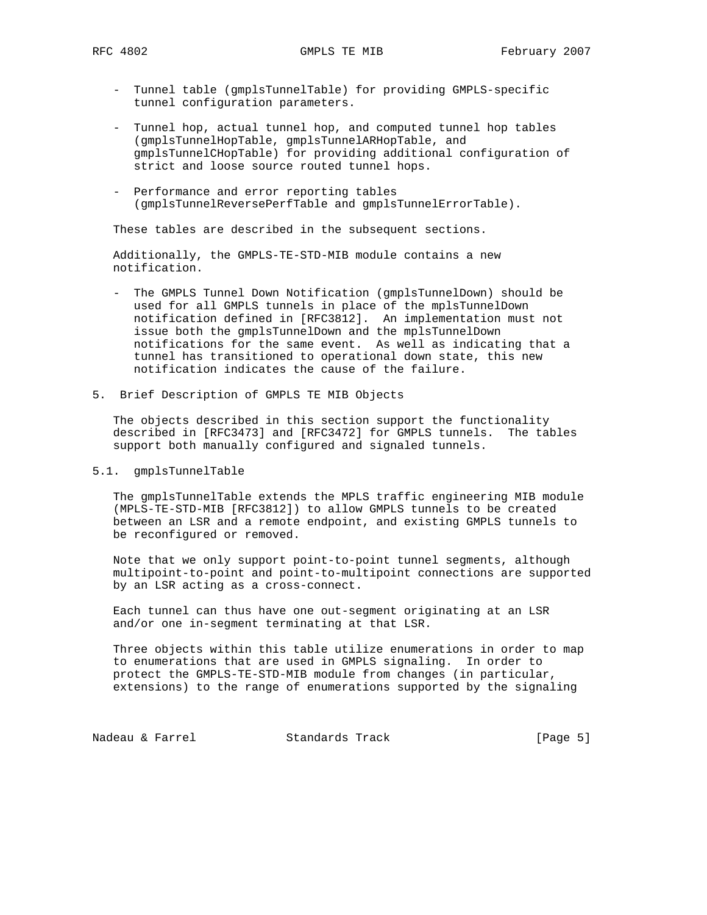- Tunnel table (gmplsTunnelTable) for providing GMPLS-specific tunnel configuration parameters.
- Tunnel hop, actual tunnel hop, and computed tunnel hop tables (gmplsTunnelHopTable, gmplsTunnelARHopTable, and gmplsTunnelCHopTable) for providing additional configuration of strict and loose source routed tunnel hops.
- Performance and error reporting tables (gmplsTunnelReversePerfTable and gmplsTunnelErrorTable).

These tables are described in the subsequent sections.

 Additionally, the GMPLS-TE-STD-MIB module contains a new notification.

- The GMPLS Tunnel Down Notification (gmplsTunnelDown) should be used for all GMPLS tunnels in place of the mplsTunnelDown notification defined in [RFC3812]. An implementation must not issue both the gmplsTunnelDown and the mplsTunnelDown notifications for the same event. As well as indicating that a tunnel has transitioned to operational down state, this new notification indicates the cause of the failure.
- 5. Brief Description of GMPLS TE MIB Objects

 The objects described in this section support the functionality described in [RFC3473] and [RFC3472] for GMPLS tunnels. The tables support both manually configured and signaled tunnels.

## 5.1. gmplsTunnelTable

 The gmplsTunnelTable extends the MPLS traffic engineering MIB module (MPLS-TE-STD-MIB [RFC3812]) to allow GMPLS tunnels to be created between an LSR and a remote endpoint, and existing GMPLS tunnels to be reconfigured or removed.

 Note that we only support point-to-point tunnel segments, although multipoint-to-point and point-to-multipoint connections are supported by an LSR acting as a cross-connect.

 Each tunnel can thus have one out-segment originating at an LSR and/or one in-segment terminating at that LSR.

 Three objects within this table utilize enumerations in order to map to enumerations that are used in GMPLS signaling. In order to protect the GMPLS-TE-STD-MIB module from changes (in particular, extensions) to the range of enumerations supported by the signaling

Nadeau & Farrel Standards Track [Page 5]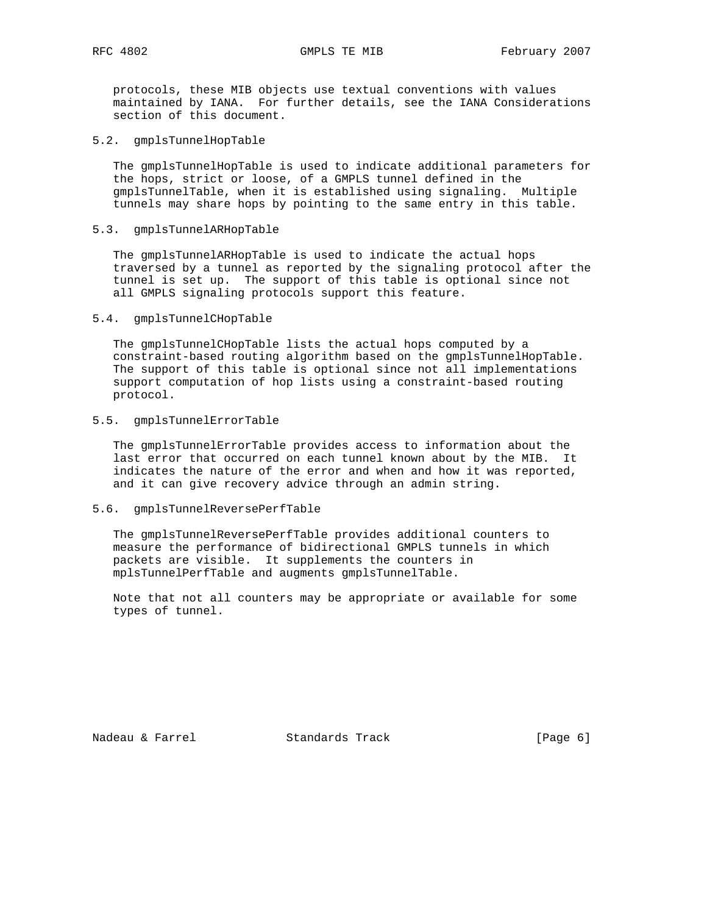protocols, these MIB objects use textual conventions with values maintained by IANA. For further details, see the IANA Considerations section of this document.

5.2. gmplsTunnelHopTable

 The gmplsTunnelHopTable is used to indicate additional parameters for the hops, strict or loose, of a GMPLS tunnel defined in the gmplsTunnelTable, when it is established using signaling. Multiple tunnels may share hops by pointing to the same entry in this table.

5.3. gmplsTunnelARHopTable

 The gmplsTunnelARHopTable is used to indicate the actual hops traversed by a tunnel as reported by the signaling protocol after the tunnel is set up. The support of this table is optional since not all GMPLS signaling protocols support this feature.

5.4. gmplsTunnelCHopTable

 The gmplsTunnelCHopTable lists the actual hops computed by a constraint-based routing algorithm based on the gmplsTunnelHopTable. The support of this table is optional since not all implementations support computation of hop lists using a constraint-based routing protocol.

5.5. gmplsTunnelErrorTable

 The gmplsTunnelErrorTable provides access to information about the last error that occurred on each tunnel known about by the MIB. It indicates the nature of the error and when and how it was reported, and it can give recovery advice through an admin string.

5.6. gmplsTunnelReversePerfTable

 The gmplsTunnelReversePerfTable provides additional counters to measure the performance of bidirectional GMPLS tunnels in which packets are visible. It supplements the counters in mplsTunnelPerfTable and augments gmplsTunnelTable.

 Note that not all counters may be appropriate or available for some types of tunnel.

Nadeau & Farrel Standards Track (Page 6)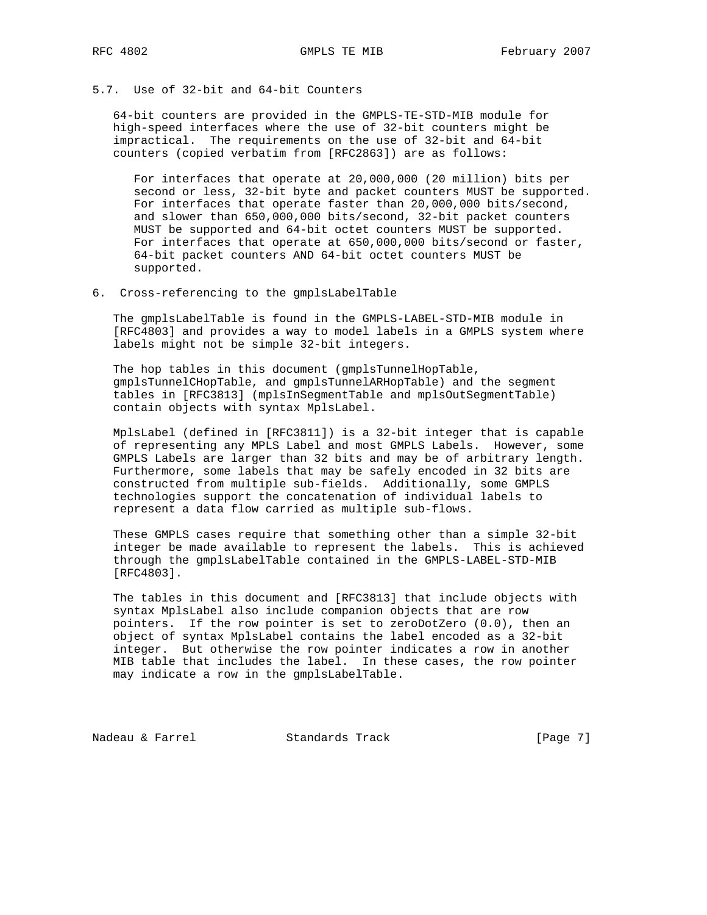# 5.7. Use of 32-bit and 64-bit Counters

 64-bit counters are provided in the GMPLS-TE-STD-MIB module for high-speed interfaces where the use of 32-bit counters might be impractical. The requirements on the use of 32-bit and 64-bit counters (copied verbatim from [RFC2863]) are as follows:

 For interfaces that operate at 20,000,000 (20 million) bits per second or less, 32-bit byte and packet counters MUST be supported. For interfaces that operate faster than 20,000,000 bits/second, and slower than 650,000,000 bits/second, 32-bit packet counters MUST be supported and 64-bit octet counters MUST be supported. For interfaces that operate at 650,000,000 bits/second or faster, 64-bit packet counters AND 64-bit octet counters MUST be supported.

6. Cross-referencing to the gmplsLabelTable

 The gmplsLabelTable is found in the GMPLS-LABEL-STD-MIB module in [RFC4803] and provides a way to model labels in a GMPLS system where labels might not be simple 32-bit integers.

 The hop tables in this document (gmplsTunnelHopTable, gmplsTunnelCHopTable, and gmplsTunnelARHopTable) and the segment tables in [RFC3813] (mplsInSegmentTable and mplsOutSegmentTable) contain objects with syntax MplsLabel.

 MplsLabel (defined in [RFC3811]) is a 32-bit integer that is capable of representing any MPLS Label and most GMPLS Labels. However, some GMPLS Labels are larger than 32 bits and may be of arbitrary length. Furthermore, some labels that may be safely encoded in 32 bits are constructed from multiple sub-fields. Additionally, some GMPLS technologies support the concatenation of individual labels to represent a data flow carried as multiple sub-flows.

 These GMPLS cases require that something other than a simple 32-bit integer be made available to represent the labels. This is achieved through the gmplsLabelTable contained in the GMPLS-LABEL-STD-MIB [RFC4803].

 The tables in this document and [RFC3813] that include objects with syntax MplsLabel also include companion objects that are row pointers. If the row pointer is set to zeroDotZero (0.0), then an object of syntax MplsLabel contains the label encoded as a 32-bit integer. But otherwise the row pointer indicates a row in another MIB table that includes the label. In these cases, the row pointer may indicate a row in the gmplsLabelTable.

Nadeau & Farrel **Standards Track** [Page 7]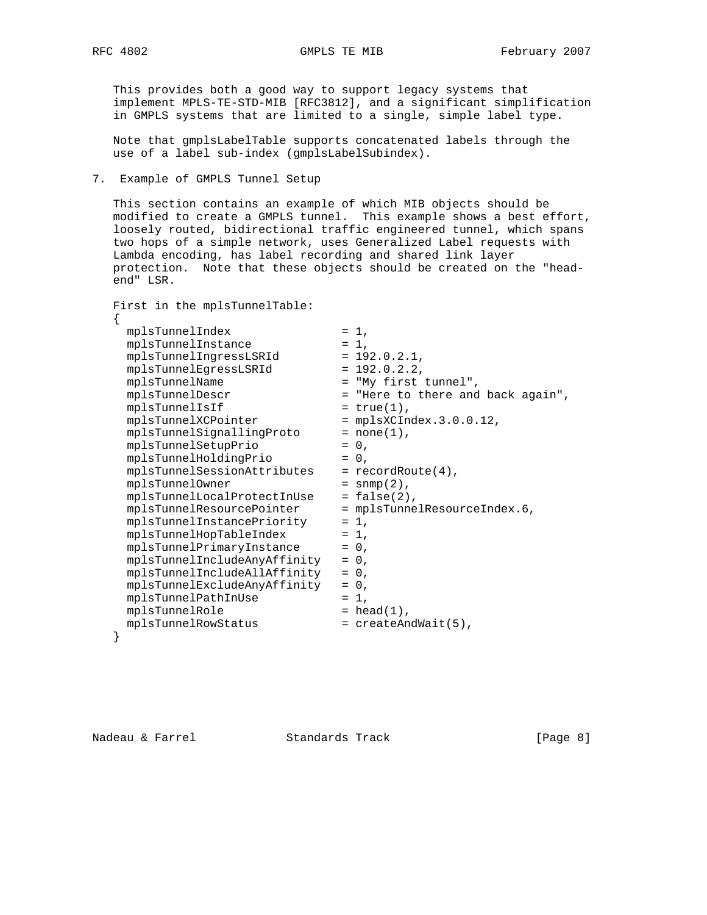This provides both a good way to support legacy systems that implement MPLS-TE-STD-MIB [RFC3812], and a significant simplification in GMPLS systems that are limited to a single, simple label type.

 Note that gmplsLabelTable supports concatenated labels through the use of a label sub-index (gmplsLabelSubindex).

# 7. Example of GMPLS Tunnel Setup

 This section contains an example of which MIB objects should be modified to create a GMPLS tunnel. This example shows a best effort, loosely routed, bidirectional traffic engineered tunnel, which spans two hops of a simple network, uses Generalized Label requests with Lambda encoding, has label recording and shared link layer protection. Note that these objects should be created on the "head end" LSR.

```
 First in the mplsTunnelTable:
```
{

| mplsTunnelIndex              | $= 1$ .                           |
|------------------------------|-----------------------------------|
| mplsTunnelInstance           | $= 1$ .                           |
| mplsTunnelIngressLSRId       | $= 192.0.2.1,$                    |
| mplsTunnelEqressLSRId        | $= 192.0.2.2,$                    |
| mplsTunnelName               | = "My first tunnel",              |
| mplsTunnelDescr              | = "Here to there and back again", |
| mplsTunnelIsIf               | $= true(1)$ ,                     |
| mplsTunnelXCPointer          | $= mplsXCIndex.3.0.0.12,$         |
| mplsTunnelSignallingProto    | $= none(1)$ ,                     |
| mplsTunnelSetupPrio          | $= 0$ ,                           |
| mplsTunnelHoldingPrio        | $= 0.$                            |
| mplsTunnelSessionAttributes  | $=$ recordRoute(4),               |
| mplsTunnelOwner              | $=$ snmp $(2)$ ,                  |
| mplsTunnelLocalProtectInUse  | $= false(2)$ ,                    |
| mplsTunnelResourcePointer    | = mplsTunnelResourceIndex.6,      |
| mplsTunnelInstancePriority   | $= 1.$                            |
| mplsTunnelHopTableIndex      | $= 1.$                            |
| mplsTunnelPrimaryInstance    | $= 0$ ,                           |
| mplsTunnelIncludeAnyAffinity | $= 0$ ,                           |
| mplsTunnelIncludeAllAffinity | $= 0.$                            |
| mplsTunnelExcludeAnyAffinity | $= 0$ ,                           |
| mplsTunnelPathInUse          | $= 1$ ,                           |
| mplsTunnelRole               | $= head(1)$ ,                     |
| mplsTunnelRowStatus          | $=$ createAndWait(5),             |
|                              |                                   |
|                              |                                   |

Nadeau & Farrel Standards Track (Page 8)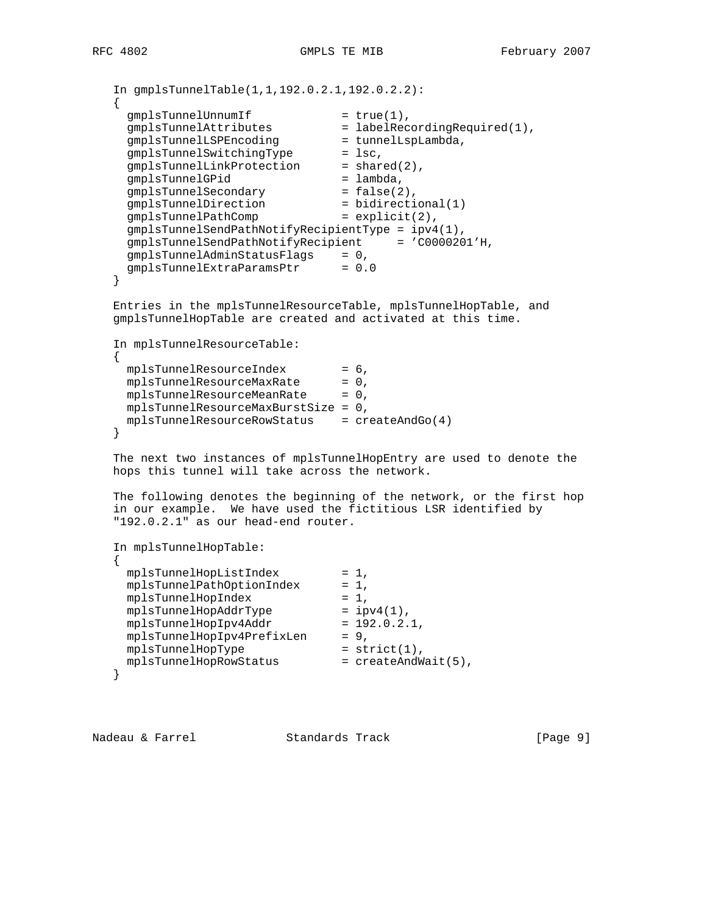```
 In gmplsTunnelTable(1,1,192.0.2.1,192.0.2.2):
   {
gmplsTunnelUnnumIf = true(1),
 gmplsTunnelAttributes = labelRecordingRequired(1),
 gmplsTunnelLSPEncoding = tunnelLspLambda,
gmplsTunnelSwitchingType = lsc,
gmplsTunnelLinkProtection = shared(2),
 gmplsTunnelGPid = lambda,
 gmplsTunnelSecondary = false(2),
 gmplsTunnelDirection = bidirectional(1)
 gmplsTunnelPathComp = explicit(2),
     gmplsTunnelSendPathNotifyRecipientType = ipv4(1),
     gmplsTunnelSendPathNotifyRecipient = 'C0000201'H,
 gmplsTunnelAdminStatusFlags = 0,
 gmplsTunnelExtraParamsPtr = 0.0
   }
   Entries in the mplsTunnelResourceTable, mplsTunnelHopTable, and
   gmplsTunnelHopTable are created and activated at this time.
   In mplsTunnelResourceTable:
\{ \cdot \cdot \cdot \cdot \cdot \cdot \cdot \cdot \cdot \cdot \cdot \cdot \cdot \cdot \cdot \cdot \cdot \cdot \cdot \cdot \cdot \cdot \cdot \cdot \cdot \cdot \cdot \cdot \cdot \cdot \cdot \cdot \cdot \cdot \cdot \cdot 
 mplsTunnelResourceIndex = 6,
mplsTunnelResourceMaxRate = 0,
mplsTunnelResourceMeanRate = 0,
     mplsTunnelResourceMaxBurstSize = 0,
     mplsTunnelResourceRowStatus = createAndGo(4)
   }
   The next two instances of mplsTunnelHopEntry are used to denote the
   hops this tunnel will take across the network.
   The following denotes the beginning of the network, or the first hop
   in our example. We have used the fictitious LSR identified by
   "192.0.2.1" as our head-end router.
   In mplsTunnelHopTable:
   {
    mplsTunnelHopListIndex = 1,
mplsTunnelPathOptionIndex = 1,
 mplsTunnelHopIndex = 1,
 mplsTunnelHopAddrType = ipv4(1),
mplsTunnelHopIpv4Addr = 192.0.2.1,
 mplsTunnelHopIpv4PrefixLen = 9,
 mplsTunnelHopType = strict(1),
mplsTunnelHopRowStatus = createAndWait(5),
   }
```
Nadeau & Farrel Standards Track [Page 9]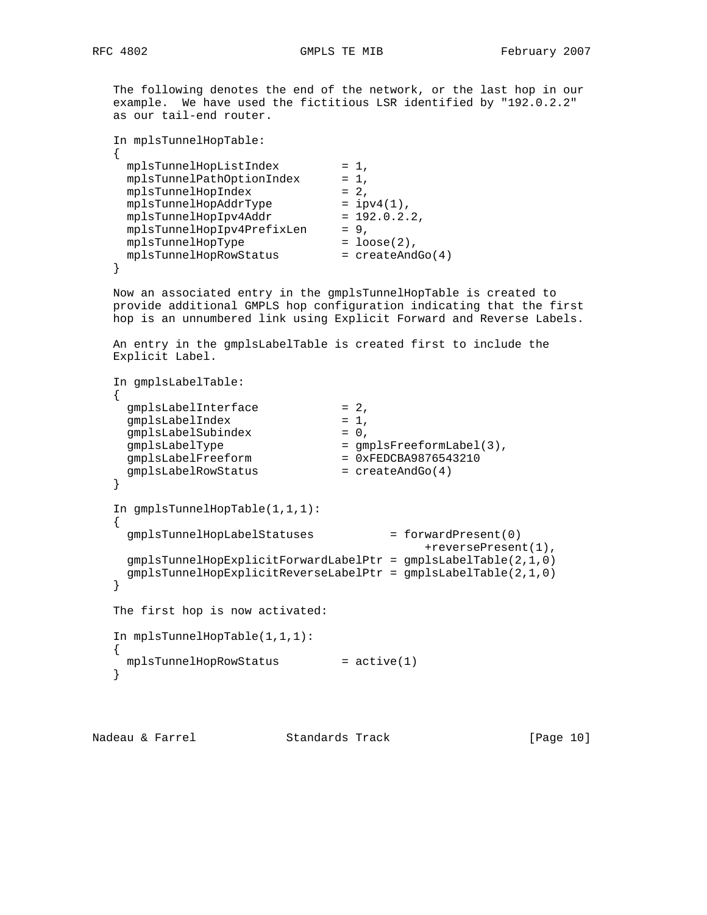The following denotes the end of the network, or the last hop in our

 example. We have used the fictitious LSR identified by "192.0.2.2" as our tail-end router.

```
 In mplsTunnelHopTable:
   {
   mplsTunnelHopListIndex = 1,
   mplsTunnelPathOptionIndex = 1, mplsTunnelHopIndex = 2,
 mplsTunnelHopAddrType = ipv4(1),
 mplsTunnelHopIpv4Addr = 192.0.2.2,
 mplsTunnelHopIpv4PrefixLen = 9,
 mplsTunnelHopType = loose(2),
mplsTunnelHopRowStatus = createAndGo(4)
```
}

 Now an associated entry in the gmplsTunnelHopTable is created to provide additional GMPLS hop configuration indicating that the first hop is an unnumbered link using Explicit Forward and Reverse Labels.

 An entry in the gmplsLabelTable is created first to include the Explicit Label.

```
 In gmplsLabelTable:
    {
gmplsLabelInterface = 2,
gmplsLabelIndex = 1,
gmplsLabelSubindex = 0,
 gmplsLabelType = gmplsFreeformLabel(3),
 gmplsLabelFreeform = 0xFEDCBA9876543210
gmplsLabelRowStatus = createAndGo(4)
    }
    In gmplsTunnelHopTable(1,1,1):
\{ \cdot \cdot \cdot \cdot \cdot \cdot \cdot \cdot \cdot \cdot \cdot \cdot \cdot \cdot \cdot \cdot \cdot \cdot \cdot \cdot \cdot \cdot \cdot \cdot \cdot \cdot \cdot \cdot \cdot \cdot \cdot \cdot \cdot \cdot \cdot \cdot 
      gmplsTunnelHopLabelStatuses = forwardPresent(0)
                                                      +reversePresent(1),
      gmplsTunnelHopExplicitForwardLabelPtr = gmplsLabelTable(2,1,0)
      gmplsTunnelHopExplicitReverseLabelPtr = gmplsLabelTable(2,1,0)
    }
    The first hop is now activated:
    In mplsTunnelHopTable(1,1,1):
    {
    mplsTunnelHopRowStatus = active(1) }
```
Nadeau & Farrel Standards Track [Page 10]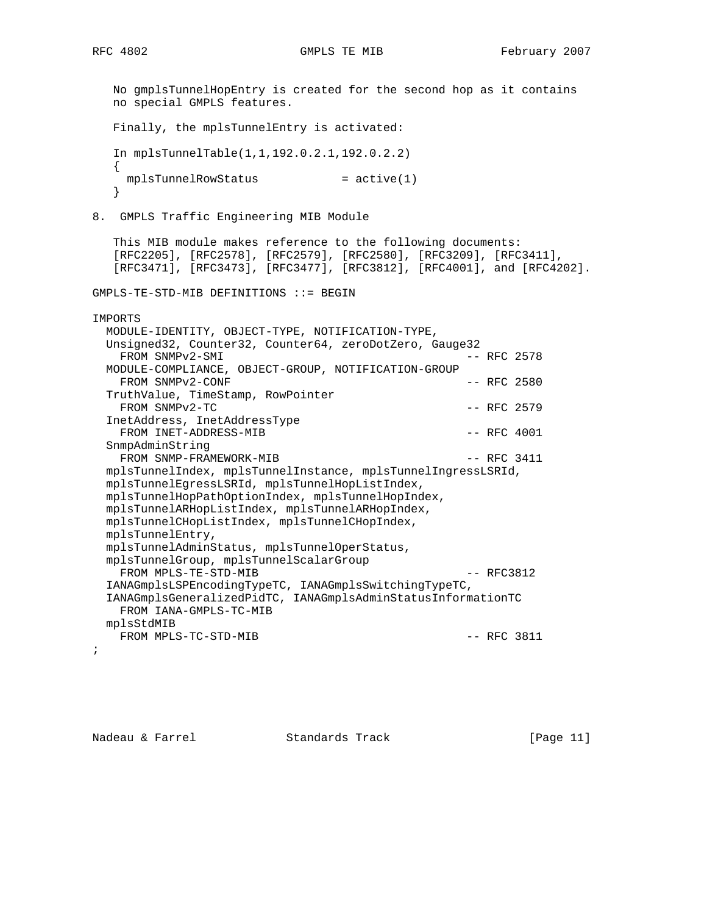No gmplsTunnelHopEntry is created for the second hop as it contains no special GMPLS features. Finally, the mplsTunnelEntry is activated: In mplsTunnelTable(1,1,192.0.2.1,192.0.2.2) {  $mplsTunnelRowstatus$  =  $active(1)$  } 8. GMPLS Traffic Engineering MIB Module This MIB module makes reference to the following documents: [RFC2205], [RFC2578], [RFC2579], [RFC2580], [RFC3209], [RFC3411], [RFC3471], [RFC3473], [RFC3477], [RFC3812], [RFC4001], and [RFC4202]. GMPLS-TE-STD-MIB DEFINITIONS ::= BEGIN IMPORTS MODULE-IDENTITY, OBJECT-TYPE, NOTIFICATION-TYPE, Unsigned32, Counter32, Counter64, zeroDotZero, Gauge32 FROM SNMPv2-SMI  $-$  RFC 2578 MODULE-COMPLIANCE, OBJECT-GROUP, NOTIFICATION-GROUP FROM SNMPv2-CONF  $---$  RFC 2580 TruthValue, TimeStamp, RowPointer FROM SNMPv2-TC  $-$  RFC 2579 InetAddress, InetAddressType FROM INET-ADDRESS-MIB  $-$  RFC 4001 SnmpAdminString FROM SNMP-FRAMEWORK-MIB  $-$  RFC 3411 mplsTunnelIndex, mplsTunnelInstance, mplsTunnelIngressLSRId, mplsTunnelEgressLSRId, mplsTunnelHopListIndex, mplsTunnelHopPathOptionIndex, mplsTunnelHopIndex, mplsTunnelARHopListIndex, mplsTunnelARHopIndex, mplsTunnelCHopListIndex, mplsTunnelCHopIndex, mplsTunnelEntry, mplsTunnelAdminStatus, mplsTunnelOperStatus, mplsTunnelGroup, mplsTunnelScalarGroup FROM MPLS-TE-STD-MIB  $-$  RFC3812 IANAGmplsLSPEncodingTypeTC, IANAGmplsSwitchingTypeTC, IANAGmplsGeneralizedPidTC, IANAGmplsAdminStatusInformationTC FROM IANA-GMPLS-TC-MIB mplsStdMIB FROM MPLS-TC-STD-MIB  $-$  RFC 3811 ;

Nadeau & Farrel Standards Track [Page 11]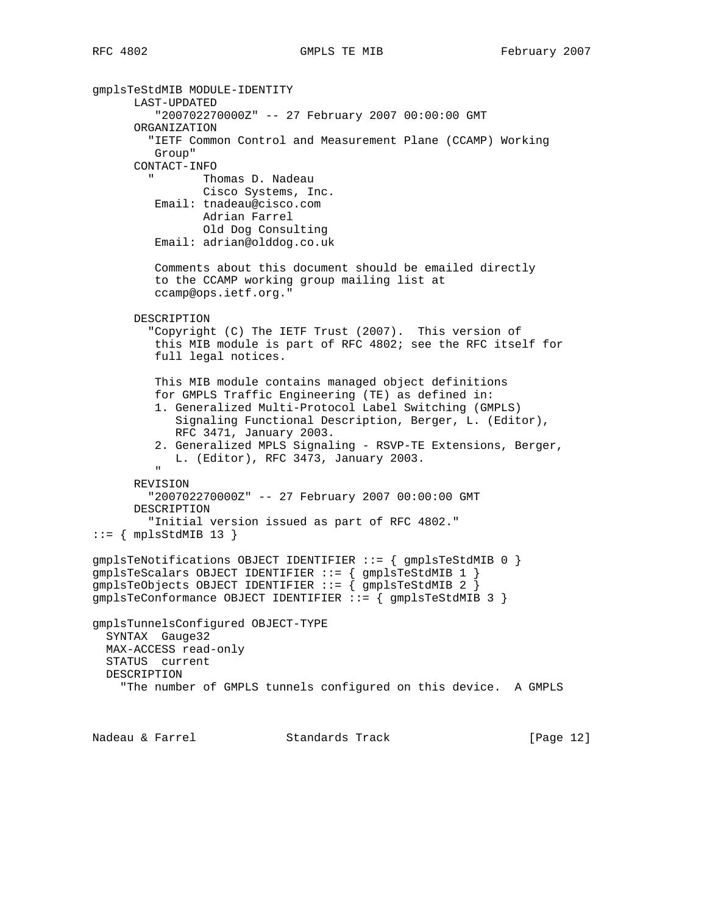```
gmplsTeStdMIB MODULE-IDENTITY
       LAST-UPDATED
          "200702270000Z" -- 27 February 2007 00:00:00 GMT
       ORGANIZATION
         "IETF Common Control and Measurement Plane (CCAMP) Working
         Group"
       CONTACT-INFO
               Thomas D. Nadeau
                Cisco Systems, Inc.
         Email: tnadeau@cisco.com
                Adrian Farrel
                 Old Dog Consulting
          Email: adrian@olddog.co.uk
          Comments about this document should be emailed directly
          to the CCAMP working group mailing list at
          ccamp@ops.ietf.org."
       DESCRIPTION
         "Copyright (C) The IETF Trust (2007). This version of
         this MIB module is part of RFC 4802; see the RFC itself for
          full legal notices.
          This MIB module contains managed object definitions
          for GMPLS Traffic Engineering (TE) as defined in:
          1. Generalized Multi-Protocol Label Switching (GMPLS)
             Signaling Functional Description, Berger, L. (Editor),
             RFC 3471, January 2003.
          2. Generalized MPLS Signaling - RSVP-TE Extensions, Berger,
            L. (Editor), RFC 3473, January 2003.
 "
       REVISION
         "200702270000Z" -- 27 February 2007 00:00:00 GMT
       DESCRIPTION
         "Initial version issued as part of RFC 4802."
::= { mplsStdMIB 13 }
gmplsTeNotifications OBJECT IDENTIFIER ::= { gmplsTeStdMIB 0 }
gmplsTeScalars OBJECT IDENTIFIER ::= { gmplsTeStdMIB 1 }
gmplsTeObjects OBJECT IDENTIFIER ::= { gmplsTeStdMIB 2 }
gmplsTeConformance OBJECT IDENTIFIER ::= { gmplsTeStdMIB 3 }
gmplsTunnelsConfigured OBJECT-TYPE
  SYNTAX Gauge32
  MAX-ACCESS read-only
   STATUS current
  DESCRIPTION
     "The number of GMPLS tunnels configured on this device. A GMPLS
Nadeau & Farrel Standards Track [Page 12]
```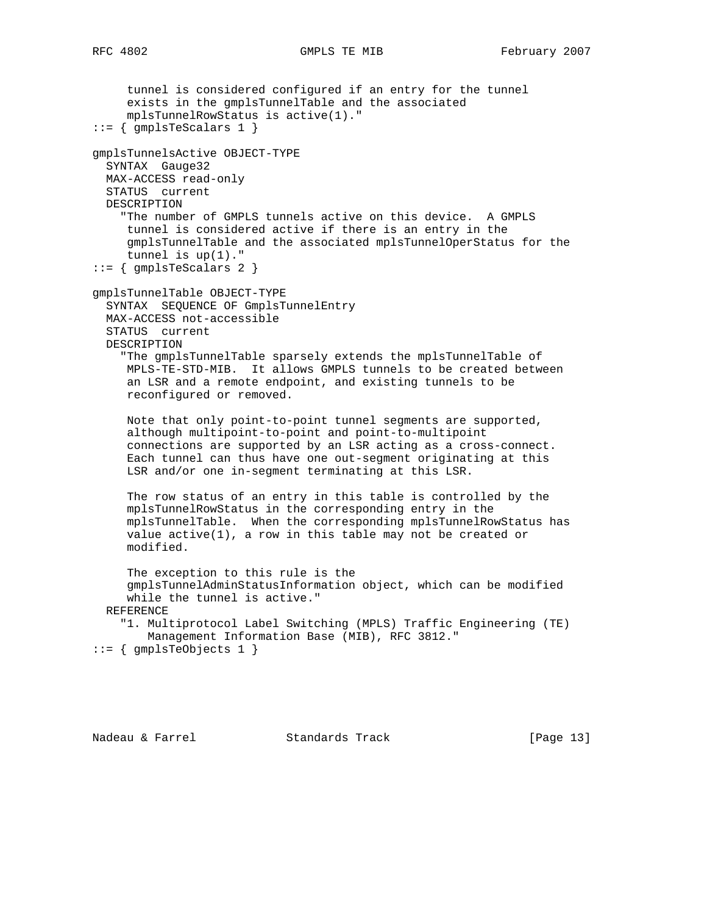```
 tunnel is considered configured if an entry for the tunnel
      exists in the gmplsTunnelTable and the associated
      mplsTunnelRowStatus is active(1)."
::= { gmplsTeScalars 1 }
gmplsTunnelsActive OBJECT-TYPE
   SYNTAX Gauge32
  MAX-ACCESS read-only
  STATUS current
   DESCRIPTION
     "The number of GMPLS tunnels active on this device. A GMPLS
      tunnel is considered active if there is an entry in the
      gmplsTunnelTable and the associated mplsTunnelOperStatus for the
      tunnel is up(1)."
::= { gmplsTeScalars 2 }
gmplsTunnelTable OBJECT-TYPE
   SYNTAX SEQUENCE OF GmplsTunnelEntry
  MAX-ACCESS not-accessible
   STATUS current
  DESCRIPTION
     "The gmplsTunnelTable sparsely extends the mplsTunnelTable of
     MPLS-TE-STD-MIB. It allows GMPLS tunnels to be created between
     an LSR and a remote endpoint, and existing tunnels to be
     reconfigured or removed.
      Note that only point-to-point tunnel segments are supported,
      although multipoint-to-point and point-to-multipoint
      connections are supported by an LSR acting as a cross-connect.
      Each tunnel can thus have one out-segment originating at this
      LSR and/or one in-segment terminating at this LSR.
      The row status of an entry in this table is controlled by the
      mplsTunnelRowStatus in the corresponding entry in the
      mplsTunnelTable. When the corresponding mplsTunnelRowStatus has
     value active(1), a row in this table may not be created or
      modified.
      The exception to this rule is the
      gmplsTunnelAdminStatusInformation object, which can be modified
      while the tunnel is active."
```

```
 REFERENCE
```

```
 "1. Multiprotocol Label Switching (MPLS) Traffic Engineering (TE)
    Management Information Base (MIB), RFC 3812."
```

```
::= { gmplsTeObjects 1 }
```
Nadeau & Farrel Standards Track [Page 13]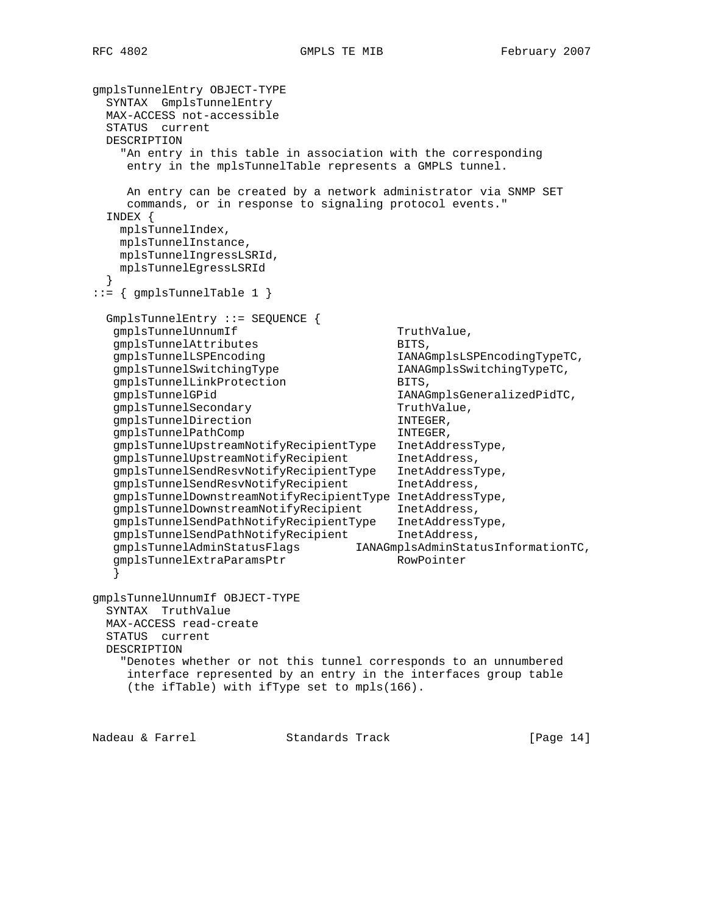```
gmplsTunnelEntry OBJECT-TYPE
  SYNTAX GmplsTunnelEntry
  MAX-ACCESS not-accessible
  STATUS current
  DESCRIPTION
    "An entry in this table in association with the corresponding
     entry in the mplsTunnelTable represents a GMPLS tunnel.
     An entry can be created by a network administrator via SNMP SET
     commands, or in response to signaling protocol events."
  INDEX {
    mplsTunnelIndex,
    mplsTunnelInstance,
    mplsTunnelIngressLSRId,
    mplsTunnelEgressLSRId
  }
::= { gmplsTunnelTable 1 }
  GmplsTunnelEntry ::= SEQUENCE {
  gmplsTunnelUnnumIf TruthValue,
  gmplsTunnelAttributes BITS,
  qmplsTunnelLSPEncoding IAMAGmplsLSPEncoder, IAMAGmplsLSPEncodergmplsTunnelSwitchingType IANAGmplsSwitchingTypeTC,
  gmplsTunnelLinkProtection BITS,
  gmplsTunnelGPid international control in the IANAGmplsGeneralizedPidTC,
  gmplsTunnelSecondary TruthValue,
  gmplsTunnelDirection INTEGER,
  gmplsTunnelPathComp interval intervals in the INTEGER,
   gmplsTunnelUpstreamNotifyRecipientType InetAddressType,
  gmplsTunnelUpstreamNotifyRecipient InetAddress,
   gmplsTunnelSendResvNotifyRecipientType InetAddressType,
   gmplsTunnelSendResvNotifyRecipient InetAddress,
   gmplsTunnelDownstreamNotifyRecipientType InetAddressType,
   gmplsTunnelDownstreamNotifyRecipient InetAddress,
 gmplsTunnelSendPathNotifyRecipientType InetAddressType,
 gmplsTunnelSendPathNotifyRecipient InetAddress,
 gmplsTunnelAdminStatusFlags IANAGmplsAdminStatusInformationTC,
gmplsTunnelExtraParamsPtr RowPointer
 }
gmplsTunnelUnnumIf OBJECT-TYPE
  SYNTAX TruthValue
  MAX-ACCESS read-create
  STATUS current
  DESCRIPTION
    "Denotes whether or not this tunnel corresponds to an unnumbered
     interface represented by an entry in the interfaces group table
     (the ifTable) with ifType set to mpls(166).
```
Nadeau & Farrel Standards Track [Page 14]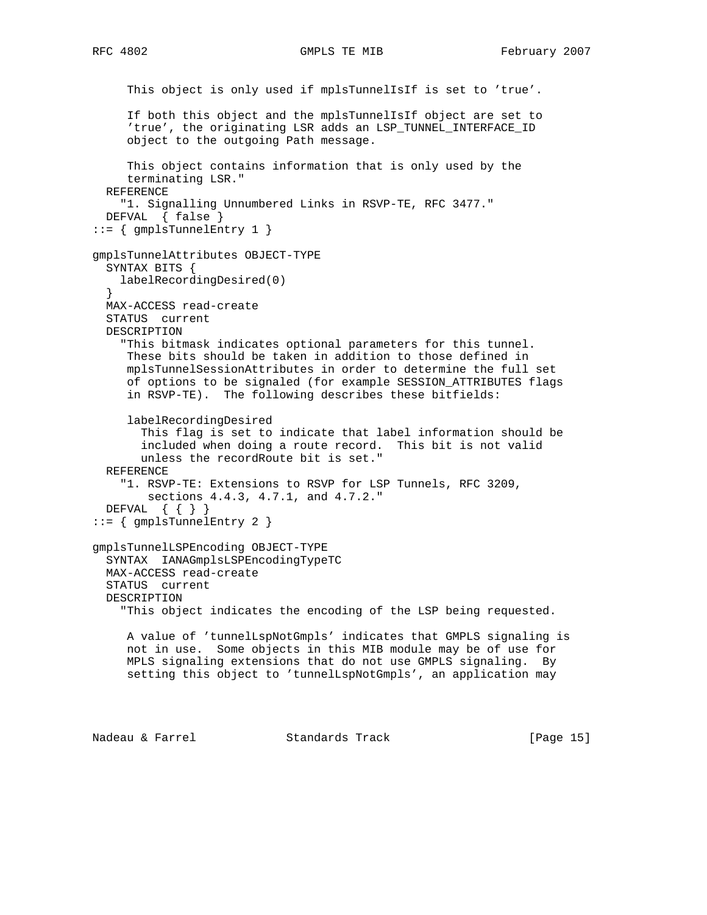```
 This object is only used if mplsTunnelIsIf is set to 'true'.
      If both this object and the mplsTunnelIsIf object are set to
      'true', the originating LSR adds an LSP_TUNNEL_INTERFACE_ID
      object to the outgoing Path message.
      This object contains information that is only used by the
      terminating LSR."
   REFERENCE
     "1. Signalling Unnumbered Links in RSVP-TE, RFC 3477."
  DEFVAL { false }
::= { gmplsTunnelEntry 1 }
gmplsTunnelAttributes OBJECT-TYPE
   SYNTAX BITS {
    labelRecordingDesired(0)
 }
  MAX-ACCESS read-create
  STATUS current
  DESCRIPTION
     "This bitmask indicates optional parameters for this tunnel.
     These bits should be taken in addition to those defined in
     mplsTunnelSessionAttributes in order to determine the full set
     of options to be signaled (for example SESSION_ATTRIBUTES flags
     in RSVP-TE). The following describes these bitfields:
      labelRecordingDesired
        This flag is set to indicate that label information should be
        included when doing a route record. This bit is not valid
        unless the recordRoute bit is set."
  REFERENCE
     "1. RSVP-TE: Extensions to RSVP for LSP Tunnels, RFC 3209,
        sections 4.4.3, 4.7.1, and 4.7.2."
   DEFVAL { { } }
::= { gmplsTunnelEntry 2 }
gmplsTunnelLSPEncoding OBJECT-TYPE
   SYNTAX IANAGmplsLSPEncodingTypeTC
   MAX-ACCESS read-create
   STATUS current
  DESCRIPTION
     "This object indicates the encoding of the LSP being requested.
     A value of 'tunnelLspNotGmpls' indicates that GMPLS signaling is
     not in use. Some objects in this MIB module may be of use for
     MPLS signaling extensions that do not use GMPLS signaling. By
      setting this object to 'tunnelLspNotGmpls', an application may
```
Nadeau & Farrel Standards Track [Page 15]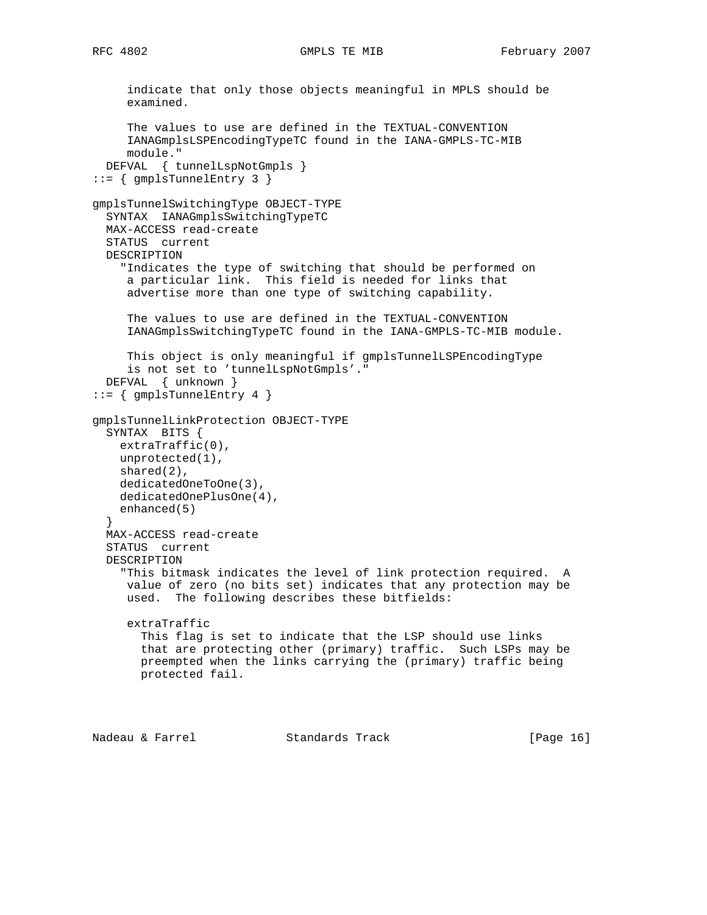```
 indicate that only those objects meaningful in MPLS should be
      examined.
      The values to use are defined in the TEXTUAL-CONVENTION
      IANAGmplsLSPEncodingTypeTC found in the IANA-GMPLS-TC-MIB
      module."
   DEFVAL { tunnelLspNotGmpls }
::= { gmplsTunnelEntry 3 }
gmplsTunnelSwitchingType OBJECT-TYPE
  SYNTAX IANAGmplsSwitchingTypeTC
  MAX-ACCESS read-create
  STATUS current
  DESCRIPTION
     "Indicates the type of switching that should be performed on
     a particular link. This field is needed for links that
     advertise more than one type of switching capability.
      The values to use are defined in the TEXTUAL-CONVENTION
      IANAGmplsSwitchingTypeTC found in the IANA-GMPLS-TC-MIB module.
     This object is only meaningful if gmplsTunnelLSPEncodingType
      is not set to 'tunnelLspNotGmpls'."
   DEFVAL { unknown }
::= { gmplsTunnelEntry 4 }
gmplsTunnelLinkProtection OBJECT-TYPE
  SYNTAX BITS {
    extraTraffic(0),
    unprotected(1),
    shared(2),
    dedicatedOneToOne(3),
     dedicatedOnePlusOne(4),
    enhanced(5)
   }
  MAX-ACCESS read-create
   STATUS current
  DESCRIPTION
     "This bitmask indicates the level of link protection required. A
     value of zero (no bits set) indicates that any protection may be
     used. The following describes these bitfields:
      extraTraffic
       This flag is set to indicate that the LSP should use links
       that are protecting other (primary) traffic. Such LSPs may be
       preempted when the links carrying the (primary) traffic being
       protected fail.
```
Nadeau & Farrel Standards Track [Page 16]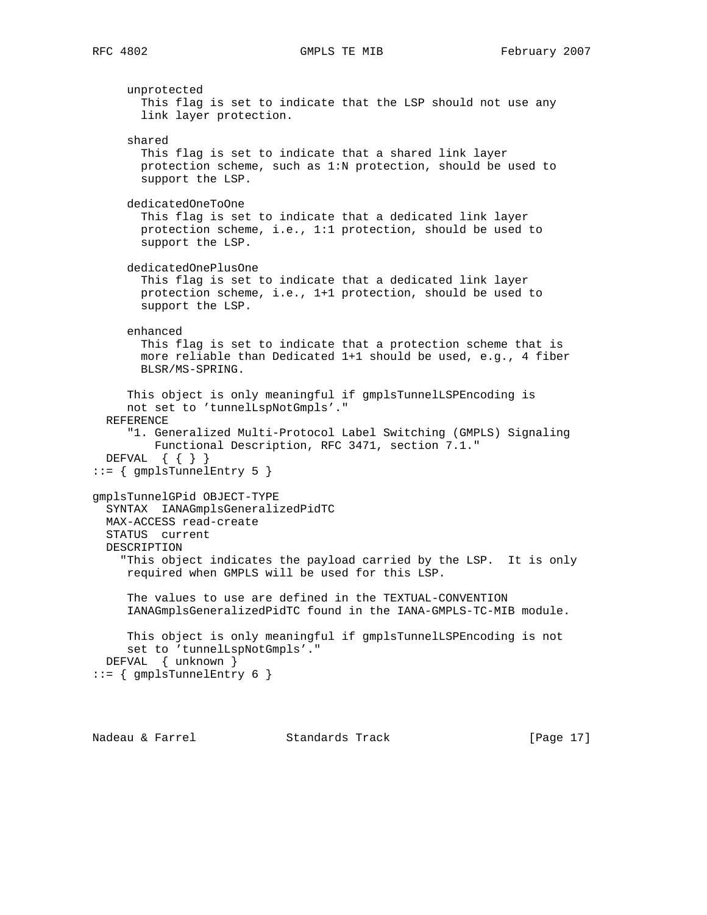unprotected This flag is set to indicate that the LSP should not use any link layer protection. shared This flag is set to indicate that a shared link layer protection scheme, such as 1:N protection, should be used to support the LSP. dedicatedOneToOne This flag is set to indicate that a dedicated link layer protection scheme, i.e., 1:1 protection, should be used to support the LSP. dedicatedOnePlusOne This flag is set to indicate that a dedicated link layer protection scheme, i.e., 1+1 protection, should be used to support the LSP. enhanced This flag is set to indicate that a protection scheme that is more reliable than Dedicated 1+1 should be used, e.g., 4 fiber BLSR/MS-SPRING. This object is only meaningful if gmplsTunnelLSPEncoding is not set to 'tunnelLspNotGmpls'." REFERENCE "1. Generalized Multi-Protocol Label Switching (GMPLS) Signaling Functional Description, RFC 3471, section 7.1." DEFVAL { { } } ::= { gmplsTunnelEntry 5 } gmplsTunnelGPid OBJECT-TYPE SYNTAX IANAGmplsGeneralizedPidTC MAX-ACCESS read-create STATUS current DESCRIPTION "This object indicates the payload carried by the LSP. It is only required when GMPLS will be used for this LSP. The values to use are defined in the TEXTUAL-CONVENTION IANAGmplsGeneralizedPidTC found in the IANA-GMPLS-TC-MIB module. This object is only meaningful if gmplsTunnelLSPEncoding is not set to 'tunnelLspNotGmpls'." DEFVAL { unknown }  $::=$  { gmplsTunnelEntry 6 }

Nadeau & Farrel Standards Track [Page 17]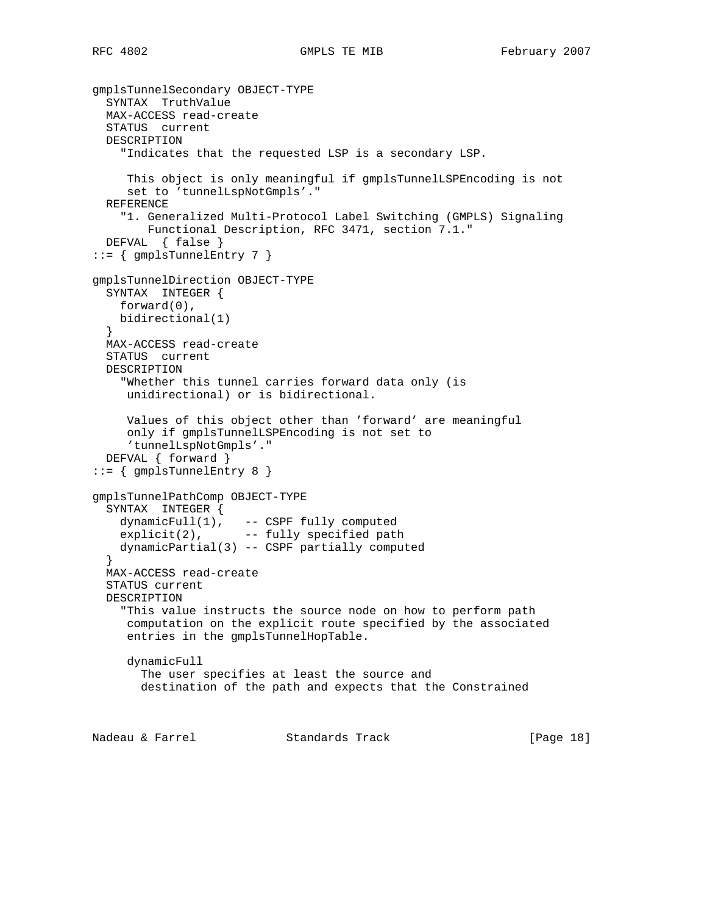```
gmplsTunnelSecondary OBJECT-TYPE
   SYNTAX TruthValue
   MAX-ACCESS read-create
   STATUS current
  DESCRIPTION
     "Indicates that the requested LSP is a secondary LSP.
      This object is only meaningful if gmplsTunnelLSPEncoding is not
      set to 'tunnelLspNotGmpls'."
   REFERENCE
     "1. Generalized Multi-Protocol Label Switching (GMPLS) Signaling
         Functional Description, RFC 3471, section 7.1."
   DEFVAL { false }
::= { gmplsTunnelEntry 7 }
gmplsTunnelDirection OBJECT-TYPE
   SYNTAX INTEGER {
    forward(0),
    bidirectional(1)
 }
  MAX-ACCESS read-create
   STATUS current
  DESCRIPTION
     "Whether this tunnel carries forward data only (is
     unidirectional) or is bidirectional.
     Values of this object other than 'forward' are meaningful
      only if gmplsTunnelLSPEncoding is not set to
      'tunnelLspNotGmpls'."
   DEFVAL { forward }
::= { gmplsTunnelEntry 8 }
gmplsTunnelPathComp OBJECT-TYPE
   SYNTAX INTEGER {
 dynamicFull(1), -- CSPF fully computed
explicit(2), -- fully specified path
     dynamicPartial(3) -- CSPF partially computed
 }
   MAX-ACCESS read-create
   STATUS current
   DESCRIPTION
     "This value instructs the source node on how to perform path
     computation on the explicit route specified by the associated
      entries in the gmplsTunnelHopTable.
      dynamicFull
        The user specifies at least the source and
        destination of the path and expects that the Constrained
Nadeau & Farrel             Standards Track                 [Page 18]
```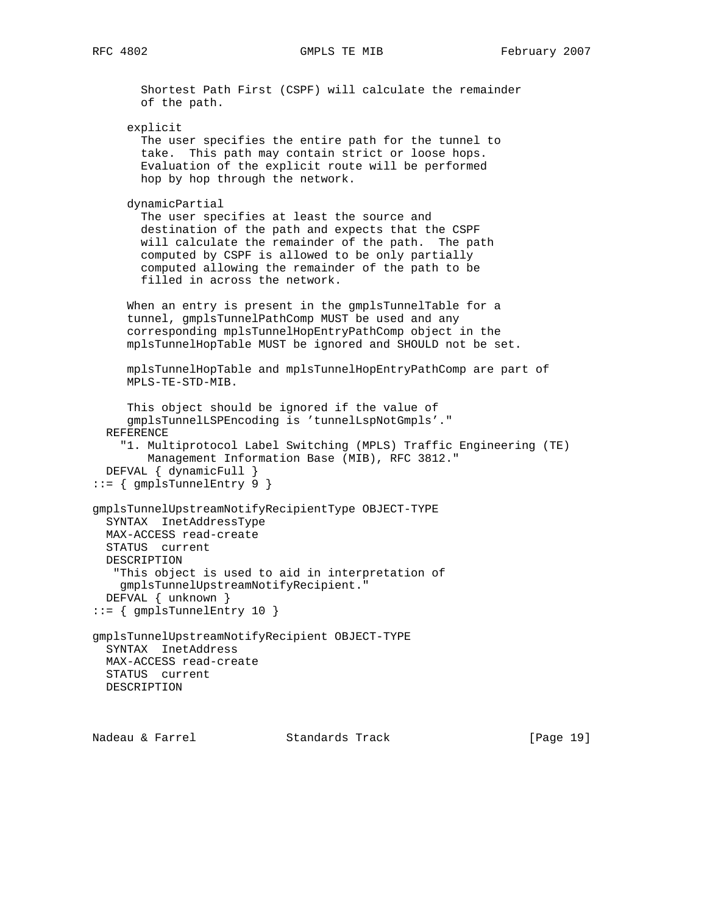```
 Shortest Path First (CSPF) will calculate the remainder
        of the path.
      explicit
        The user specifies the entire path for the tunnel to
        take. This path may contain strict or loose hops.
       Evaluation of the explicit route will be performed
       hop by hop through the network.
      dynamicPartial
        The user specifies at least the source and
        destination of the path and expects that the CSPF
       will calculate the remainder of the path. The path
        computed by CSPF is allowed to be only partially
        computed allowing the remainder of the path to be
        filled in across the network.
      When an entry is present in the gmplsTunnelTable for a
      tunnel, gmplsTunnelPathComp MUST be used and any
      corresponding mplsTunnelHopEntryPathComp object in the
      mplsTunnelHopTable MUST be ignored and SHOULD not be set.
      mplsTunnelHopTable and mplsTunnelHopEntryPathComp are part of
      MPLS-TE-STD-MIB.
      This object should be ignored if the value of
      gmplsTunnelLSPEncoding is 'tunnelLspNotGmpls'."
   REFERENCE
     "1. Multiprotocol Label Switching (MPLS) Traffic Engineering (TE)
         Management Information Base (MIB), RFC 3812."
   DEFVAL { dynamicFull }
 ::= \{ gmplsTunnelEntry 9 \}gmplsTunnelUpstreamNotifyRecipientType OBJECT-TYPE
  SYNTAX InetAddressType
  MAX-ACCESS read-create
  STATUS current
  DESCRIPTION
    "This object is used to aid in interpretation of
    gmplsTunnelUpstreamNotifyRecipient."
  DEFVAL { unknown }
::= { gmplsTunnelEntry 10 }
gmplsTunnelUpstreamNotifyRecipient OBJECT-TYPE
  SYNTAX InetAddress
  MAX-ACCESS read-create
  STATUS current
  DESCRIPTION
```
Nadeau & Farrel Standards Track [Page 19]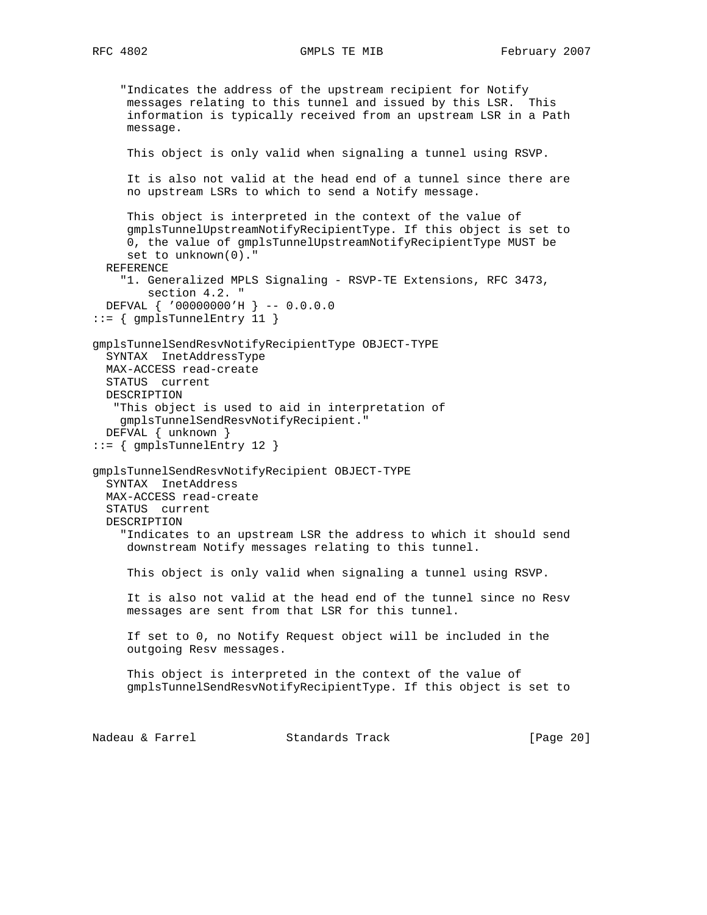```
 "Indicates the address of the upstream recipient for Notify
      messages relating to this tunnel and issued by this LSR. This
      information is typically received from an upstream LSR in a Path
      message.
      This object is only valid when signaling a tunnel using RSVP.
      It is also not valid at the head end of a tunnel since there are
      no upstream LSRs to which to send a Notify message.
      This object is interpreted in the context of the value of
      gmplsTunnelUpstreamNotifyRecipientType. If this object is set to
      0, the value of gmplsTunnelUpstreamNotifyRecipientType MUST be
      set to unknown(0)."
   REFERENCE
     "1. Generalized MPLS Signaling - RSVP-TE Extensions, RFC 3473,
        section 4.2. "
   DEFVAL { '00000000'H } -- 0.0.0.0
::= { gmplsTunnelEntry 11 }
gmplsTunnelSendResvNotifyRecipientType OBJECT-TYPE
   SYNTAX InetAddressType
  MAX-ACCESS read-create
  STATUS current
  DESCRIPTION
    "This object is used to aid in interpretation of
     gmplsTunnelSendResvNotifyRecipient."
   DEFVAL { unknown }
::= { gmplsTunnelEntry 12 }
gmplsTunnelSendResvNotifyRecipient OBJECT-TYPE
   SYNTAX InetAddress
   MAX-ACCESS read-create
   STATUS current
  DESCRIPTION
     "Indicates to an upstream LSR the address to which it should send
     downstream Notify messages relating to this tunnel.
      This object is only valid when signaling a tunnel using RSVP.
      It is also not valid at the head end of the tunnel since no Resv
     messages are sent from that LSR for this tunnel.
      If set to 0, no Notify Request object will be included in the
      outgoing Resv messages.
      This object is interpreted in the context of the value of
      gmplsTunnelSendResvNotifyRecipientType. If this object is set to
Nadeau & Farrel Standards Track [Page 20]
```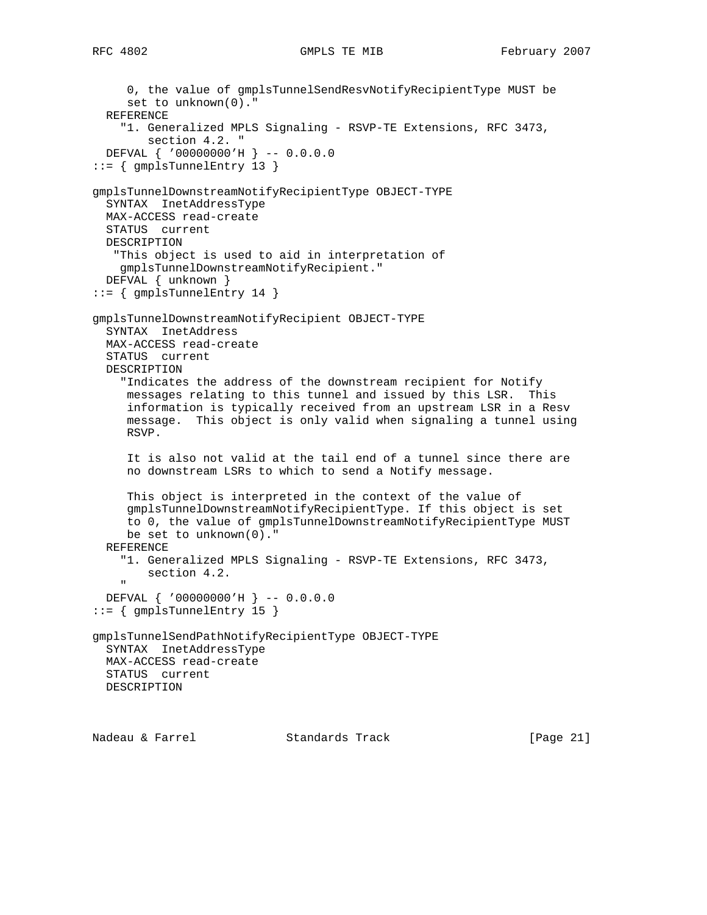```
 0, the value of gmplsTunnelSendResvNotifyRecipientType MUST be
      set to unknown(0)."
   REFERENCE
     "1. Generalized MPLS Signaling - RSVP-TE Extensions, RFC 3473,
         section 4.2. "
   DEFVAL { '00000000'H } -- 0.0.0.0
::= { gmplsTunnelEntry 13 }
gmplsTunnelDownstreamNotifyRecipientType OBJECT-TYPE
  SYNTAX InetAddressType
  MAX-ACCESS read-create
  STATUS current
  DESCRIPTION
    "This object is used to aid in interpretation of
    gmplsTunnelDownstreamNotifyRecipient."
  DEFVAL { unknown }
::= { gmplsTunnelEntry 14 }
gmplsTunnelDownstreamNotifyRecipient OBJECT-TYPE
  SYNTAX InetAddress
  MAX-ACCESS read-create
  STATUS current
  DESCRIPTION
     "Indicates the address of the downstream recipient for Notify
     messages relating to this tunnel and issued by this LSR. This
      information is typically received from an upstream LSR in a Resv
     message. This object is only valid when signaling a tunnel using
     RSVP.
      It is also not valid at the tail end of a tunnel since there are
      no downstream LSRs to which to send a Notify message.
     This object is interpreted in the context of the value of
      gmplsTunnelDownstreamNotifyRecipientType. If this object is set
      to 0, the value of gmplsTunnelDownstreamNotifyRecipientType MUST
     be set to unknown(0)."
  REFERENCE
     "1. Generalized MPLS Signaling - RSVP-TE Extensions, RFC 3473,
         section 4.2.
" " " "
  DEFVAL { '00000000'H } -- 0.0.0.0
::= { gmplsTunnelEntry 15 }
gmplsTunnelSendPathNotifyRecipientType OBJECT-TYPE
  SYNTAX InetAddressType
  MAX-ACCESS read-create
  STATUS current
  DESCRIPTION
```
Nadeau & Farrel Standards Track [Page 21]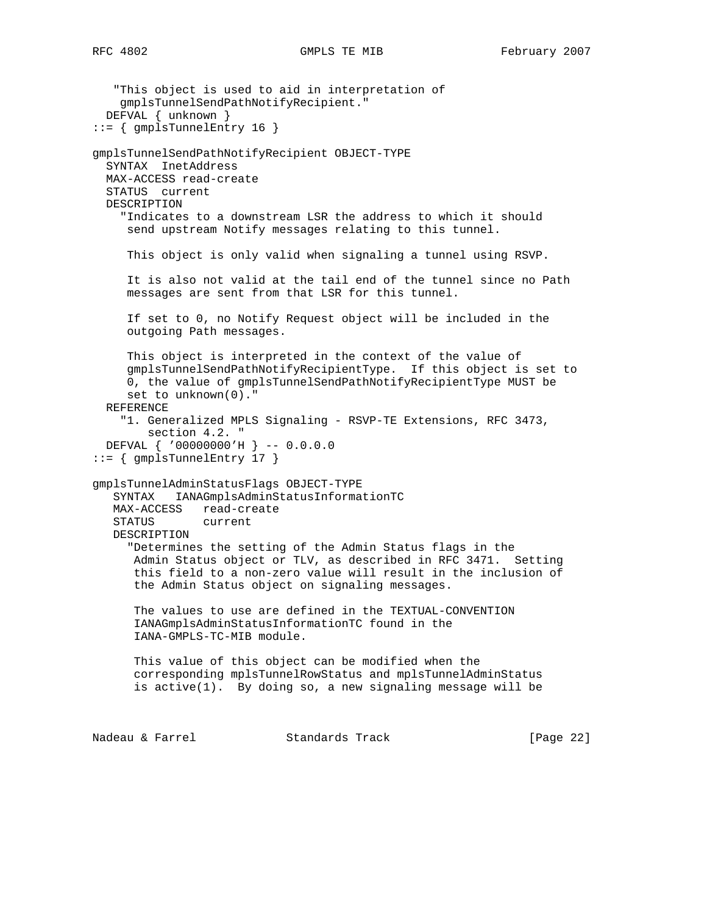```
 "This object is used to aid in interpretation of
     gmplsTunnelSendPathNotifyRecipient."
   DEFVAL { unknown }
::= { gmplsTunnelEntry 16 }
gmplsTunnelSendPathNotifyRecipient OBJECT-TYPE
   SYNTAX InetAddress
  MAX-ACCESS read-create
   STATUS current
   DESCRIPTION
     "Indicates to a downstream LSR the address to which it should
     send upstream Notify messages relating to this tunnel.
      This object is only valid when signaling a tunnel using RSVP.
      It is also not valid at the tail end of the tunnel since no Path
     messages are sent from that LSR for this tunnel.
      If set to 0, no Notify Request object will be included in the
      outgoing Path messages.
      This object is interpreted in the context of the value of
      gmplsTunnelSendPathNotifyRecipientType. If this object is set to
      0, the value of gmplsTunnelSendPathNotifyRecipientType MUST be
      set to unknown(0)."
   REFERENCE
     "1. Generalized MPLS Signaling - RSVP-TE Extensions, RFC 3473,
         section 4.2. "
   DEFVAL { '00000000'H } -- 0.0.0.0
::= { gmplsTunnelEntry 17 }
gmplsTunnelAdminStatusFlags OBJECT-TYPE
    SYNTAX IANAGmplsAdminStatusInformationTC
   MAX-ACCESS read-create
    STATUS current
   DESCRIPTION
      "Determines the setting of the Admin Status flags in the
       Admin Status object or TLV, as described in RFC 3471. Setting
       this field to a non-zero value will result in the inclusion of
       the Admin Status object on signaling messages.
       The values to use are defined in the TEXTUAL-CONVENTION
       IANAGmplsAdminStatusInformationTC found in the
       IANA-GMPLS-TC-MIB module.
      This value of this object can be modified when the
       corresponding mplsTunnelRowStatus and mplsTunnelAdminStatus
       is active(1). By doing so, a new signaling message will be
Nadeau & Farrel Standards Track [Page 22]
```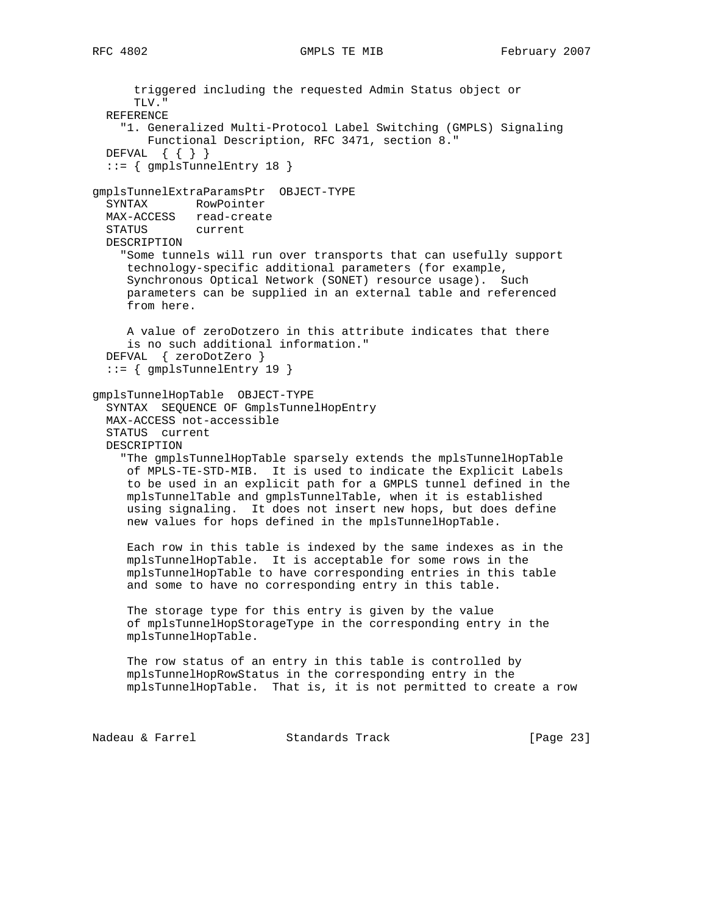triggered including the requested Admin Status object or TLV." REFERENCE "1. Generalized Multi-Protocol Label Switching (GMPLS) Signaling Functional Description, RFC 3471, section 8." DEFVAL { { } } ::= { gmplsTunnelEntry 18 } gmplsTunnelExtraParamsPtr OBJECT-TYPE SYNTAX RowPointer MAX-ACCESS read-create STATUS current DESCRIPTION "Some tunnels will run over transports that can usefully support technology-specific additional parameters (for example, Synchronous Optical Network (SONET) resource usage). Such parameters can be supplied in an external table and referenced from here. A value of zeroDotzero in this attribute indicates that there is no such additional information." DEFVAL { zeroDotZero } ::= { gmplsTunnelEntry 19 } gmplsTunnelHopTable OBJECT-TYPE SYNTAX SEQUENCE OF GmplsTunnelHopEntry MAX-ACCESS not-accessible STATUS current DESCRIPTION "The gmplsTunnelHopTable sparsely extends the mplsTunnelHopTable of MPLS-TE-STD-MIB. It is used to indicate the Explicit Labels to be used in an explicit path for a GMPLS tunnel defined in the mplsTunnelTable and gmplsTunnelTable, when it is established using signaling. It does not insert new hops, but does define new values for hops defined in the mplsTunnelHopTable. Each row in this table is indexed by the same indexes as in the mplsTunnelHopTable. It is acceptable for some rows in the mplsTunnelHopTable to have corresponding entries in this table and some to have no corresponding entry in this table. The storage type for this entry is given by the value of mplsTunnelHopStorageType in the corresponding entry in the mplsTunnelHopTable. The row status of an entry in this table is controlled by mplsTunnelHopRowStatus in the corresponding entry in the mplsTunnelHopTable. That is, it is not permitted to create a row Nadeau & Farrel Standards Track [Page 23]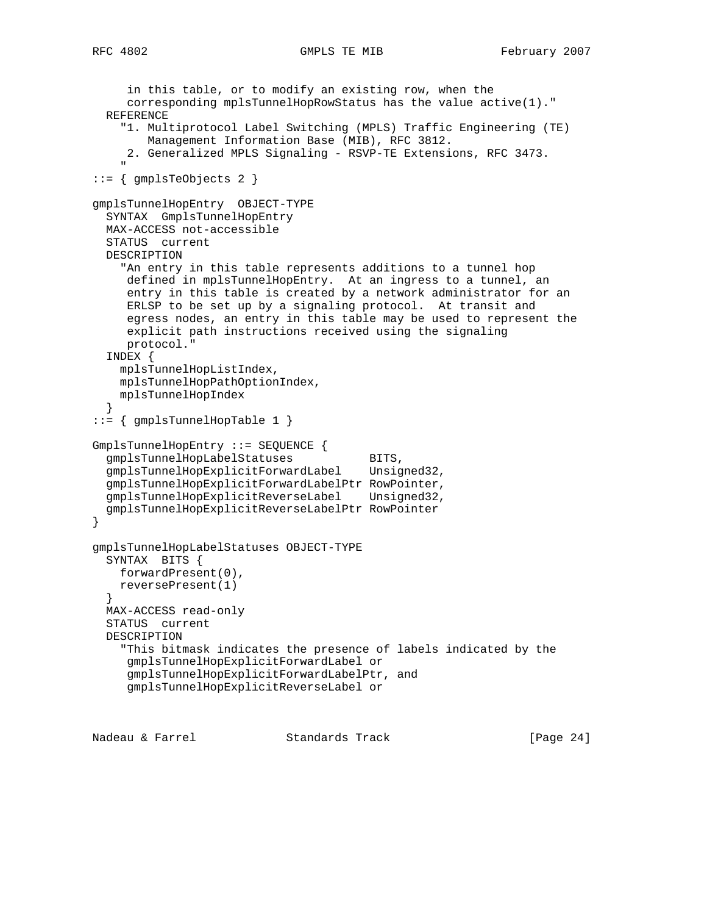```
 in this table, or to modify an existing row, when the
      corresponding mplsTunnelHopRowStatus has the value active(1)."
   REFERENCE
     "1. Multiprotocol Label Switching (MPLS) Traffic Engineering (TE)
        Management Information Base (MIB), RFC 3812.
     2. Generalized MPLS Signaling - RSVP-TE Extensions, RFC 3473.
" " " "
 ::= \{ gmplsTeObjects 2 \}gmplsTunnelHopEntry OBJECT-TYPE
   SYNTAX GmplsTunnelHopEntry
  MAX-ACCESS not-accessible
   STATUS current
  DESCRIPTION
     "An entry in this table represents additions to a tunnel hop
     defined in mplsTunnelHopEntry. At an ingress to a tunnel, an
     entry in this table is created by a network administrator for an
     ERLSP to be set up by a signaling protocol. At transit and
     egress nodes, an entry in this table may be used to represent the
     explicit path instructions received using the signaling
     protocol."
   INDEX {
    mplsTunnelHopListIndex,
    mplsTunnelHopPathOptionIndex,
    mplsTunnelHopIndex
 }
::= { gmplsTunnelHopTable 1 }
GmplsTunnelHopEntry ::= SEQUENCE {
gmplsTunnelHopLabelStatuses BITS,
 gmplsTunnelHopExplicitForwardLabel Unsigned32,
   gmplsTunnelHopExplicitForwardLabelPtr RowPointer,
   gmplsTunnelHopExplicitReverseLabel Unsigned32,
   gmplsTunnelHopExplicitReverseLabelPtr RowPointer
}
gmplsTunnelHopLabelStatuses OBJECT-TYPE
   SYNTAX BITS {
    forwardPresent(0),
    reversePresent(1)
 }
  MAX-ACCESS read-only
   STATUS current
  DESCRIPTION
     "This bitmask indicates the presence of labels indicated by the
     gmplsTunnelHopExplicitForwardLabel or
     gmplsTunnelHopExplicitForwardLabelPtr, and
     gmplsTunnelHopExplicitReverseLabel or
```
Nadeau & Farrel Standards Track [Page 24]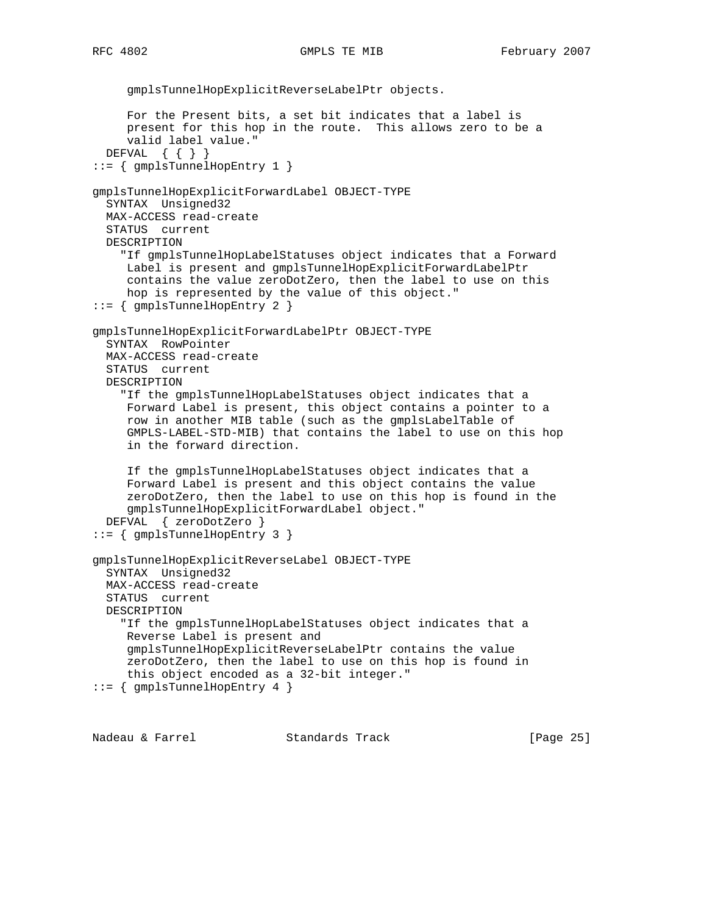```
 gmplsTunnelHopExplicitReverseLabelPtr objects.
      For the Present bits, a set bit indicates that a label is
      present for this hop in the route. This allows zero to be a
      valid label value."
   DEFVAL { { } }
::= { gmplsTunnelHopEntry 1 }
gmplsTunnelHopExplicitForwardLabel OBJECT-TYPE
  SYNTAX Unsigned32
  MAX-ACCESS read-create
  STATUS current
  DESCRIPTION
     "If gmplsTunnelHopLabelStatuses object indicates that a Forward
      Label is present and gmplsTunnelHopExplicitForwardLabelPtr
      contains the value zeroDotZero, then the label to use on this
     hop is represented by the value of this object."
::= { gmplsTunnelHopEntry 2 }
gmplsTunnelHopExplicitForwardLabelPtr OBJECT-TYPE
  SYNTAX RowPointer
  MAX-ACCESS read-create
  STATUS current
  DESCRIPTION
     "If the gmplsTunnelHopLabelStatuses object indicates that a
      Forward Label is present, this object contains a pointer to a
      row in another MIB table (such as the gmplsLabelTable of
      GMPLS-LABEL-STD-MIB) that contains the label to use on this hop
      in the forward direction.
      If the gmplsTunnelHopLabelStatuses object indicates that a
     Forward Label is present and this object contains the value
      zeroDotZero, then the label to use on this hop is found in the
      gmplsTunnelHopExplicitForwardLabel object."
  DEFVAL { zeroDotZero }
::= { gmplsTunnelHopEntry 3 }
gmplsTunnelHopExplicitReverseLabel OBJECT-TYPE
  SYNTAX Unsigned32
  MAX-ACCESS read-create
   STATUS current
  DESCRIPTION
     "If the gmplsTunnelHopLabelStatuses object indicates that a
     Reverse Label is present and
      gmplsTunnelHopExplicitReverseLabelPtr contains the value
      zeroDotZero, then the label to use on this hop is found in
      this object encoded as a 32-bit integer."
::= { gmplsTunnelHopEntry 4 }
```
Nadeau & Farrel Standards Track [Page 25]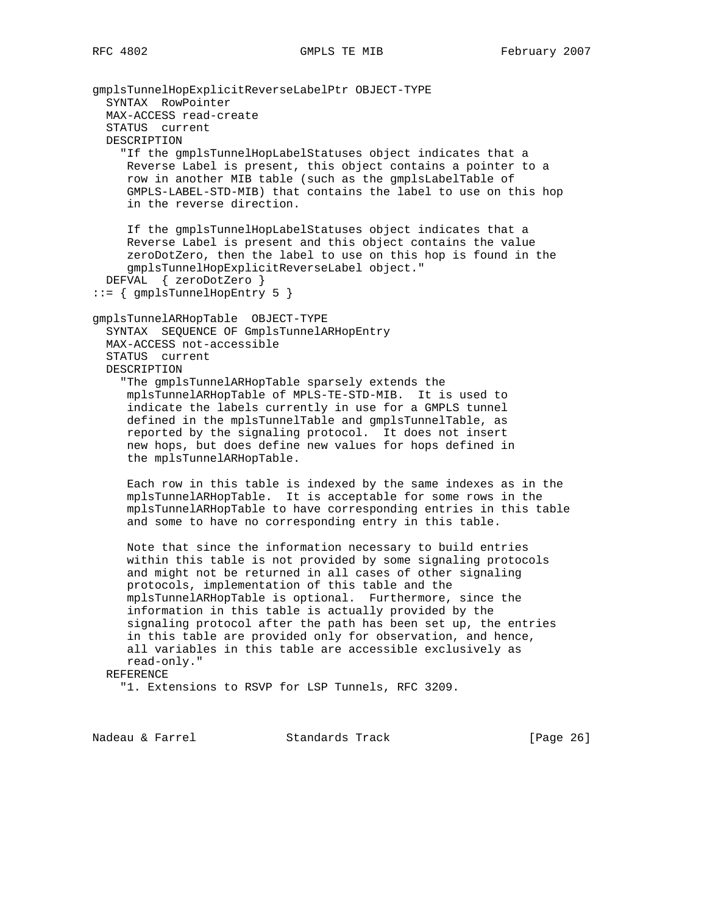gmplsTunnelHopExplicitReverseLabelPtr OBJECT-TYPE SYNTAX RowPointer MAX-ACCESS read-create STATUS current DESCRIPTION "If the gmplsTunnelHopLabelStatuses object indicates that a Reverse Label is present, this object contains a pointer to a row in another MIB table (such as the gmplsLabelTable of GMPLS-LABEL-STD-MIB) that contains the label to use on this hop in the reverse direction. If the gmplsTunnelHopLabelStatuses object indicates that a Reverse Label is present and this object contains the value zeroDotZero, then the label to use on this hop is found in the gmplsTunnelHopExplicitReverseLabel object." DEFVAL { zeroDotZero } ::= { gmplsTunnelHopEntry 5 } gmplsTunnelARHopTable OBJECT-TYPE SYNTAX SEQUENCE OF GmplsTunnelARHopEntry MAX-ACCESS not-accessible STATUS current DESCRIPTION "The gmplsTunnelARHopTable sparsely extends the mplsTunnelARHopTable of MPLS-TE-STD-MIB. It is used to indicate the labels currently in use for a GMPLS tunnel defined in the mplsTunnelTable and gmplsTunnelTable, as reported by the signaling protocol. It does not insert new hops, but does define new values for hops defined in the mplsTunnelARHopTable. Each row in this table is indexed by the same indexes as in the mplsTunnelARHopTable. It is acceptable for some rows in the mplsTunnelARHopTable to have corresponding entries in this table and some to have no corresponding entry in this table. Note that since the information necessary to build entries within this table is not provided by some signaling protocols and might not be returned in all cases of other signaling protocols, implementation of this table and the mplsTunnelARHopTable is optional. Furthermore, since the information in this table is actually provided by the signaling protocol after the path has been set up, the entries in this table are provided only for observation, and hence, all variables in this table are accessible exclusively as read-only." REFERENCE "1. Extensions to RSVP for LSP Tunnels, RFC 3209.

Nadeau & Farrel Standards Track [Page 26]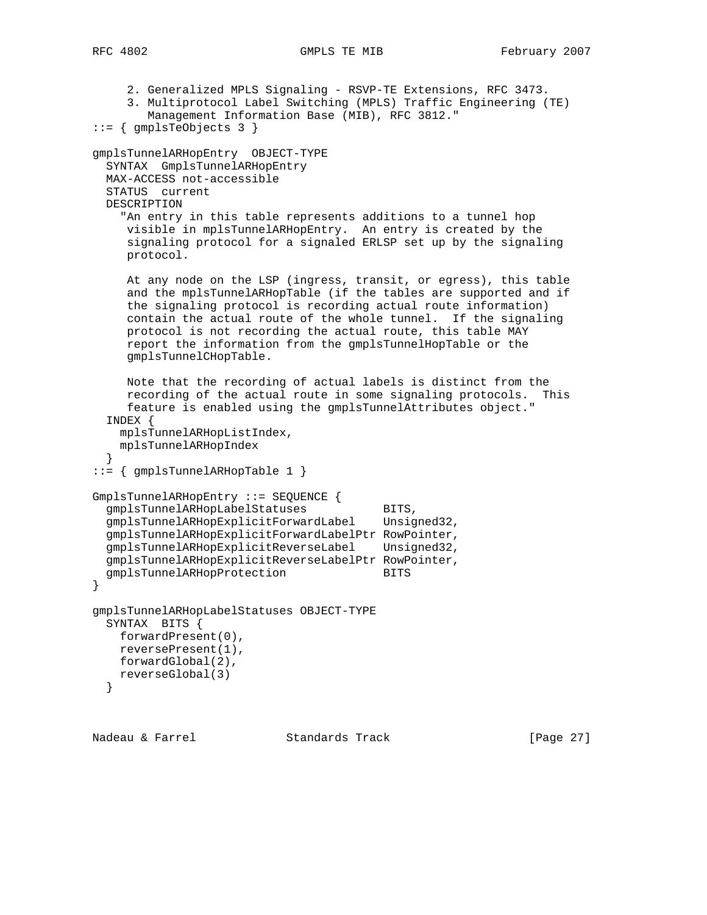2. Generalized MPLS Signaling - RSVP-TE Extensions, RFC 3473. 3. Multiprotocol Label Switching (MPLS) Traffic Engineering (TE) Management Information Base (MIB), RFC 3812."  $::= \{$  qmplsTeObjects 3  $\}$ gmplsTunnelARHopEntry OBJECT-TYPE SYNTAX GmplsTunnelARHopEntry MAX-ACCESS not-accessible STATUS current DESCRIPTION "An entry in this table represents additions to a tunnel hop visible in mplsTunnelARHopEntry. An entry is created by the signaling protocol for a signaled ERLSP set up by the signaling protocol. At any node on the LSP (ingress, transit, or egress), this table and the mplsTunnelARHopTable (if the tables are supported and if the signaling protocol is recording actual route information) contain the actual route of the whole tunnel. If the signaling protocol is not recording the actual route, this table MAY report the information from the gmplsTunnelHopTable or the gmplsTunnelCHopTable. Note that the recording of actual labels is distinct from the recording of the actual route in some signaling protocols. This feature is enabled using the gmplsTunnelAttributes object." INDEX { mplsTunnelARHopListIndex, mplsTunnelARHopIndex } ::= { gmplsTunnelARHopTable 1 } GmplsTunnelARHopEntry ::= SEQUENCE { gmplsTunnelARHopLabelStatuses BITS, gmplsTunnelARHopExplicitForwardLabel Unsigned32, gmplsTunnelARHopExplicitForwardLabelPtr RowPointer, gmplsTunnelARHopExplicitReverseLabel Unsigned32, gmplsTunnelARHopExplicitReverseLabelPtr RowPointer, gmplsTunnelARHopProtection BITS

```
gmplsTunnelARHopLabelStatuses OBJECT-TYPE
  SYNTAX BITS {
    forwardPresent(0),
    reversePresent(1),
    forwardGlobal(2),
    reverseGlobal(3)
   }
```
}

Nadeau & Farrel Standards Track [Page 27]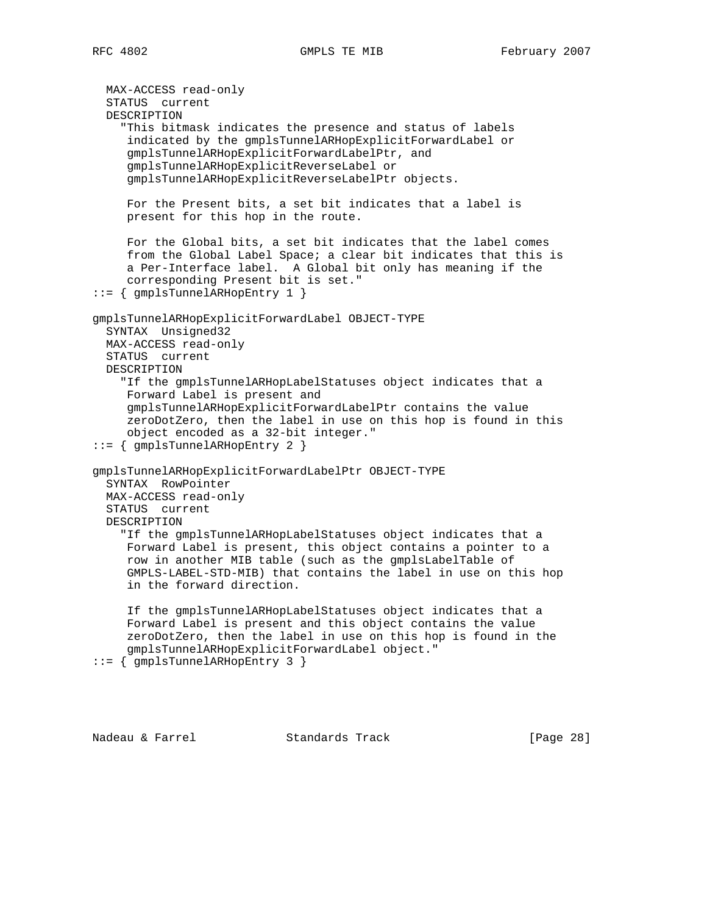MAX-ACCESS read-only STATUS current DESCRIPTION "This bitmask indicates the presence and status of labels indicated by the gmplsTunnelARHopExplicitForwardLabel or gmplsTunnelARHopExplicitForwardLabelPtr, and gmplsTunnelARHopExplicitReverseLabel or gmplsTunnelARHopExplicitReverseLabelPtr objects. For the Present bits, a set bit indicates that a label is present for this hop in the route. For the Global bits, a set bit indicates that the label comes from the Global Label Space; a clear bit indicates that this is a Per-Interface label. A Global bit only has meaning if the corresponding Present bit is set." ::= { gmplsTunnelARHopEntry 1 } gmplsTunnelARHopExplicitForwardLabel OBJECT-TYPE SYNTAX Unsigned32 MAX-ACCESS read-only STATUS current DESCRIPTION "If the gmplsTunnelARHopLabelStatuses object indicates that a Forward Label is present and gmplsTunnelARHopExplicitForwardLabelPtr contains the value zeroDotZero, then the label in use on this hop is found in this object encoded as a 32-bit integer." ::= { gmplsTunnelARHopEntry 2 } gmplsTunnelARHopExplicitForwardLabelPtr OBJECT-TYPE SYNTAX RowPointer MAX-ACCESS read-only STATUS current DESCRIPTION "If the gmplsTunnelARHopLabelStatuses object indicates that a Forward Label is present, this object contains a pointer to a row in another MIB table (such as the gmplsLabelTable of GMPLS-LABEL-STD-MIB) that contains the label in use on this hop in the forward direction. If the gmplsTunnelARHopLabelStatuses object indicates that a Forward Label is present and this object contains the value zeroDotZero, then the label in use on this hop is found in the gmplsTunnelARHopExplicitForwardLabel object." ::= { gmplsTunnelARHopEntry 3 }

Nadeau & Farrel Standards Track [Page 28]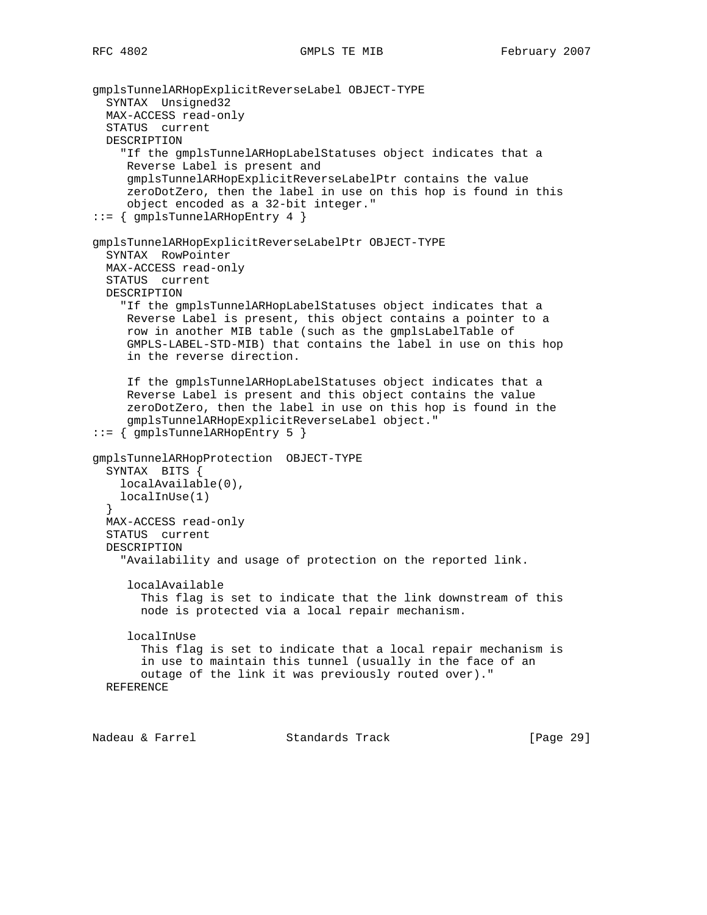```
gmplsTunnelARHopExplicitReverseLabel OBJECT-TYPE
  SYNTAX Unsigned32
  MAX-ACCESS read-only
   STATUS current
  DESCRIPTION
     "If the gmplsTunnelARHopLabelStatuses object indicates that a
     Reverse Label is present and
      gmplsTunnelARHopExplicitReverseLabelPtr contains the value
      zeroDotZero, then the label in use on this hop is found in this
      object encoded as a 32-bit integer."
::= { gmplsTunnelARHopEntry 4 }
gmplsTunnelARHopExplicitReverseLabelPtr OBJECT-TYPE
   SYNTAX RowPointer
  MAX-ACCESS read-only
   STATUS current
  DESCRIPTION
     "If the gmplsTunnelARHopLabelStatuses object indicates that a
     Reverse Label is present, this object contains a pointer to a
      row in another MIB table (such as the gmplsLabelTable of
      GMPLS-LABEL-STD-MIB) that contains the label in use on this hop
     in the reverse direction.
      If the gmplsTunnelARHopLabelStatuses object indicates that a
      Reverse Label is present and this object contains the value
      zeroDotZero, then the label in use on this hop is found in the
      gmplsTunnelARHopExplicitReverseLabel object."
::= { gmplsTunnelARHopEntry 5 }
gmplsTunnelARHopProtection OBJECT-TYPE
   SYNTAX BITS {
    localAvailable(0),
     localInUse(1)
   }
  MAX-ACCESS read-only
   STATUS current
  DESCRIPTION
     "Availability and usage of protection on the reported link.
      localAvailable
        This flag is set to indicate that the link downstream of this
       node is protected via a local repair mechanism.
      localInUse
        This flag is set to indicate that a local repair mechanism is
        in use to maintain this tunnel (usually in the face of an
       outage of the link it was previously routed over)."
  REFERENCE
```
Nadeau & Farrel Standards Track [Page 29]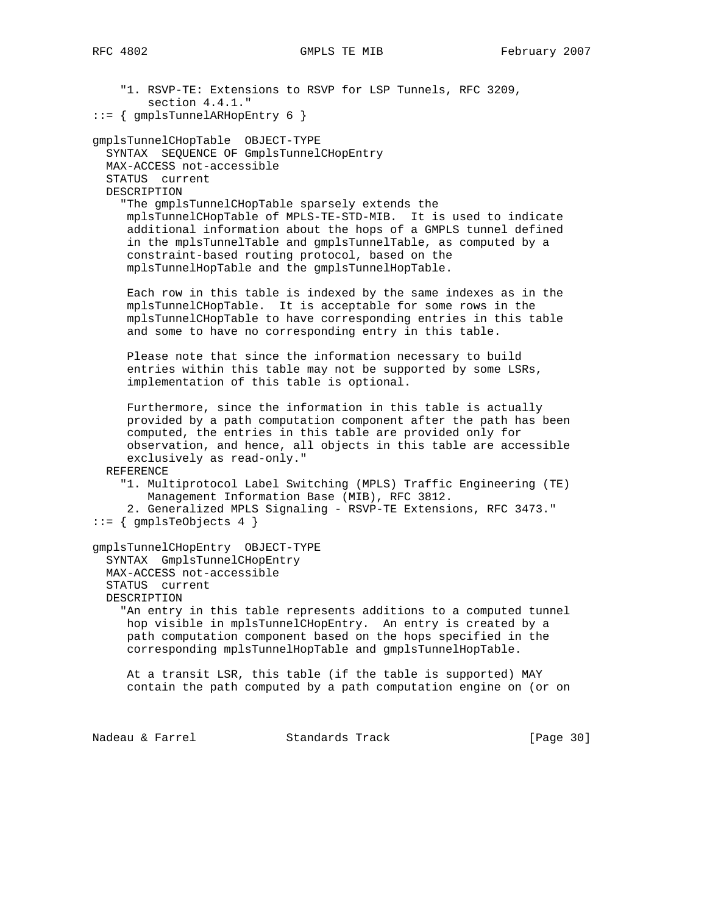"1. RSVP-TE: Extensions to RSVP for LSP Tunnels, RFC 3209, section 4.4.1." ::= { gmplsTunnelARHopEntry 6 } gmplsTunnelCHopTable OBJECT-TYPE SYNTAX SEQUENCE OF GmplsTunnelCHopEntry MAX-ACCESS not-accessible STATUS current DESCRIPTION "The gmplsTunnelCHopTable sparsely extends the mplsTunnelCHopTable of MPLS-TE-STD-MIB. It is used to indicate additional information about the hops of a GMPLS tunnel defined in the mplsTunnelTable and gmplsTunnelTable, as computed by a constraint-based routing protocol, based on the mplsTunnelHopTable and the gmplsTunnelHopTable. Each row in this table is indexed by the same indexes as in the mplsTunnelCHopTable. It is acceptable for some rows in the mplsTunnelCHopTable to have corresponding entries in this table and some to have no corresponding entry in this table. Please note that since the information necessary to build entries within this table may not be supported by some LSRs, implementation of this table is optional. Furthermore, since the information in this table is actually provided by a path computation component after the path has been computed, the entries in this table are provided only for observation, and hence, all objects in this table are accessible exclusively as read-only." REFERENCE "1. Multiprotocol Label Switching (MPLS) Traffic Engineering (TE) Management Information Base (MIB), RFC 3812. 2. Generalized MPLS Signaling - RSVP-TE Extensions, RFC 3473."  $::= \{$  gmplsTeObjects 4  $\}$ gmplsTunnelCHopEntry OBJECT-TYPE SYNTAX GmplsTunnelCHopEntry MAX-ACCESS not-accessible STATUS current DESCRIPTION "An entry in this table represents additions to a computed tunnel hop visible in mplsTunnelCHopEntry. An entry is created by a path computation component based on the hops specified in the corresponding mplsTunnelHopTable and gmplsTunnelHopTable. At a transit LSR, this table (if the table is supported) MAY contain the path computed by a path computation engine on (or on Nadeau & Farrel Standards Track [Page 30]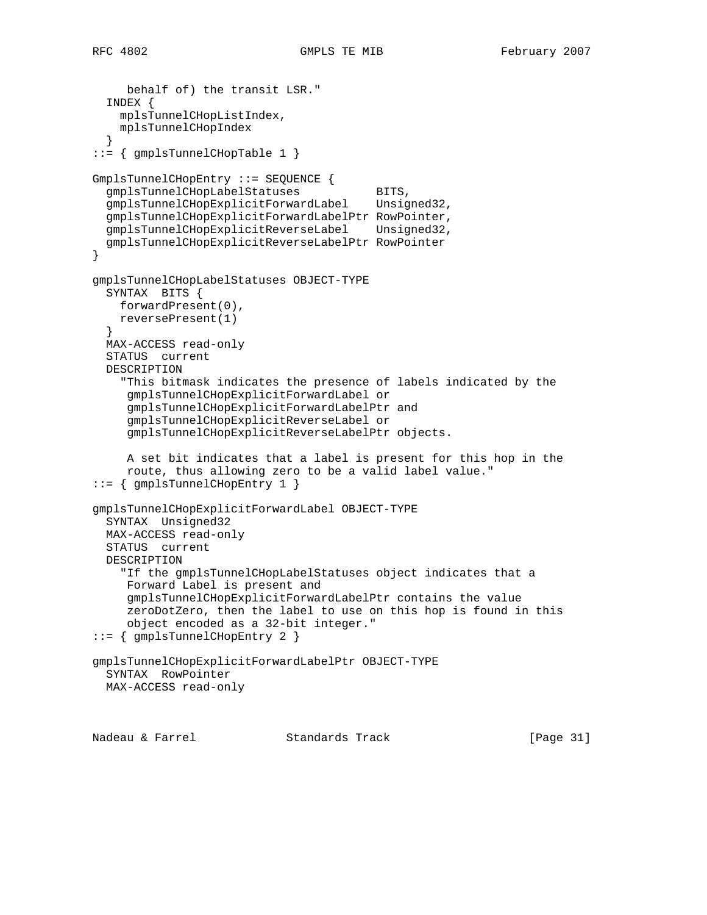```
 behalf of) the transit LSR."
   INDEX {
    mplsTunnelCHopListIndex,
    mplsTunnelCHopIndex
 }
::= { gmplsTunnelCHopTable 1 }
GmplsTunnelCHopEntry ::= SEQUENCE {
gmplsTunnelCHopLabelStatuses BITS,
 gmplsTunnelCHopExplicitForwardLabel Unsigned32,
   gmplsTunnelCHopExplicitForwardLabelPtr RowPointer,
   gmplsTunnelCHopExplicitReverseLabel Unsigned32,
   gmplsTunnelCHopExplicitReverseLabelPtr RowPointer
}
gmplsTunnelCHopLabelStatuses OBJECT-TYPE
  SYNTAX BITS {
    forwardPresent(0),
    reversePresent(1)
 }
  MAX-ACCESS read-only
   STATUS current
  DESCRIPTION
     "This bitmask indicates the presence of labels indicated by the
     gmplsTunnelCHopExplicitForwardLabel or
      gmplsTunnelCHopExplicitForwardLabelPtr and
     gmplsTunnelCHopExplicitReverseLabel or
     gmplsTunnelCHopExplicitReverseLabelPtr objects.
     A set bit indicates that a label is present for this hop in the
     route, thus allowing zero to be a valid label value."
::= { gmplsTunnelCHopEntry 1 }
gmplsTunnelCHopExplicitForwardLabel OBJECT-TYPE
  SYNTAX Unsigned32
  MAX-ACCESS read-only
  STATUS current
  DESCRIPTION
     "If the gmplsTunnelCHopLabelStatuses object indicates that a
     Forward Label is present and
     gmplsTunnelCHopExplicitForwardLabelPtr contains the value
      zeroDotZero, then the label to use on this hop is found in this
     object encoded as a 32-bit integer."
::= { gmplsTunnelCHopEntry 2 }
gmplsTunnelCHopExplicitForwardLabelPtr OBJECT-TYPE
  SYNTAX RowPointer
  MAX-ACCESS read-only
```
Nadeau & Farrel Standards Track [Page 31]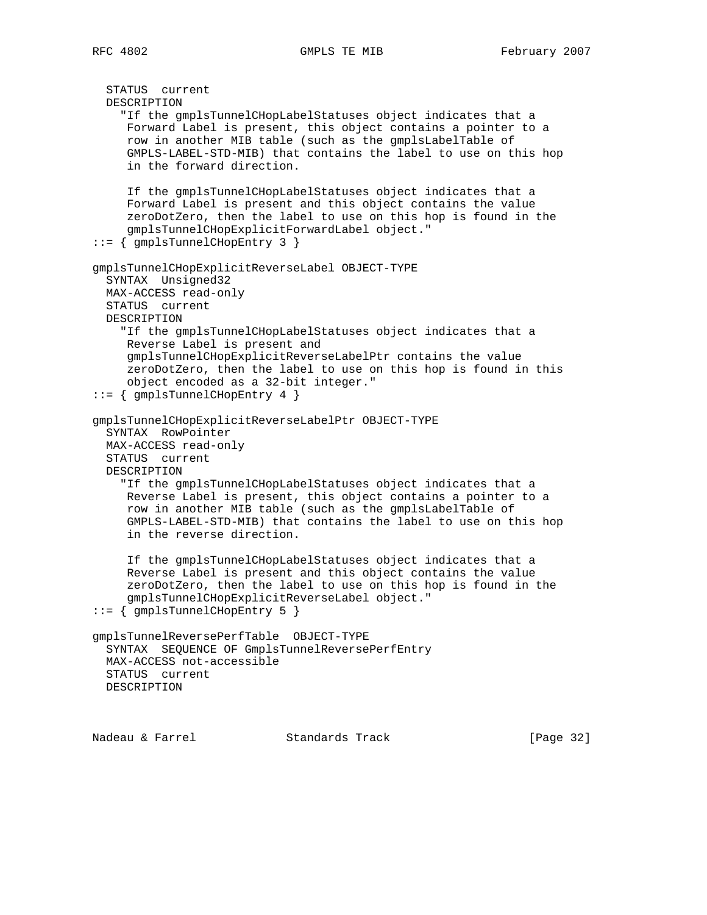```
 STATUS current
  DESCRIPTION
     "If the gmplsTunnelCHopLabelStatuses object indicates that a
      Forward Label is present, this object contains a pointer to a
      row in another MIB table (such as the gmplsLabelTable of
      GMPLS-LABEL-STD-MIB) that contains the label to use on this hop
      in the forward direction.
      If the gmplsTunnelCHopLabelStatuses object indicates that a
      Forward Label is present and this object contains the value
      zeroDotZero, then the label to use on this hop is found in the
      gmplsTunnelCHopExplicitForwardLabel object."
::= { gmplsTunnelCHopEntry 3 }
gmplsTunnelCHopExplicitReverseLabel OBJECT-TYPE
   SYNTAX Unsigned32
  MAX-ACCESS read-only
  STATUS current
  DESCRIPTION
     "If the gmplsTunnelCHopLabelStatuses object indicates that a
     Reverse Label is present and
      gmplsTunnelCHopExplicitReverseLabelPtr contains the value
      zeroDotZero, then the label to use on this hop is found in this
      object encoded as a 32-bit integer."
::= { gmplsTunnelCHopEntry 4 }
gmplsTunnelCHopExplicitReverseLabelPtr OBJECT-TYPE
   SYNTAX RowPointer
  MAX-ACCESS read-only
  STATUS current
  DESCRIPTION
     "If the gmplsTunnelCHopLabelStatuses object indicates that a
     Reverse Label is present, this object contains a pointer to a
     row in another MIB table (such as the gmplsLabelTable of
      GMPLS-LABEL-STD-MIB) that contains the label to use on this hop
      in the reverse direction.
      If the gmplsTunnelCHopLabelStatuses object indicates that a
      Reverse Label is present and this object contains the value
      zeroDotZero, then the label to use on this hop is found in the
      gmplsTunnelCHopExplicitReverseLabel object."
::= { gmplsTunnelCHopEntry 5 }
gmplsTunnelReversePerfTable OBJECT-TYPE
  SYNTAX SEQUENCE OF GmplsTunnelReversePerfEntry
  MAX-ACCESS not-accessible
  STATUS current
  DESCRIPTION
```
Nadeau & Farrel Standards Track [Page 32]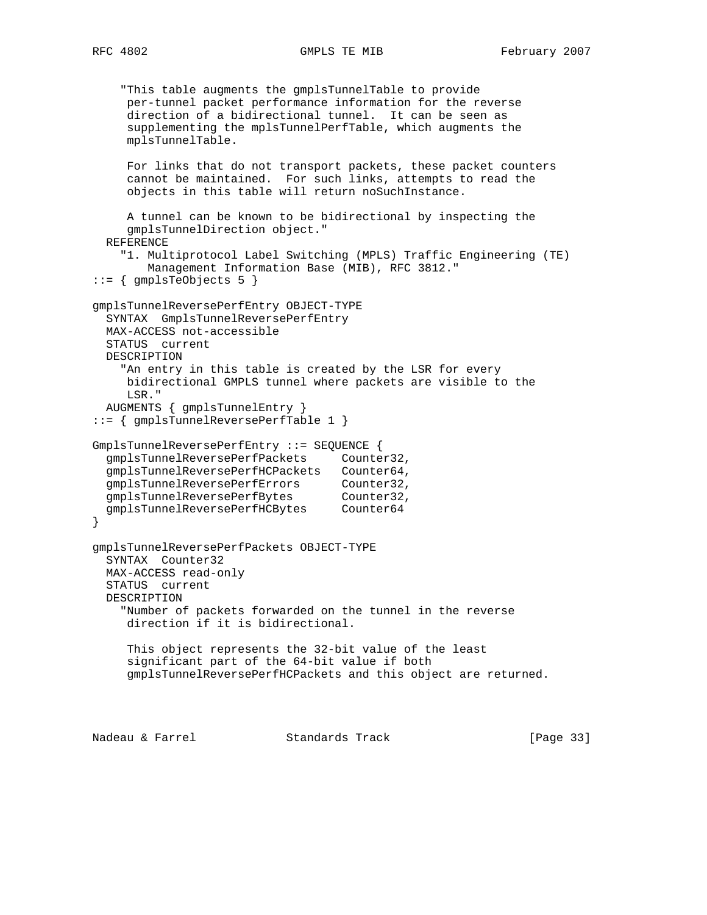```
 "This table augments the gmplsTunnelTable to provide
     per-tunnel packet performance information for the reverse
     direction of a bidirectional tunnel. It can be seen as
      supplementing the mplsTunnelPerfTable, which augments the
     mplsTunnelTable.
    For links that do not transport packets, these packet counters
     cannot be maintained. For such links, attempts to read the
     objects in this table will return noSuchInstance.
     A tunnel can be known to be bidirectional by inspecting the
     gmplsTunnelDirection object."
   REFERENCE
     "1. Multiprotocol Label Switching (MPLS) Traffic Engineering (TE)
        Management Information Base (MIB), RFC 3812."
::= { gmplsTeObjects 5 }
gmplsTunnelReversePerfEntry OBJECT-TYPE
  SYNTAX GmplsTunnelReversePerfEntry
  MAX-ACCESS not-accessible
  STATUS current
  DESCRIPTION
    "An entry in this table is created by the LSR for every
     bidirectional GMPLS tunnel where packets are visible to the
     LSR."
   AUGMENTS { gmplsTunnelEntry }
::= { gmplsTunnelReversePerfTable 1 }
GmplsTunnelReversePerfEntry ::= SEQUENCE {
   gmplsTunnelReversePerfPackets Counter32,
   gmplsTunnelReversePerfHCPackets Counter64,
 gmplsTunnelReversePerfErrors Counter32,
gmplsTunnelReversePerfBytes Counter32,
 gmplsTunnelReversePerfHCBytes Counter64
}
gmplsTunnelReversePerfPackets OBJECT-TYPE
   SYNTAX Counter32
  MAX-ACCESS read-only
   STATUS current
  DESCRIPTION
     "Number of packets forwarded on the tunnel in the reverse
     direction if it is bidirectional.
     This object represents the 32-bit value of the least
      significant part of the 64-bit value if both
     gmplsTunnelReversePerfHCPackets and this object are returned.
```
Nadeau & Farrel Standards Track [Page 33]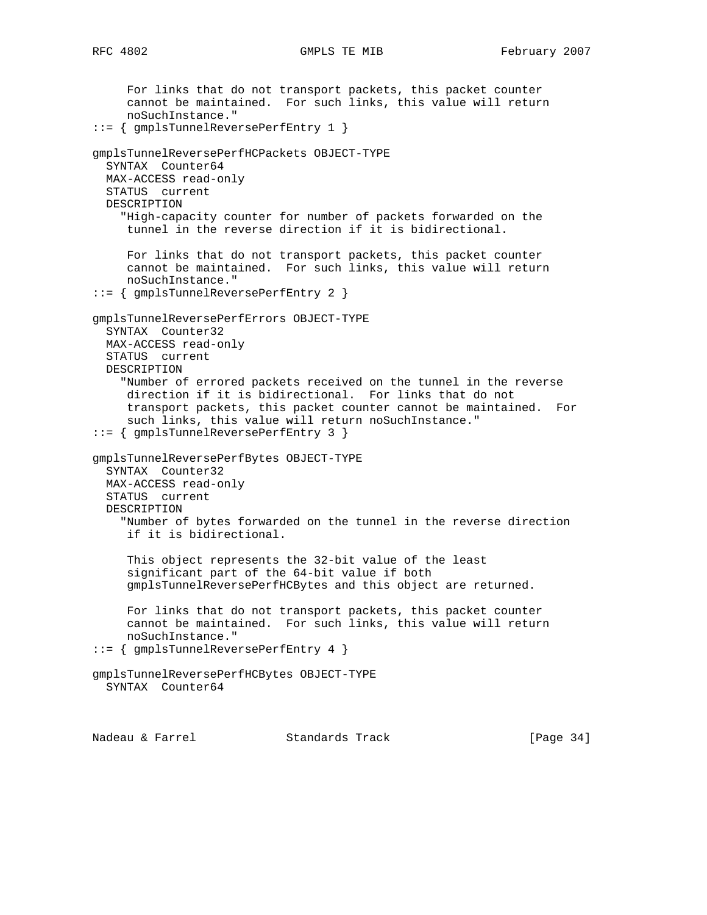For links that do not transport packets, this packet counter cannot be maintained. For such links, this value will return noSuchInstance." ::= { gmplsTunnelReversePerfEntry 1 } gmplsTunnelReversePerfHCPackets OBJECT-TYPE SYNTAX Counter64 MAX-ACCESS read-only STATUS current DESCRIPTION "High-capacity counter for number of packets forwarded on the tunnel in the reverse direction if it is bidirectional. For links that do not transport packets, this packet counter cannot be maintained. For such links, this value will return noSuchInstance." ::= { gmplsTunnelReversePerfEntry 2 } gmplsTunnelReversePerfErrors OBJECT-TYPE SYNTAX Counter32 MAX-ACCESS read-only STATUS current DESCRIPTION "Number of errored packets received on the tunnel in the reverse direction if it is bidirectional. For links that do not transport packets, this packet counter cannot be maintained. For such links, this value will return noSuchInstance." ::= { gmplsTunnelReversePerfEntry 3 } gmplsTunnelReversePerfBytes OBJECT-TYPE SYNTAX Counter32 MAX-ACCESS read-only STATUS current DESCRIPTION "Number of bytes forwarded on the tunnel in the reverse direction if it is bidirectional. This object represents the 32-bit value of the least significant part of the 64-bit value if both gmplsTunnelReversePerfHCBytes and this object are returned. For links that do not transport packets, this packet counter cannot be maintained. For such links, this value will return noSuchInstance." ::= { gmplsTunnelReversePerfEntry 4 } gmplsTunnelReversePerfHCBytes OBJECT-TYPE SYNTAX Counter64

Nadeau & Farrel Standards Track [Page 34]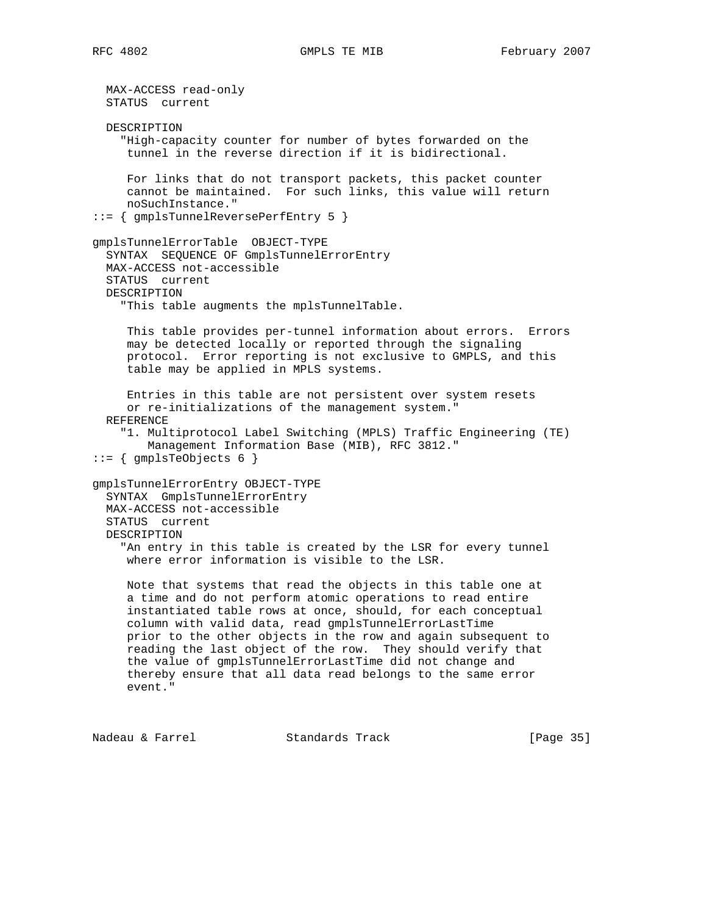MAX-ACCESS read-only STATUS current DESCRIPTION "High-capacity counter for number of bytes forwarded on the tunnel in the reverse direction if it is bidirectional. For links that do not transport packets, this packet counter cannot be maintained. For such links, this value will return noSuchInstance." ::= { gmplsTunnelReversePerfEntry 5 } gmplsTunnelErrorTable OBJECT-TYPE SYNTAX SEQUENCE OF GmplsTunnelErrorEntry MAX-ACCESS not-accessible STATUS current DESCRIPTION "This table augments the mplsTunnelTable. This table provides per-tunnel information about errors. Errors may be detected locally or reported through the signaling protocol. Error reporting is not exclusive to GMPLS, and this table may be applied in MPLS systems. Entries in this table are not persistent over system resets or re-initializations of the management system." REFERENCE "1. Multiprotocol Label Switching (MPLS) Traffic Engineering (TE) Management Information Base (MIB), RFC 3812."  $::=$  { gmplsTeObjects 6 } gmplsTunnelErrorEntry OBJECT-TYPE SYNTAX GmplsTunnelErrorEntry MAX-ACCESS not-accessible STATUS current DESCRIPTION "An entry in this table is created by the LSR for every tunnel where error information is visible to the LSR. Note that systems that read the objects in this table one at a time and do not perform atomic operations to read entire instantiated table rows at once, should, for each conceptual column with valid data, read gmplsTunnelErrorLastTime prior to the other objects in the row and again subsequent to reading the last object of the row. They should verify that the value of gmplsTunnelErrorLastTime did not change and thereby ensure that all data read belongs to the same error event."

Nadeau & Farrel Standards Track [Page 35]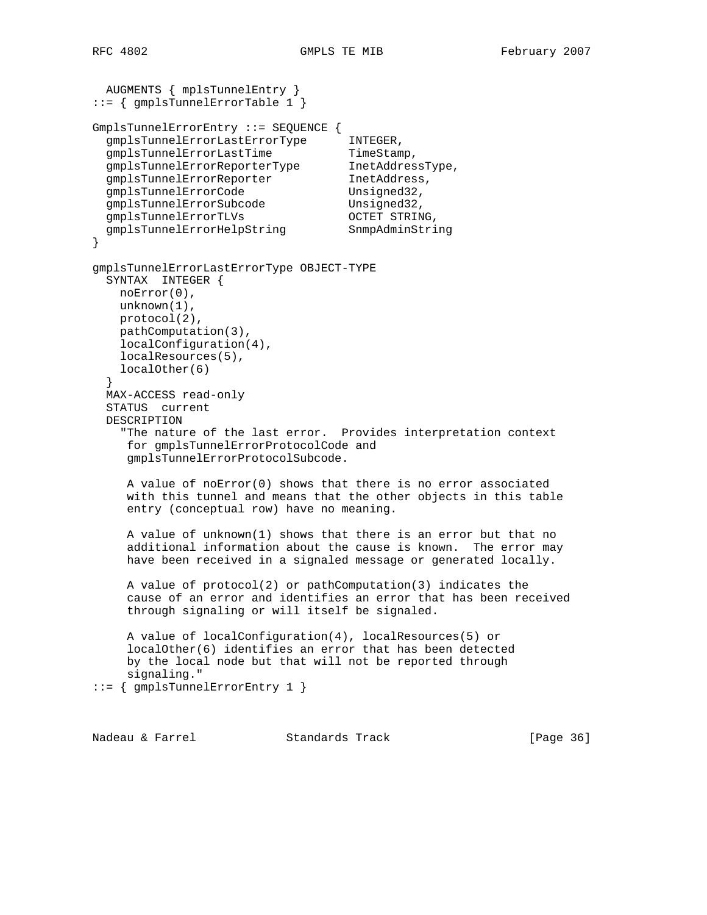```
 AUGMENTS { mplsTunnelEntry }
::= { gmplsTunnelErrorTable 1 }
GmplsTunnelErrorEntry ::= SEQUENCE {
  gmplsTunnelErrorLastErrorType INTEGER,
gmplsTunnelErrorLastTime TimeStamp,
gmplsTunnelErrorReporterType  InetAddressType,
gmplsTunnelErrorReporter 1netAddress,
gmplsTunnelErrorCode Unsigned32,
gmplsTunnelErrorSubcode Unsigned32,
 gmplsTunnelErrorTLVs OCTET STRING,
gmplsTunnelErrorHelpString SnmpAdminString
}
gmplsTunnelErrorLastErrorType OBJECT-TYPE
  SYNTAX INTEGER {
    noError(0),
    unknown(1),
    protocol(2),
    pathComputation(3),
    localConfiguration(4),
    localResources(5),
    localOther(6)
  }
  MAX-ACCESS read-only
  STATUS current
  DESCRIPTION
     "The nature of the last error. Provides interpretation context
     for gmplsTunnelErrorProtocolCode and
     gmplsTunnelErrorProtocolSubcode.
     A value of noError(0) shows that there is no error associated
     with this tunnel and means that the other objects in this table
     entry (conceptual row) have no meaning.
     A value of unknown(1) shows that there is an error but that no
     additional information about the cause is known. The error may
     have been received in a signaled message or generated locally.
     A value of protocol(2) or pathComputation(3) indicates the
     cause of an error and identifies an error that has been received
     through signaling or will itself be signaled.
     A value of localConfiguration(4), localResources(5) or
     localOther(6) identifies an error that has been detected
     by the local node but that will not be reported through
     signaling."
::= { gmplsTunnelErrorEntry 1 }
```
Nadeau & Farrel Standards Track [Page 36]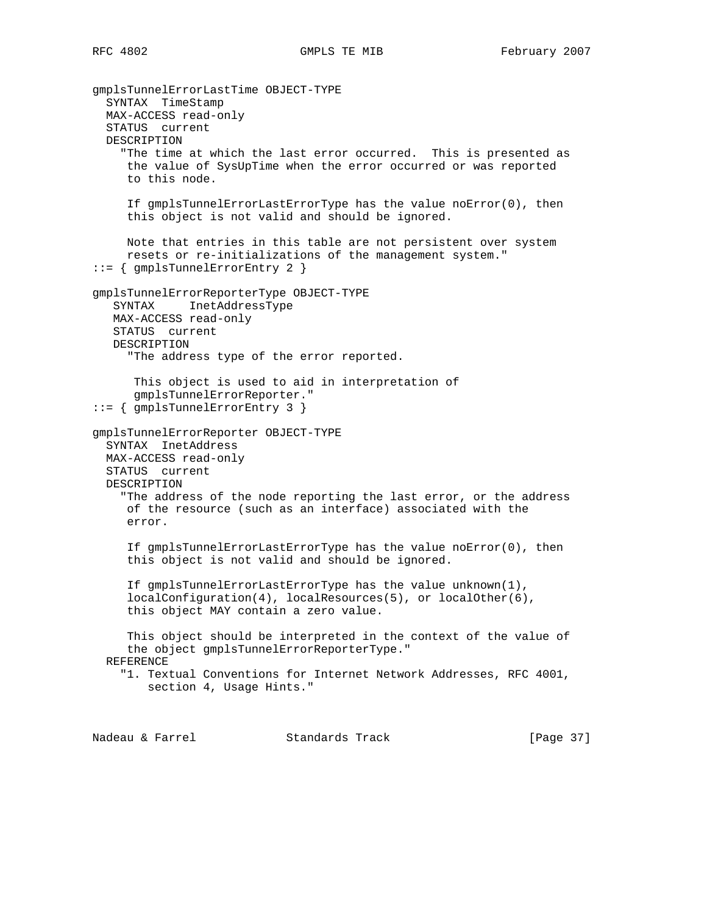gmplsTunnelErrorLastTime OBJECT-TYPE SYNTAX TimeStamp MAX-ACCESS read-only STATUS current DESCRIPTION "The time at which the last error occurred. This is presented as the value of SysUpTime when the error occurred or was reported to this node. If gmplsTunnelErrorLastErrorType has the value noError(0), then this object is not valid and should be ignored. Note that entries in this table are not persistent over system resets or re-initializations of the management system." ::= { gmplsTunnelErrorEntry 2 } gmplsTunnelErrorReporterType OBJECT-TYPE SYNTAX InetAddressType MAX-ACCESS read-only STATUS current DESCRIPTION "The address type of the error reported. This object is used to aid in interpretation of gmplsTunnelErrorReporter." ::= { gmplsTunnelErrorEntry 3 } gmplsTunnelErrorReporter OBJECT-TYPE SYNTAX InetAddress MAX-ACCESS read-only STATUS current DESCRIPTION "The address of the node reporting the last error, or the address of the resource (such as an interface) associated with the error. If gmplsTunnelErrorLastErrorType has the value noError(0), then this object is not valid and should be ignored. If gmplsTunnelErrorLastErrorType has the value unknown(1), localConfiguration(4), localResources(5), or localOther(6), this object MAY contain a zero value. This object should be interpreted in the context of the value of the object gmplsTunnelErrorReporterType." REFERENCE "1. Textual Conventions for Internet Network Addresses, RFC 4001, section 4, Usage Hints."

Nadeau & Farrel Standards Track [Page 37]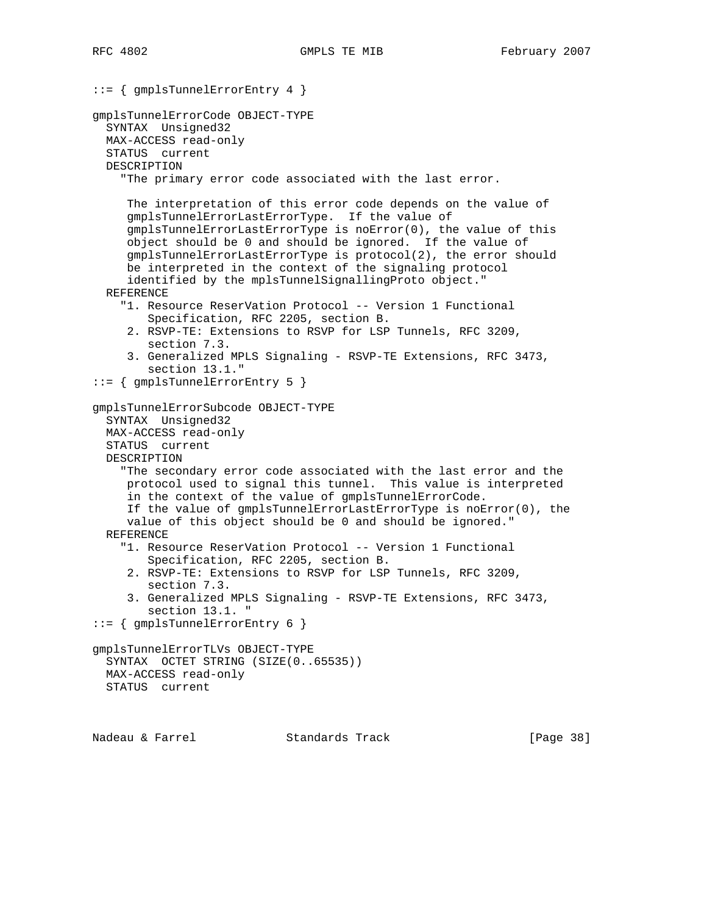```
::= { gmplsTunnelErrorEntry 4 }
gmplsTunnelErrorCode OBJECT-TYPE
  SYNTAX Unsigned32
  MAX-ACCESS read-only
  STATUS current
  DESCRIPTION
     "The primary error code associated with the last error.
      The interpretation of this error code depends on the value of
      gmplsTunnelErrorLastErrorType. If the value of
      gmplsTunnelErrorLastErrorType is noError(0), the value of this
      object should be 0 and should be ignored. If the value of
      gmplsTunnelErrorLastErrorType is protocol(2), the error should
      be interpreted in the context of the signaling protocol
      identified by the mplsTunnelSignallingProto object."
  REFERENCE
     "1. Resource ReserVation Protocol -- Version 1 Functional
         Specification, RFC 2205, section B.
      2. RSVP-TE: Extensions to RSVP for LSP Tunnels, RFC 3209,
         section 7.3.
      3. Generalized MPLS Signaling - RSVP-TE Extensions, RFC 3473,
         section 13.1."
::= { gmplsTunnelErrorEntry 5 }
gmplsTunnelErrorSubcode OBJECT-TYPE
   SYNTAX Unsigned32
  MAX-ACCESS read-only
   STATUS current
  DESCRIPTION
     "The secondary error code associated with the last error and the
     protocol used to signal this tunnel. This value is interpreted
      in the context of the value of gmplsTunnelErrorCode.
      If the value of gmplsTunnelErrorLastErrorType is noError(0), the
      value of this object should be 0 and should be ignored."
  REFERENCE
     "1. Resource ReserVation Protocol -- Version 1 Functional
         Specification, RFC 2205, section B.
      2. RSVP-TE: Extensions to RSVP for LSP Tunnels, RFC 3209,
         section 7.3.
      3. Generalized MPLS Signaling - RSVP-TE Extensions, RFC 3473,
        section 13.1. "
::= { gmplsTunnelErrorEntry 6 }
gmplsTunnelErrorTLVs OBJECT-TYPE
   SYNTAX OCTET STRING (SIZE(0..65535))
  MAX-ACCESS read-only
  STATUS current
```
Nadeau & Farrel Standards Track [Page 38]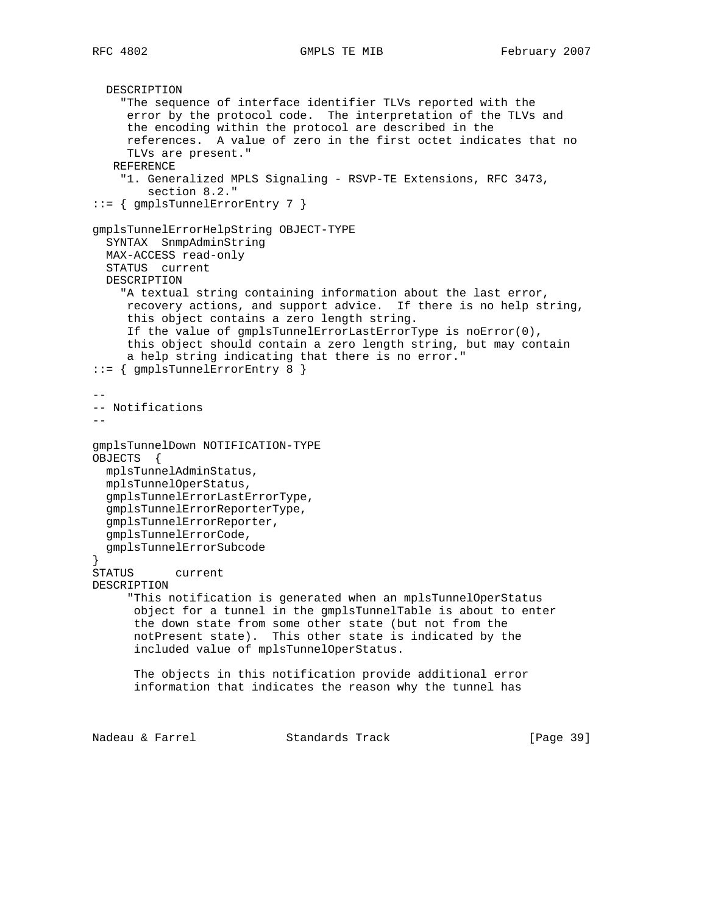```
 DESCRIPTION
     "The sequence of interface identifier TLVs reported with the
     error by the protocol code. The interpretation of the TLVs and
      the encoding within the protocol are described in the
      references. A value of zero in the first octet indicates that no
      TLVs are present."
    REFERENCE
     "1. Generalized MPLS Signaling - RSVP-TE Extensions, RFC 3473,
         section 8.2."
::= { gmplsTunnelErrorEntry 7 }
gmplsTunnelErrorHelpString OBJECT-TYPE
   SYNTAX SnmpAdminString
   MAX-ACCESS read-only
   STATUS current
   DESCRIPTION
     "A textual string containing information about the last error,
     recovery actions, and support advice. If there is no help string,
      this object contains a zero length string.
      If the value of gmplsTunnelErrorLastErrorType is noError(0),
      this object should contain a zero length string, but may contain
      a help string indicating that there is no error."
::= { gmplsTunnelErrorEntry 8 }
--
-- Notifications
-gmplsTunnelDown NOTIFICATION-TYPE
OBJECTS {
  mplsTunnelAdminStatus,
  mplsTunnelOperStatus,
   gmplsTunnelErrorLastErrorType,
   gmplsTunnelErrorReporterType,
  gmplsTunnelErrorReporter,
   gmplsTunnelErrorCode,
   gmplsTunnelErrorSubcode
}
STATUS current
DESCRIPTION
      "This notification is generated when an mplsTunnelOperStatus
       object for a tunnel in the gmplsTunnelTable is about to enter
       the down state from some other state (but not from the
       notPresent state). This other state is indicated by the
       included value of mplsTunnelOperStatus.
       The objects in this notification provide additional error
       information that indicates the reason why the tunnel has
Nadeau & Farrel Standards Track [Page 39]
```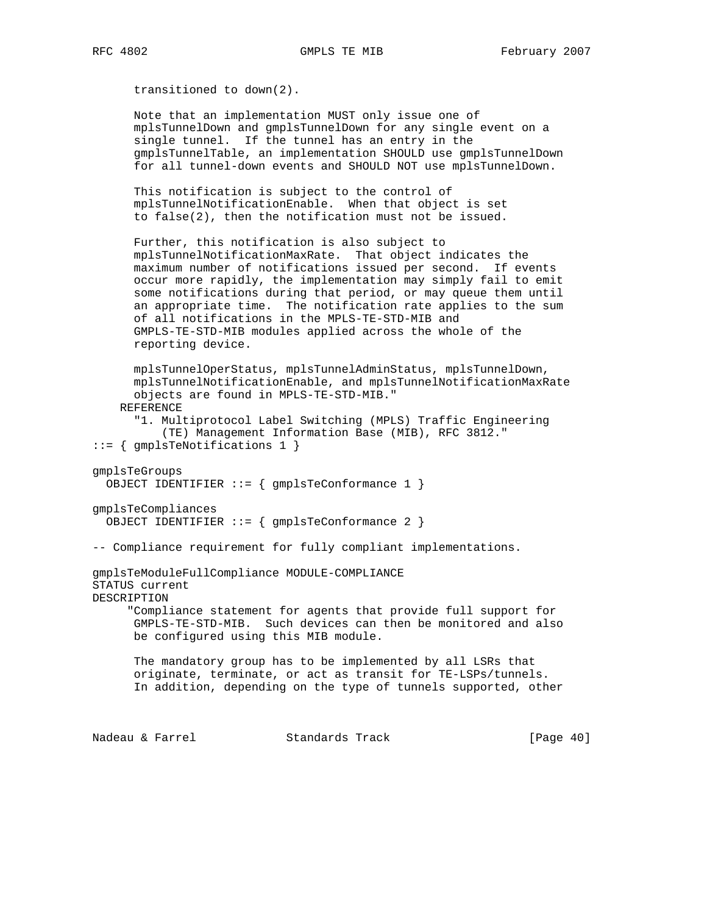transitioned to down(2).

 Note that an implementation MUST only issue one of mplsTunnelDown and gmplsTunnelDown for any single event on a single tunnel. If the tunnel has an entry in the gmplsTunnelTable, an implementation SHOULD use gmplsTunnelDown for all tunnel-down events and SHOULD NOT use mplsTunnelDown.

 This notification is subject to the control of mplsTunnelNotificationEnable. When that object is set to false(2), then the notification must not be issued.

 Further, this notification is also subject to mplsTunnelNotificationMaxRate. That object indicates the maximum number of notifications issued per second. If events occur more rapidly, the implementation may simply fail to emit some notifications during that period, or may queue them until an appropriate time. The notification rate applies to the sum of all notifications in the MPLS-TE-STD-MIB and GMPLS-TE-STD-MIB modules applied across the whole of the reporting device.

 mplsTunnelOperStatus, mplsTunnelAdminStatus, mplsTunnelDown, mplsTunnelNotificationEnable, and mplsTunnelNotificationMaxRate objects are found in MPLS-TE-STD-MIB." REFERENCE

 "1. Multiprotocol Label Switching (MPLS) Traffic Engineering (TE) Management Information Base (MIB), RFC 3812." ::= { gmplsTeNotifications 1 }

```
gmplsTeGroups
```
OBJECT IDENTIFIER ::= { gmplsTeConformance 1 }

```
gmplsTeCompliances
  OBJECT IDENTIFIER ::= { gmplsTeConformance 2 }
```
-- Compliance requirement for fully compliant implementations.

gmplsTeModuleFullCompliance MODULE-COMPLIANCE STATUS current DESCRIPTION

> "Compliance statement for agents that provide full support for GMPLS-TE-STD-MIB. Such devices can then be monitored and also be configured using this MIB module.

 The mandatory group has to be implemented by all LSRs that originate, terminate, or act as transit for TE-LSPs/tunnels. In addition, depending on the type of tunnels supported, other

Nadeau & Farrel Standards Track [Page 40]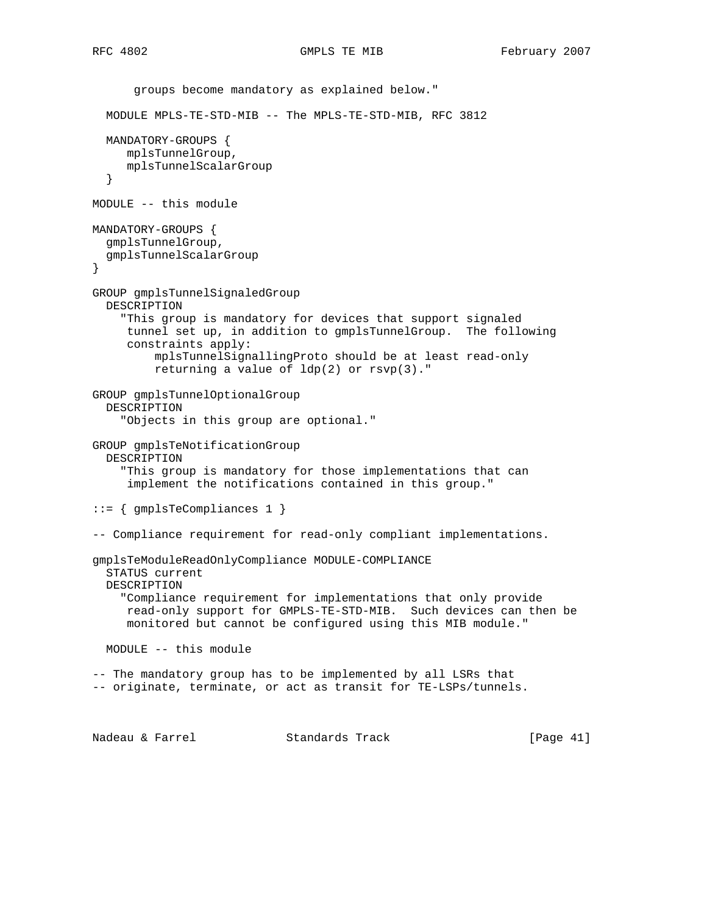```
 groups become mandatory as explained below."
   MODULE MPLS-TE-STD-MIB -- The MPLS-TE-STD-MIB, RFC 3812
   MANDATORY-GROUPS {
     mplsTunnelGroup,
     mplsTunnelScalarGroup
   }
MODULE -- this module
MANDATORY-GROUPS {
   gmplsTunnelGroup,
   gmplsTunnelScalarGroup
}
GROUP gmplsTunnelSignaledGroup
   DESCRIPTION
     "This group is mandatory for devices that support signaled
     tunnel set up, in addition to gmplsTunnelGroup. The following
      constraints apply:
          mplsTunnelSignallingProto should be at least read-only
         returning a value of ldp(2) or rsvp(3)."
GROUP gmplsTunnelOptionalGroup
   DESCRIPTION
     "Objects in this group are optional."
GROUP gmplsTeNotificationGroup
   DESCRIPTION
     "This group is mandatory for those implementations that can
      implement the notifications contained in this group."
::= { gmplsTeCompliances 1 }
-- Compliance requirement for read-only compliant implementations.
gmplsTeModuleReadOnlyCompliance MODULE-COMPLIANCE
   STATUS current
   DESCRIPTION
     "Compliance requirement for implementations that only provide
      read-only support for GMPLS-TE-STD-MIB. Such devices can then be
      monitored but cannot be configured using this MIB module."
   MODULE -- this module
-- The mandatory group has to be implemented by all LSRs that
-- originate, terminate, or act as transit for TE-LSPs/tunnels.
```
Nadeau & Farrel Standards Track [Page 41]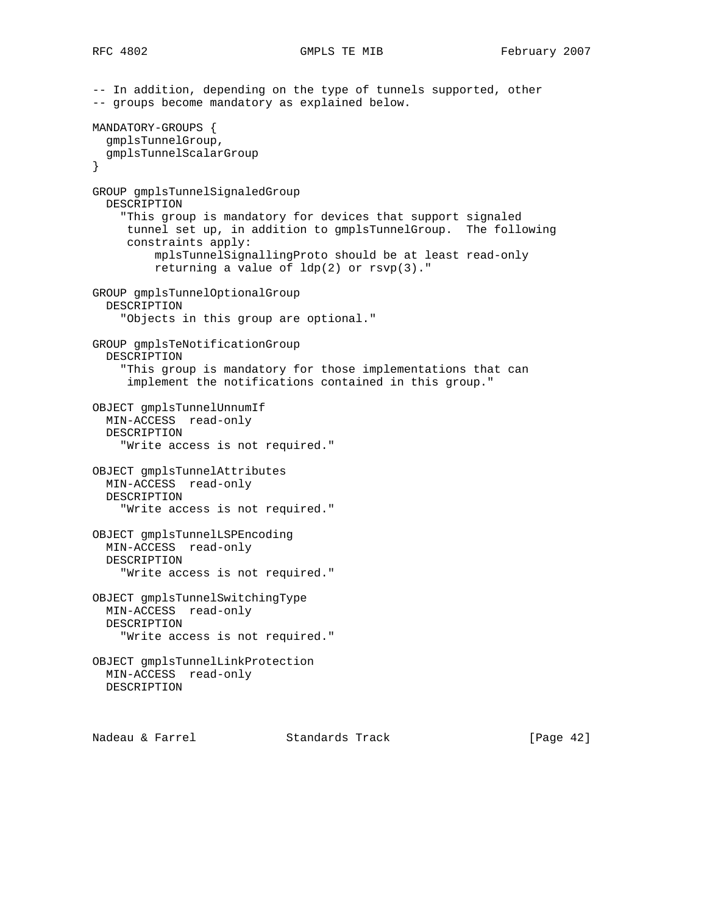```
-- In addition, depending on the type of tunnels supported, other
-- groups become mandatory as explained below.
MANDATORY-GROUPS {
   gmplsTunnelGroup,
   gmplsTunnelScalarGroup
}
GROUP gmplsTunnelSignaledGroup
   DESCRIPTION
     "This group is mandatory for devices that support signaled
     tunnel set up, in addition to gmplsTunnelGroup. The following
      constraints apply:
          mplsTunnelSignallingProto should be at least read-only
         returning a value of ldp(2) or rsvp(3)."
GROUP gmplsTunnelOptionalGroup
  DESCRIPTION
     "Objects in this group are optional."
GROUP gmplsTeNotificationGroup
   DESCRIPTION
     "This group is mandatory for those implementations that can
      implement the notifications contained in this group."
OBJECT gmplsTunnelUnnumIf
   MIN-ACCESS read-only
   DESCRIPTION
     "Write access is not required."
OBJECT gmplsTunnelAttributes
  MIN-ACCESS read-only
   DESCRIPTION
     "Write access is not required."
OBJECT gmplsTunnelLSPEncoding
   MIN-ACCESS read-only
   DESCRIPTION
     "Write access is not required."
OBJECT gmplsTunnelSwitchingType
  MIN-ACCESS read-only
  DESCRIPTION
     "Write access is not required."
OBJECT gmplsTunnelLinkProtection
  MIN-ACCESS read-only
  DESCRIPTION
```
Nadeau & Farrel Standards Track [Page 42]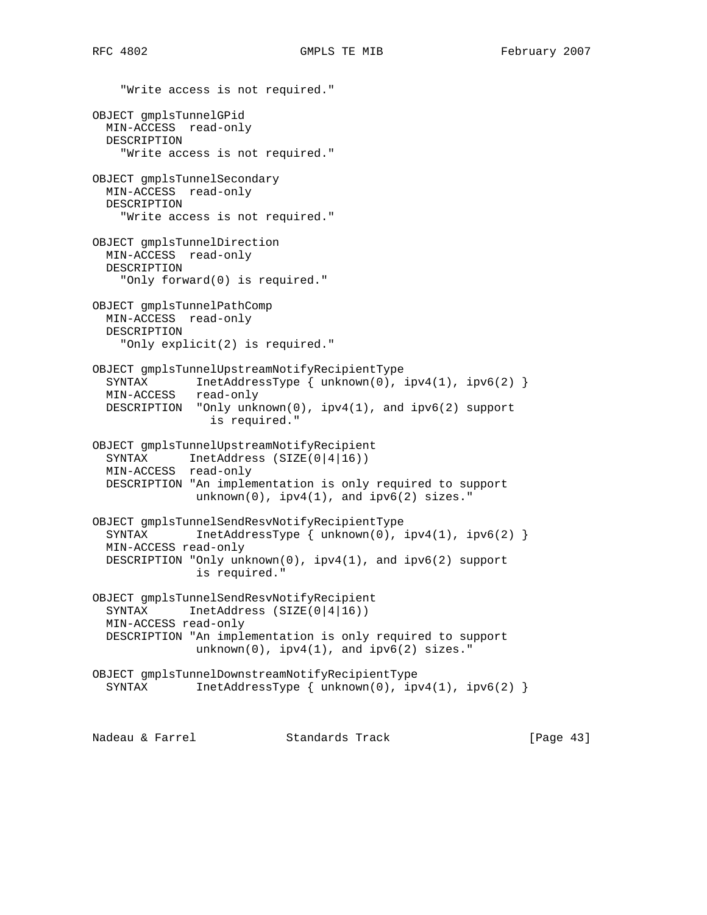"Write access is not required." OBJECT gmplsTunnelGPid MIN-ACCESS read-only DESCRIPTION "Write access is not required." OBJECT gmplsTunnelSecondary MIN-ACCESS read-only DESCRIPTION "Write access is not required." OBJECT gmplsTunnelDirection MIN-ACCESS read-only DESCRIPTION "Only forward(0) is required." OBJECT gmplsTunnelPathComp MIN-ACCESS read-only DESCRIPTION "Only explicit(2) is required." OBJECT gmplsTunnelUpstreamNotifyRecipientType SYNTAX InetAddressType { unknown(0), ipv4(1), ipv6(2) } MIN-ACCESS read-only DESCRIPTION "Only unknown(0), ipv4(1), and ipv6(2) support is required." OBJECT gmplsTunnelUpstreamNotifyRecipient SYNTAX InetAddress (SIZE(0|4|16)) MIN-ACCESS read-only DESCRIPTION "An implementation is only required to support  $unknown(0)$ ,  $ipv4(1)$ , and  $ipv6(2)$  sizes." OBJECT gmplsTunnelSendResvNotifyRecipientType SYNTAX InetAddressType { unknown(0), ipv4(1), ipv6(2) } MIN-ACCESS read-only DESCRIPTION "Only unknown(0), ipv4(1), and ipv6(2) support is required." OBJECT gmplsTunnelSendResvNotifyRecipient SYNTAX InetAddress (SIZE(0|4|16)) MIN-ACCESS read-only DESCRIPTION "An implementation is only required to support  $unknown(0)$ ,  $ipv4(1)$ , and  $ipv6(2)$  sizes." OBJECT gmplsTunnelDownstreamNotifyRecipientType<br>SYNTAX InetAddressType { unknown(0), ip InetAddressType { unknown(0),  $ipv4(1)$ ,  $ipv6(2)$  } Nadeau & Farrel Standards Track [Page 43]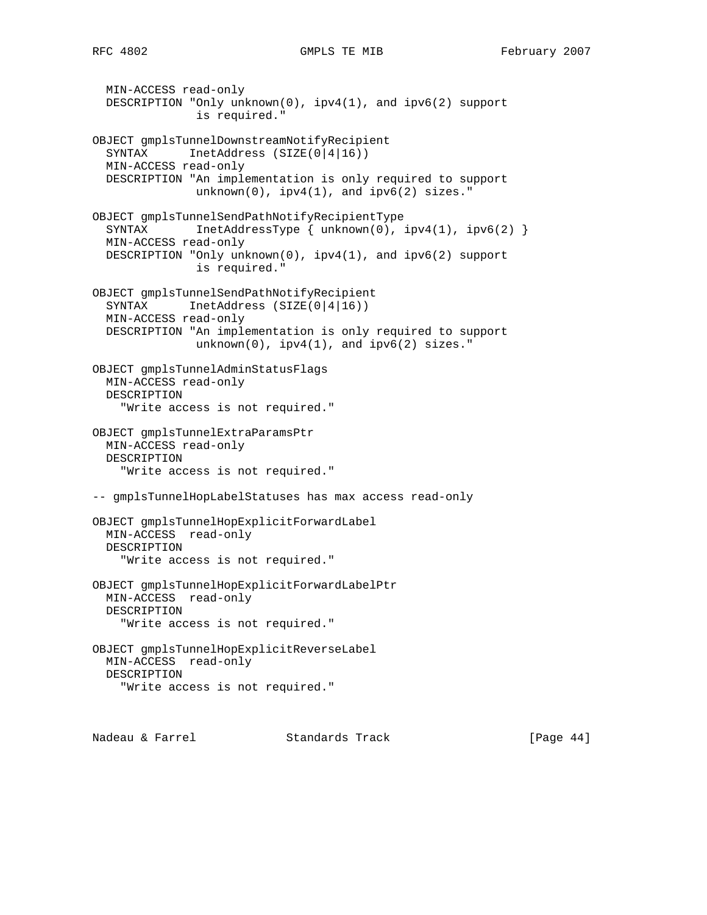MIN-ACCESS read-only DESCRIPTION "Only unknown(0), ipv4(1), and ipv6(2) support is required." OBJECT gmplsTunnelDownstreamNotifyRecipient SYNTAX InetAddress (SIZE(0|4|16)) MIN-ACCESS read-only DESCRIPTION "An implementation is only required to support  $unknown(0)$ ,  $ipv4(1)$ , and  $ipv6(2)$  sizes." OBJECT gmplsTunnelSendPathNotifyRecipientType SYNTAX InetAddressType { unknown(0), ipv4(1), ipv6(2) } MIN-ACCESS read-only DESCRIPTION "Only unknown(0), ipv4(1), and ipv6(2) support is required." OBJECT gmplsTunnelSendPathNotifyRecipient SYNTAX InetAddress (SIZE(0|4|16)) MIN-ACCESS read-only DESCRIPTION "An implementation is only required to support  $unknown(0)$ ,  $ipv4(1)$ , and  $ipv6(2)$  sizes." OBJECT gmplsTunnelAdminStatusFlags MIN-ACCESS read-only DESCRIPTION "Write access is not required." OBJECT gmplsTunnelExtraParamsPtr MIN-ACCESS read-only DESCRIPTION "Write access is not required." -- gmplsTunnelHopLabelStatuses has max access read-only OBJECT gmplsTunnelHopExplicitForwardLabel MIN-ACCESS read-only DESCRIPTION "Write access is not required." OBJECT gmplsTunnelHopExplicitForwardLabelPtr MIN-ACCESS read-only DESCRIPTION "Write access is not required." OBJECT gmplsTunnelHopExplicitReverseLabel MIN-ACCESS read-only DESCRIPTION "Write access is not required."

Nadeau & Farrel Standards Track [Page 44]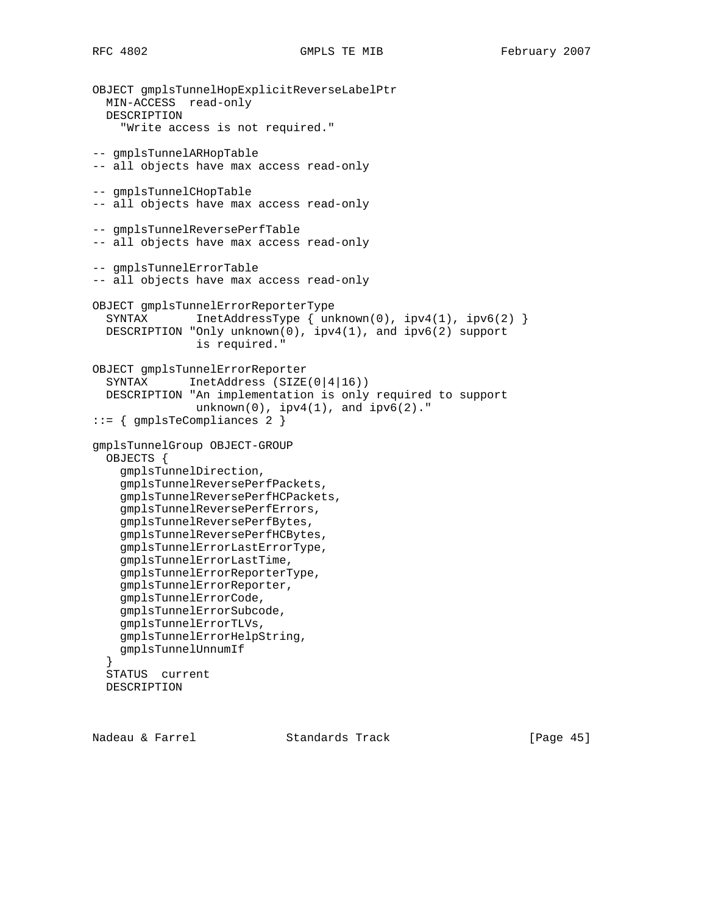```
OBJECT gmplsTunnelHopExplicitReverseLabelPtr
  MIN-ACCESS read-only
  DESCRIPTION
     "Write access is not required."
-- gmplsTunnelARHopTable
-- all objects have max access read-only
-- gmplsTunnelCHopTable
-- all objects have max access read-only
-- gmplsTunnelReversePerfTable
-- all objects have max access read-only
-- gmplsTunnelErrorTable
-- all objects have max access read-only
OBJECT gmplsTunnelErrorReporterType
  SYNTAX InetAddressType { unknown(0), ipv4(1), ipv6(2) }
   DESCRIPTION "Only unknown(0), ipv4(1), and ipv6(2) support
                is required."
OBJECT gmplsTunnelErrorReporter
   SYNTAX InetAddress (SIZE(0|4|16))
  DESCRIPTION "An implementation is only required to support
               unknown(0), ipv4(1), and ipv6(2)."
::= { gmplsTeCompliances 2 }
gmplsTunnelGroup OBJECT-GROUP
   OBJECTS {
     gmplsTunnelDirection,
     gmplsTunnelReversePerfPackets,
     gmplsTunnelReversePerfHCPackets,
     gmplsTunnelReversePerfErrors,
     gmplsTunnelReversePerfBytes,
     gmplsTunnelReversePerfHCBytes,
     gmplsTunnelErrorLastErrorType,
     gmplsTunnelErrorLastTime,
     gmplsTunnelErrorReporterType,
     gmplsTunnelErrorReporter,
     gmplsTunnelErrorCode,
     gmplsTunnelErrorSubcode,
     gmplsTunnelErrorTLVs,
     gmplsTunnelErrorHelpString,
     gmplsTunnelUnnumIf
   }
   STATUS current
   DESCRIPTION
```
Nadeau & Farrel Standards Track [Page 45]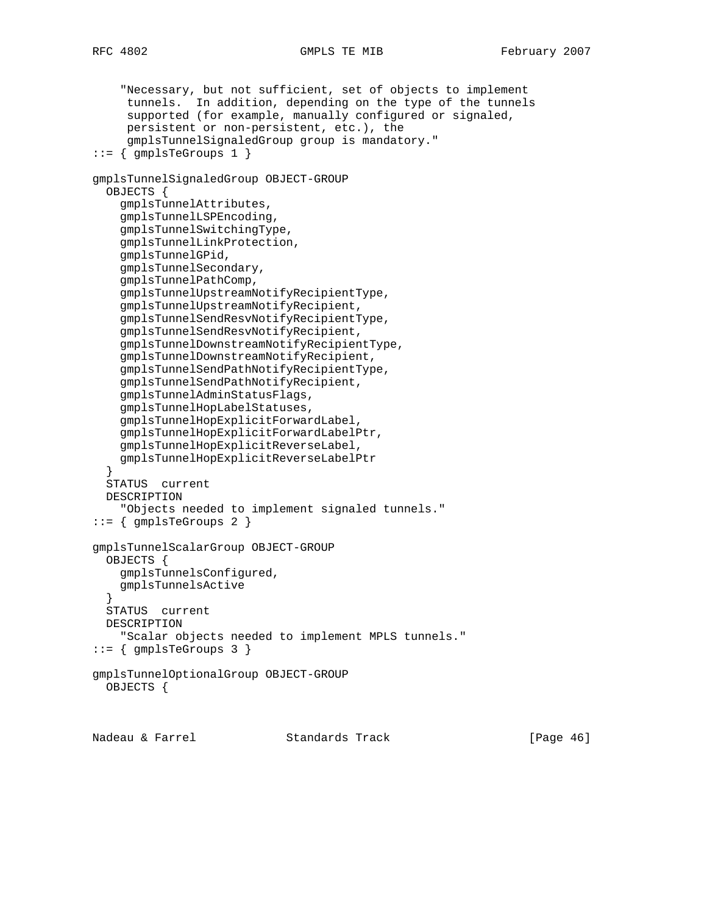```
 "Necessary, but not sufficient, set of objects to implement
      tunnels. In addition, depending on the type of the tunnels
      supported (for example, manually configured or signaled,
      persistent or non-persistent, etc.), the
      gmplsTunnelSignaledGroup group is mandatory."
::= { gmplsTeGroups 1 }
gmplsTunnelSignaledGroup OBJECT-GROUP
   OBJECTS {
     gmplsTunnelAttributes,
     gmplsTunnelLSPEncoding,
     gmplsTunnelSwitchingType,
     gmplsTunnelLinkProtection,
     gmplsTunnelGPid,
     gmplsTunnelSecondary,
     gmplsTunnelPathComp,
     gmplsTunnelUpstreamNotifyRecipientType,
     gmplsTunnelUpstreamNotifyRecipient,
     gmplsTunnelSendResvNotifyRecipientType,
     gmplsTunnelSendResvNotifyRecipient,
     gmplsTunnelDownstreamNotifyRecipientType,
     gmplsTunnelDownstreamNotifyRecipient,
     gmplsTunnelSendPathNotifyRecipientType,
     gmplsTunnelSendPathNotifyRecipient,
     gmplsTunnelAdminStatusFlags,
     gmplsTunnelHopLabelStatuses,
     gmplsTunnelHopExplicitForwardLabel,
     gmplsTunnelHopExplicitForwardLabelPtr,
     gmplsTunnelHopExplicitReverseLabel,
     gmplsTunnelHopExplicitReverseLabelPtr
 }
   STATUS current
   DESCRIPTION
     "Objects needed to implement signaled tunnels."
::= { gmplsTeGroups 2 }
gmplsTunnelScalarGroup OBJECT-GROUP
   OBJECTS {
     gmplsTunnelsConfigured,
     gmplsTunnelsActive
 }
   STATUS current
  DESCRIPTION
     "Scalar objects needed to implement MPLS tunnels."
::= { gmplsTeGroups 3 }
gmplsTunnelOptionalGroup OBJECT-GROUP
  OBJECTS {
```
Nadeau & Farrel Standards Track [Page 46]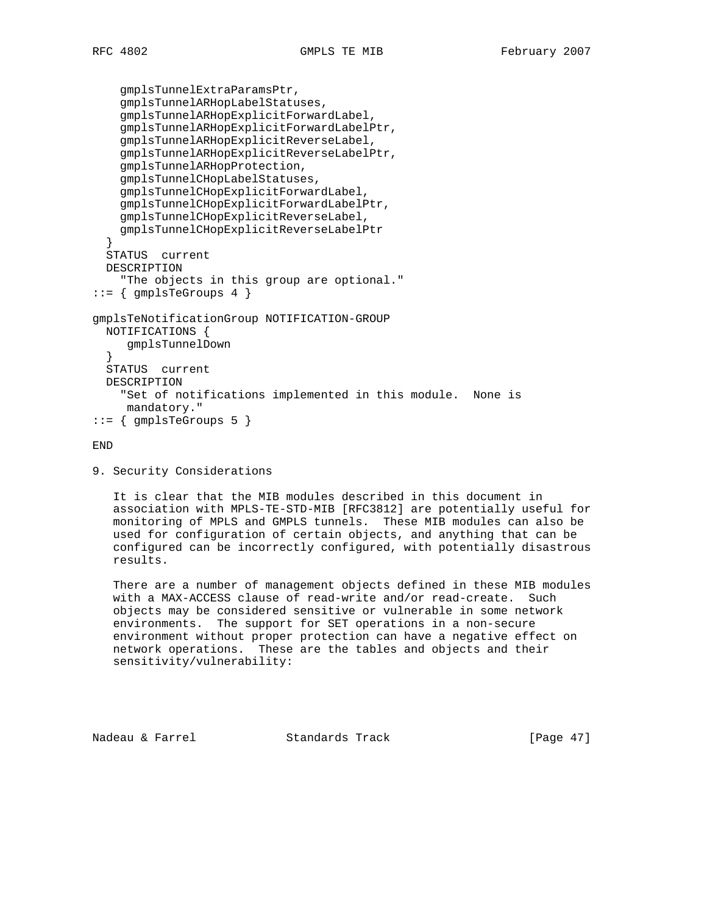```
 gmplsTunnelExtraParamsPtr,
     gmplsTunnelARHopLabelStatuses,
     gmplsTunnelARHopExplicitForwardLabel,
     gmplsTunnelARHopExplicitForwardLabelPtr,
     gmplsTunnelARHopExplicitReverseLabel,
     gmplsTunnelARHopExplicitReverseLabelPtr,
     gmplsTunnelARHopProtection,
     gmplsTunnelCHopLabelStatuses,
     gmplsTunnelCHopExplicitForwardLabel,
     gmplsTunnelCHopExplicitForwardLabelPtr,
     gmplsTunnelCHopExplicitReverseLabel,
     gmplsTunnelCHopExplicitReverseLabelPtr
 }
   STATUS current
   DESCRIPTION
     "The objects in this group are optional."
::= { gmplsTeGroups 4 }
gmplsTeNotificationGroup NOTIFICATION-GROUP
  NOTIFICATIONS {
      gmplsTunnelDown
   }
  STATUS current
  DESCRIPTION
     "Set of notifications implemented in this module. None is
      mandatory."
::= { gmplsTeGroups 5 }
```
END

```
9. Security Considerations
```
 It is clear that the MIB modules described in this document in association with MPLS-TE-STD-MIB [RFC3812] are potentially useful for monitoring of MPLS and GMPLS tunnels. These MIB modules can also be used for configuration of certain objects, and anything that can be configured can be incorrectly configured, with potentially disastrous results.

 There are a number of management objects defined in these MIB modules with a MAX-ACCESS clause of read-write and/or read-create. Such objects may be considered sensitive or vulnerable in some network environments. The support for SET operations in a non-secure environment without proper protection can have a negative effect on network operations. These are the tables and objects and their sensitivity/vulnerability:

Nadeau & Farrel Standards Track [Page 47]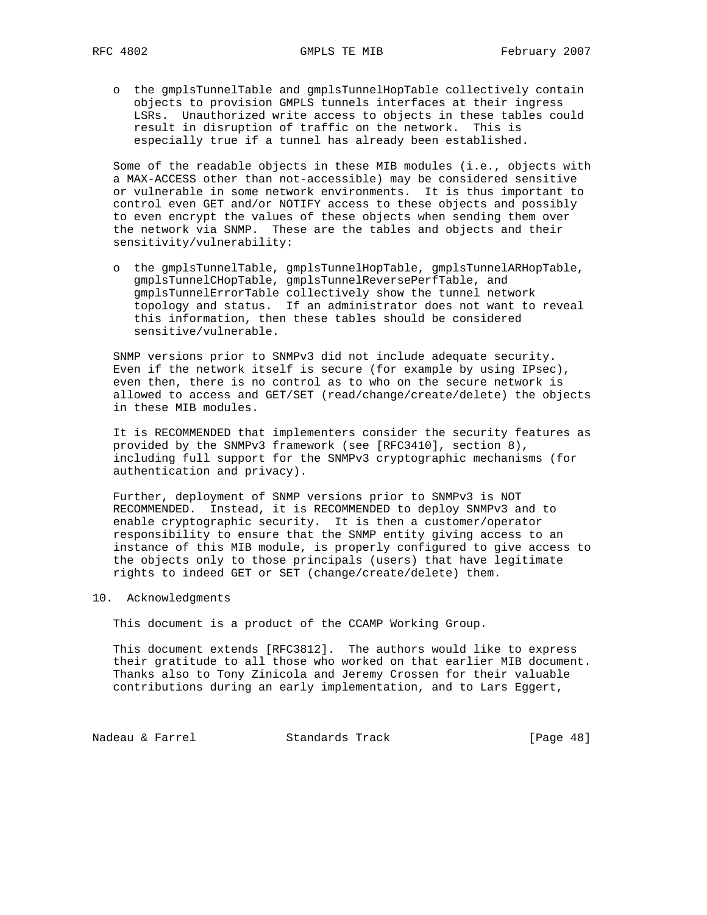o the gmplsTunnelTable and gmplsTunnelHopTable collectively contain objects to provision GMPLS tunnels interfaces at their ingress LSRs. Unauthorized write access to objects in these tables could result in disruption of traffic on the network. This is especially true if a tunnel has already been established.

 Some of the readable objects in these MIB modules (i.e., objects with a MAX-ACCESS other than not-accessible) may be considered sensitive or vulnerable in some network environments. It is thus important to control even GET and/or NOTIFY access to these objects and possibly to even encrypt the values of these objects when sending them over the network via SNMP. These are the tables and objects and their sensitivity/vulnerability:

 o the gmplsTunnelTable, gmplsTunnelHopTable, gmplsTunnelARHopTable, gmplsTunnelCHopTable, gmplsTunnelReversePerfTable, and gmplsTunnelErrorTable collectively show the tunnel network topology and status. If an administrator does not want to reveal this information, then these tables should be considered sensitive/vulnerable.

 SNMP versions prior to SNMPv3 did not include adequate security. Even if the network itself is secure (for example by using IPsec), even then, there is no control as to who on the secure network is allowed to access and GET/SET (read/change/create/delete) the objects in these MIB modules.

 It is RECOMMENDED that implementers consider the security features as provided by the SNMPv3 framework (see [RFC3410], section 8), including full support for the SNMPv3 cryptographic mechanisms (for authentication and privacy).

 Further, deployment of SNMP versions prior to SNMPv3 is NOT RECOMMENDED. Instead, it is RECOMMENDED to deploy SNMPv3 and to enable cryptographic security. It is then a customer/operator responsibility to ensure that the SNMP entity giving access to an instance of this MIB module, is properly configured to give access to the objects only to those principals (users) that have legitimate rights to indeed GET or SET (change/create/delete) them.

10. Acknowledgments

This document is a product of the CCAMP Working Group.

 This document extends [RFC3812]. The authors would like to express their gratitude to all those who worked on that earlier MIB document. Thanks also to Tony Zinicola and Jeremy Crossen for their valuable contributions during an early implementation, and to Lars Eggert,

Nadeau & Farrel **Standards Track** [Page 48]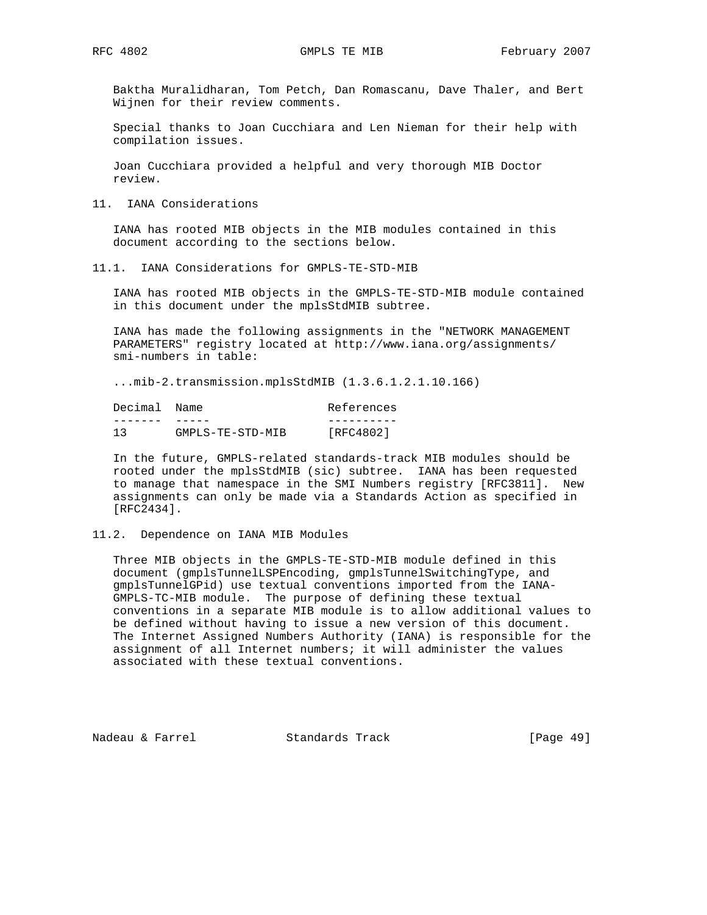Baktha Muralidharan, Tom Petch, Dan Romascanu, Dave Thaler, and Bert Wijnen for their review comments.

 Special thanks to Joan Cucchiara and Len Nieman for their help with compilation issues.

 Joan Cucchiara provided a helpful and very thorough MIB Doctor review.

11. IANA Considerations

 IANA has rooted MIB objects in the MIB modules contained in this document according to the sections below.

11.1. IANA Considerations for GMPLS-TE-STD-MIB

 IANA has rooted MIB objects in the GMPLS-TE-STD-MIB module contained in this document under the mplsStdMIB subtree.

 IANA has made the following assignments in the "NETWORK MANAGEMENT PARAMETERS" registry located at http://www.iana.org/assignments/ smi-numbers in table:

...mib-2.transmission.mplsStdMIB (1.3.6.1.2.1.10.166)

| Decimal Name |                  | References |
|--------------|------------------|------------|
|              |                  |            |
| 13           | GMPLS-TE-STD-MIB | [RFC4802]  |

 In the future, GMPLS-related standards-track MIB modules should be rooted under the mplsStdMIB (sic) subtree. IANA has been requested to manage that namespace in the SMI Numbers registry [RFC3811]. New assignments can only be made via a Standards Action as specified in [RFC2434].

# 11.2. Dependence on IANA MIB Modules

 Three MIB objects in the GMPLS-TE-STD-MIB module defined in this document (gmplsTunnelLSPEncoding, gmplsTunnelSwitchingType, and gmplsTunnelGPid) use textual conventions imported from the IANA- GMPLS-TC-MIB module. The purpose of defining these textual conventions in a separate MIB module is to allow additional values to be defined without having to issue a new version of this document. The Internet Assigned Numbers Authority (IANA) is responsible for the assignment of all Internet numbers; it will administer the values associated with these textual conventions.

Nadeau & Farrel Standards Track [Page 49]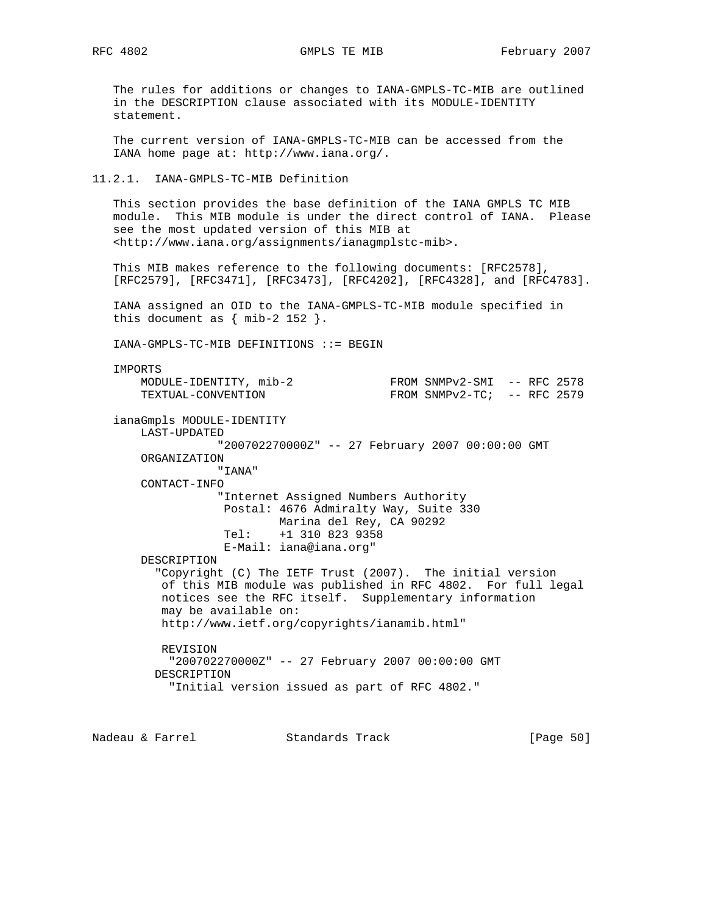The rules for additions or changes to IANA-GMPLS-TC-MIB are outlined in the DESCRIPTION clause associated with its MODULE-IDENTITY statement.

 The current version of IANA-GMPLS-TC-MIB can be accessed from the IANA home page at: http://www.iana.org/.

#### 11.2.1. IANA-GMPLS-TC-MIB Definition

 This section provides the base definition of the IANA GMPLS TC MIB module. This MIB module is under the direct control of IANA. Please see the most updated version of this MIB at <http://www.iana.org/assignments/ianagmplstc-mib>.

 This MIB makes reference to the following documents: [RFC2578], [RFC2579], [RFC3471], [RFC3473], [RFC4202], [RFC4328], and [RFC4783].

 IANA assigned an OID to the IANA-GMPLS-TC-MIB module specified in this document as  $\{ \text{min-2 152 } \}.$ 

IANA-GMPLS-TC-MIB DEFINITIONS ::= BEGIN

IMPORTS

MODULE-IDENTITY, mib-2 FROM SNMPv2-SMI -- RFC 2578 TEXTUAL-CONVENTION FROM SNMPv2-TC; -- RFC 2579 ianaGmpls MODULE-IDENTITY LAST-UPDATED "200702270000Z" -- 27 February 2007 00:00:00 GMT ORGANIZATION "IANA" CONTACT-INFO "Internet Assigned Numbers Authority Postal: 4676 Admiralty Way, Suite 330 Marina del Rey, CA 90292<br>Tel: +1 310 823 9358 Tel: +1 310 823 9358 E-Mail: iana@iana.org" DESCRIPTION "Copyright (C) The IETF Trust (2007). The initial version of this MIB module was published in RFC 4802. For full legal notices see the RFC itself. Supplementary information may be available on: http://www.ietf.org/copyrights/ianamib.html" REVISION "200702270000Z" -- 27 February 2007 00:00:00 GMT DESCRIPTION "Initial version issued as part of RFC 4802."

Nadeau & Farrel Standards Track [Page 50]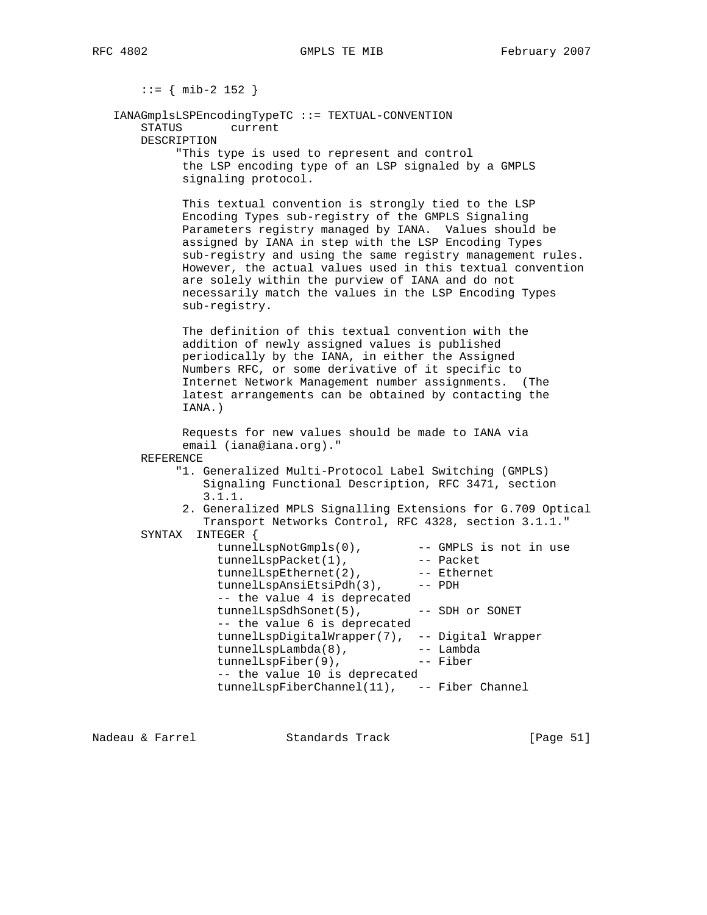::= { mib-2 152 } IANAGmplsLSPEncodingTypeTC ::= TEXTUAL-CONVENTION STATUS current DESCRIPTION "This type is used to represent and control the LSP encoding type of an LSP signaled by a GMPLS signaling protocol. This textual convention is strongly tied to the LSP Encoding Types sub-registry of the GMPLS Signaling Parameters registry managed by IANA. Values should be assigned by IANA in step with the LSP Encoding Types sub-registry and using the same registry management rules. However, the actual values used in this textual convention are solely within the purview of IANA and do not necessarily match the values in the LSP Encoding Types sub-registry. The definition of this textual convention with the addition of newly assigned values is published periodically by the IANA, in either the Assigned Numbers RFC, or some derivative of it specific to Internet Network Management number assignments. (The latest arrangements can be obtained by contacting the IANA.) Requests for new values should be made to IANA via email (iana@iana.org)." REFERENCE "1. Generalized Multi-Protocol Label Switching (GMPLS) Signaling Functional Description, RFC 3471, section 3.1.1. 2. Generalized MPLS Signalling Extensions for G.709 Optical Transport Networks Control, RFC 4328, section 3.1.1." SYNTAX INTEGER { tunnelLspNotGmpls(0), -- GMPLS is not in use tunnelLspPacket(1), -- Packet tunnelLspEthernet(2), -- Ethernet tunnelLspAnsiEtsiPdh(3), -- PDH -- the value 4 is deprecated tunnelLspSdhSonet(5), -- SDH or SONET -- the value 6 is deprecated tunnelLspDigitalWrapper(7), -- Digital Wrapper tunnelLspLambda(8), -- Lambda tunnelLspFiber(9), -- Fiber -- the value 10 is deprecated tunnelLspFiberChannel(11), -- Fiber Channel

Nadeau & Farrel Standards Track [Page 51]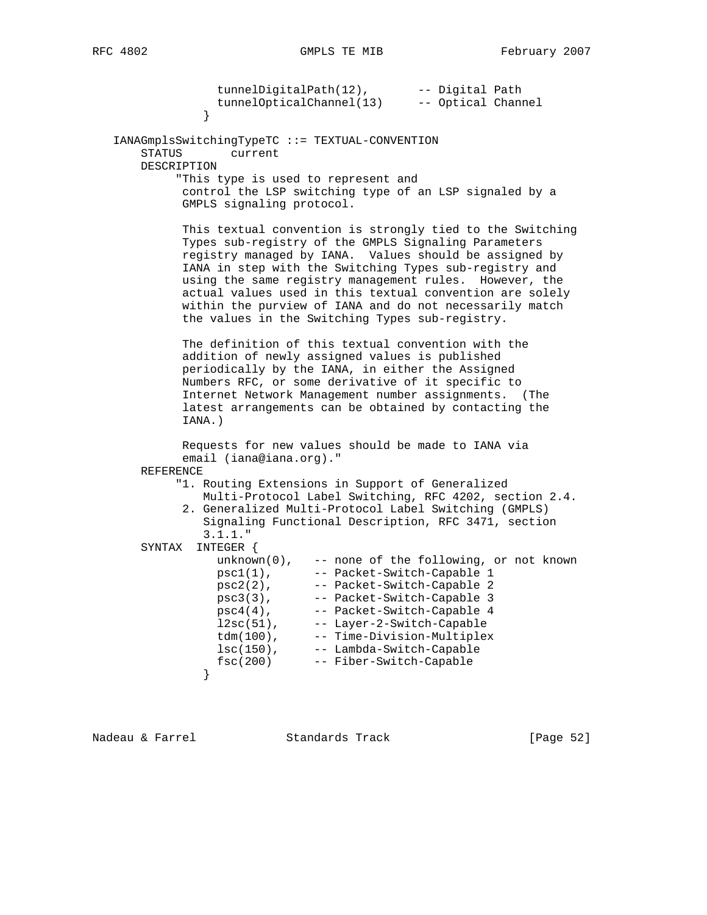tunnelDigitalPath(12), -- Digital Path tunnelOpticalChannel(13) -- Optical Channel } IANAGmplsSwitchingTypeTC ::= TEXTUAL-CONVENTION STATUS current DESCRIPTION "This type is used to represent and control the LSP switching type of an LSP signaled by a GMPLS signaling protocol. This textual convention is strongly tied to the Switching Types sub-registry of the GMPLS Signaling Parameters registry managed by IANA. Values should be assigned by IANA in step with the Switching Types sub-registry and using the same registry management rules. However, the actual values used in this textual convention are solely within the purview of IANA and do not necessarily match the values in the Switching Types sub-registry. The definition of this textual convention with the addition of newly assigned values is published periodically by the IANA, in either the Assigned Numbers RFC, or some derivative of it specific to Internet Network Management number assignments. (The latest arrangements can be obtained by contacting the IANA.) Requests for new values should be made to IANA via email (iana@iana.org)." REFERENCE "1. Routing Extensions in Support of Generalized Multi-Protocol Label Switching, RFC 4202, section 2.4. 2. Generalized Multi-Protocol Label Switching (GMPLS) Signaling Functional Description, RFC 3471, section 3.1.1." SYNTAX INTEGER { unknown(0), -- none of the following, or not known psc1(1), -- Packet-Switch-Capable 1 psc2(2), -- Packet-Switch-Capable 2 psc3(3), -- Packet-Switch-Capable 3 psc4(4), -- Packet-Switch-Capable 4 l2sc(51), -- Layer-2-Switch-Capable tdm(100), -- Time-Division-Multiplex lsc(150), -- Lambda-Switch-Capable fsc(200) -- Fiber-Switch-Capable }

Nadeau & Farrel Standards Track [Page 52]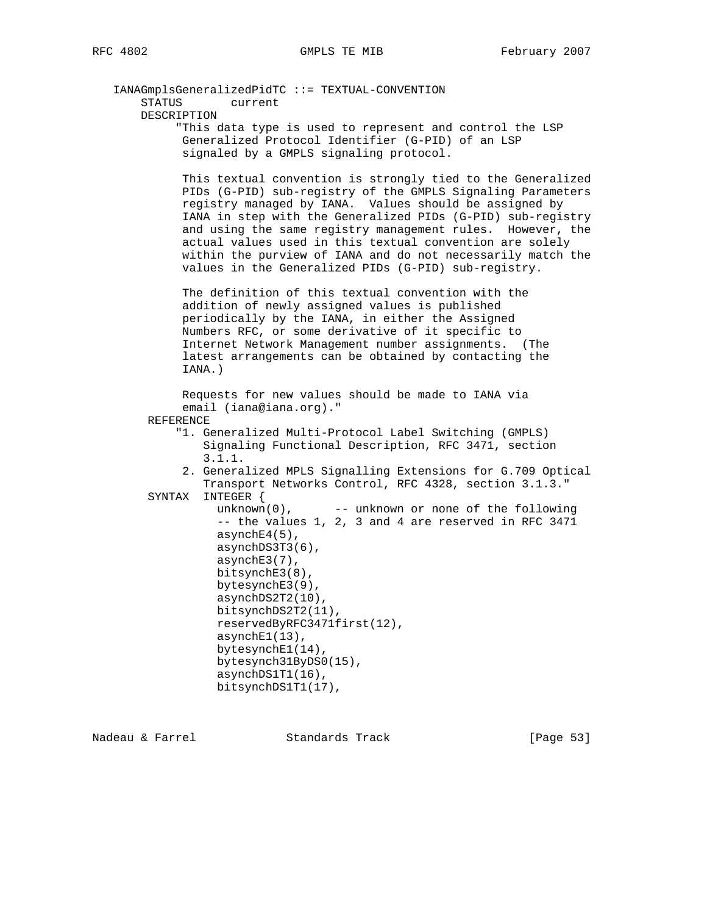| IANAGmplsGeneralizedPidTC ::= TEXTUAL-CONVENTION                                                                                                                                                                                                                                                                                                                                                                                                                                                     |
|------------------------------------------------------------------------------------------------------------------------------------------------------------------------------------------------------------------------------------------------------------------------------------------------------------------------------------------------------------------------------------------------------------------------------------------------------------------------------------------------------|
| STATUS<br>current                                                                                                                                                                                                                                                                                                                                                                                                                                                                                    |
| DESCRIPTION                                                                                                                                                                                                                                                                                                                                                                                                                                                                                          |
| "This data type is used to represent and control the LSP<br>Generalized Protocol Identifier (G-PID) of an LSP<br>signaled by a GMPLS signaling protocol.                                                                                                                                                                                                                                                                                                                                             |
| This textual convention is strongly tied to the Generalized<br>PIDs (G-PID) sub-registry of the GMPLS Signaling Parameters<br>registry managed by IANA. Values should be assigned by<br>IANA in step with the Generalized PIDs (G-PID) sub-registry<br>and using the same registry management rules. However, the<br>actual values used in this textual convention are solely<br>within the purview of IANA and do not necessarily match the<br>values in the Generalized PIDs (G-PID) sub-registry. |
| The definition of this textual convention with the<br>addition of newly assigned values is published<br>periodically by the IANA, in either the Assigned<br>Numbers RFC, or some derivative of it specific to<br>Internet Network Management number assignments. (The<br>latest arrangements can be obtained by contacting the<br>IANA.)                                                                                                                                                             |
| Requests for new values should be made to IANA via<br>email (iana@iana.org)."<br>REFERENCE                                                                                                                                                                                                                                                                                                                                                                                                           |
| "1. Generalized Multi-Protocol Label Switching (GMPLS)<br>Signaling Functional Description, RFC 3471, section<br>3.1.1.                                                                                                                                                                                                                                                                                                                                                                              |
| 2. Generalized MPLS Signalling Extensions for G.709 Optical<br>Transport Networks Control, RFC 4328, section 3.1.3."<br>INTEGER {<br>SYNTAX                                                                                                                                                                                                                                                                                                                                                          |
| $unknown(0)$ ,<br>-- unknown or none of the following<br>-- the values 1, 2, 3 and 4 are reserved in RFC 3471<br>$asyrchE4(5)$ ,<br>asynchDS3T3(6),<br>$asynchE3(7)$ ,<br>$bitsynchE3(8)$ ,<br>bytesynchE3(9),<br>asynchDS2T2(10),<br>bitsynchDS2T2(11),<br>reservedByRFC3471first(12),<br>$asyrchE1(13)$ ,<br>bytesynchE1(14),<br>bytesynch31ByDS0(15),<br>asynchDS1T1(16),<br>bitsynchDS1T1(17),                                                                                                   |
|                                                                                                                                                                                                                                                                                                                                                                                                                                                                                                      |

Nadeau & Farrel Standards Track [Page 53]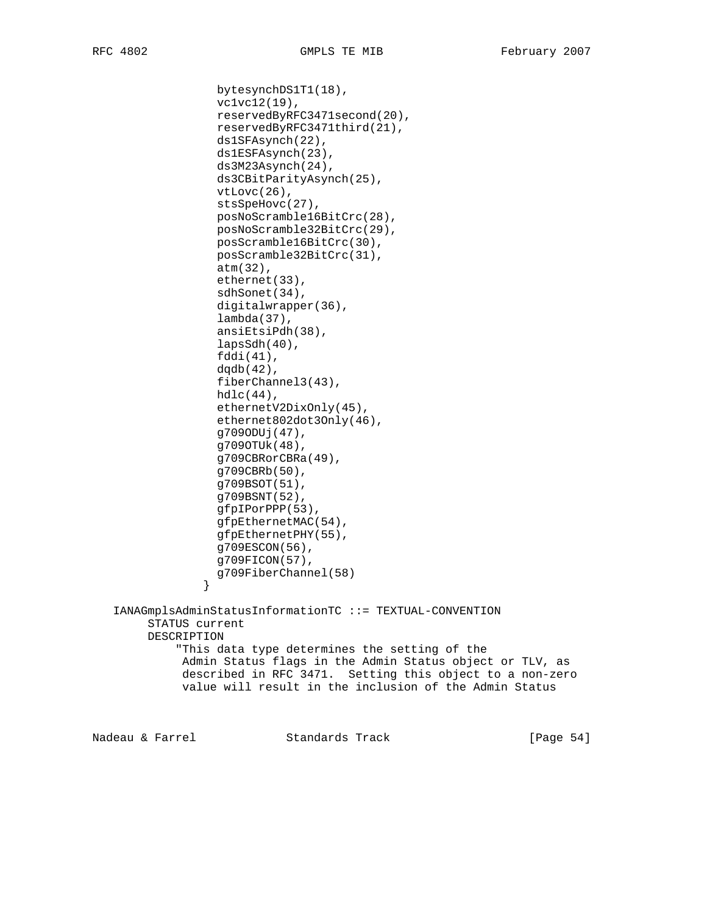bytesynchDS1T1(18),

```
 vc1vc12(19),
                   reservedByRFC3471second(20),
                   reservedByRFC3471third(21),
                   ds1SFAsynch(22),
                   ds1ESFAsynch(23),
                   ds3M23Asynch(24),
                   ds3CBitParityAsynch(25),
                   vtLovc(26),
                   stsSpeHovc(27),
                   posNoScramble16BitCrc(28),
                   posNoScramble32BitCrc(29),
                   posScramble16BitCrc(30),
                   posScramble32BitCrc(31),
                   atm(32),
                   ethernet(33),
                   sdhSonet(34),
                   digitalwrapper(36),
                   lambda(37),
                   ansiEtsiPdh(38),
                   lapsSdh(40),
                   fddi(41),
                  dqdb(42),
                  fiberChannel3(43),
                  hdlc(44),
                   ethernetV2DixOnly(45),
                   ethernet802dot3Only(46),
                   g709ODUj(47),
                   g709OTUk(48),
                   g709CBRorCBRa(49),
                   g709CBRb(50),
                   g709BSOT(51),
                   g709BSNT(52),
                   gfpIPorPPP(53),
                   gfpEthernetMAC(54),
                   gfpEthernetPHY(55),
                   g709ESCON(56),
                   g709FICON(57),
                 g709FiberChannel(58)
 }
    IANAGmplsAdminStatusInformationTC ::= TEXTUAL-CONVENTION
         STATUS current
         DESCRIPTION
             "This data type determines the setting of the
              Admin Status flags in the Admin Status object or TLV, as
              described in RFC 3471. Setting this object to a non-zero
              value will result in the inclusion of the Admin Status
Nadeau & Farrel Standards Track [Page 54]
```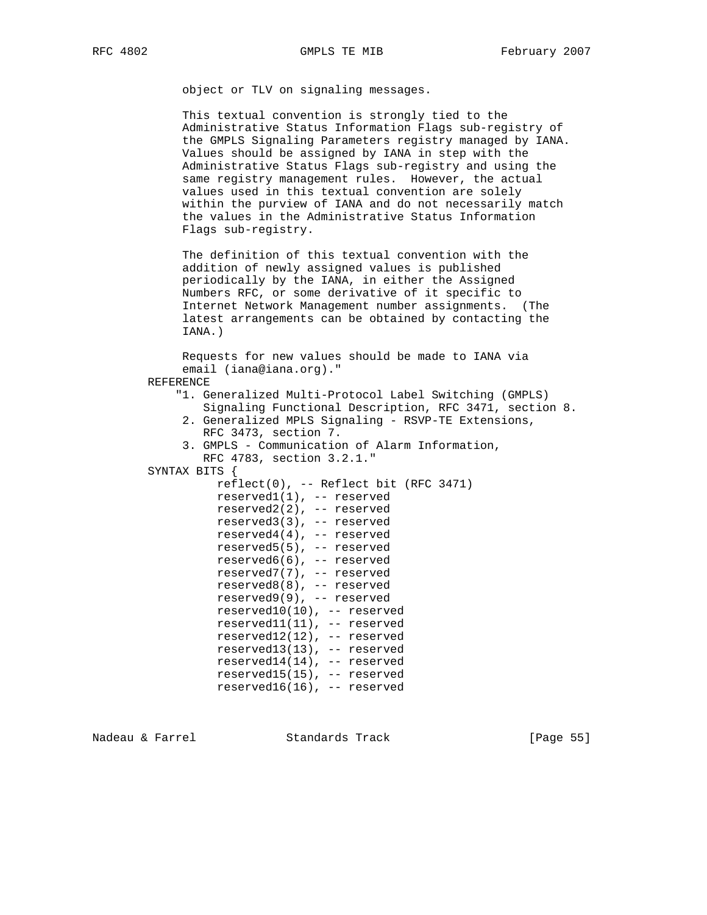object or TLV on signaling messages.

 This textual convention is strongly tied to the Administrative Status Information Flags sub-registry of the GMPLS Signaling Parameters registry managed by IANA. Values should be assigned by IANA in step with the Administrative Status Flags sub-registry and using the same registry management rules. However, the actual values used in this textual convention are solely within the purview of IANA and do not necessarily match the values in the Administrative Status Information Flags sub-registry.

 The definition of this textual convention with the addition of newly assigned values is published periodically by the IANA, in either the Assigned Numbers RFC, or some derivative of it specific to Internet Network Management number assignments. (The latest arrangements can be obtained by contacting the IANA.)

 Requests for new values should be made to IANA via email (iana@iana.org)."

- REFERENCE
	- "1. Generalized Multi-Protocol Label Switching (GMPLS)
	- Signaling Functional Description, RFC 3471, section 8. 2. Generalized MPLS Signaling - RSVP-TE Extensions,
	- RFC 3473, section 7.
	- 3. GMPLS Communication of Alarm Information, RFC 4783, section 3.2.1."
- SYNTAX BITS {

 $reflect(0)$ , -- Reflect bit (RFC 3471) reserved1(1), -- reserved reserved2(2), -- reserved reserved3(3), -- reserved reserved4(4), -- reserved reserved5(5), -- reserved reserved6(6), -- reserved reserved7(7), -- reserved reserved8(8), -- reserved reserved9(9), -- reserved reserved10(10), -- reserved reserved11(11), -- reserved reserved12(12), -- reserved reserved13(13), -- reserved reserved14(14), -- reserved reserved15(15), -- reserved reserved16(16), -- reserved

Nadeau & Farrel Standards Track [Page 55]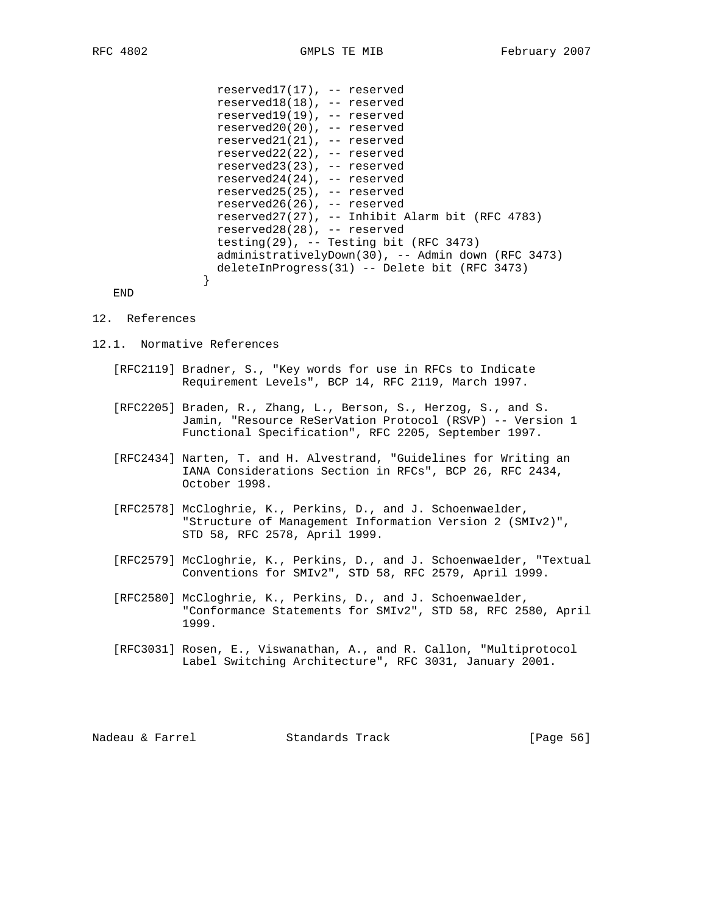reserved17(17), -- reserved reserved18(18), -- reserved reserved19(19), -- reserved reserved20(20), -- reserved reserved21(21), -- reserved reserved22(22), -- reserved reserved23(23), -- reserved reserved24(24), -- reserved reserved25(25), -- reserved reserved26(26), -- reserved reserved27(27), -- Inhibit Alarm bit (RFC 4783) reserved28(28), -- reserved testing(29), -- Testing bit (RFC 3473) administrativelyDown(30), -- Admin down (RFC 3473) deleteInProgress(31) -- Delete bit (RFC 3473)

END

#### 12. References

}

- 12.1. Normative References
	- [RFC2119] Bradner, S., "Key words for use in RFCs to Indicate Requirement Levels", BCP 14, RFC 2119, March 1997.
	- [RFC2205] Braden, R., Zhang, L., Berson, S., Herzog, S., and S. Jamin, "Resource ReSerVation Protocol (RSVP) -- Version 1 Functional Specification", RFC 2205, September 1997.
	- [RFC2434] Narten, T. and H. Alvestrand, "Guidelines for Writing an IANA Considerations Section in RFCs", BCP 26, RFC 2434, October 1998.
	- [RFC2578] McCloghrie, K., Perkins, D., and J. Schoenwaelder, "Structure of Management Information Version 2 (SMIv2)", STD 58, RFC 2578, April 1999.
	- [RFC2579] McCloghrie, K., Perkins, D., and J. Schoenwaelder, "Textual Conventions for SMIv2", STD 58, RFC 2579, April 1999.
	- [RFC2580] McCloghrie, K., Perkins, D., and J. Schoenwaelder, "Conformance Statements for SMIv2", STD 58, RFC 2580, April 1999.
	- [RFC3031] Rosen, E., Viswanathan, A., and R. Callon, "Multiprotocol Label Switching Architecture", RFC 3031, January 2001.

Nadeau & Farrel Standards Track [Page 56]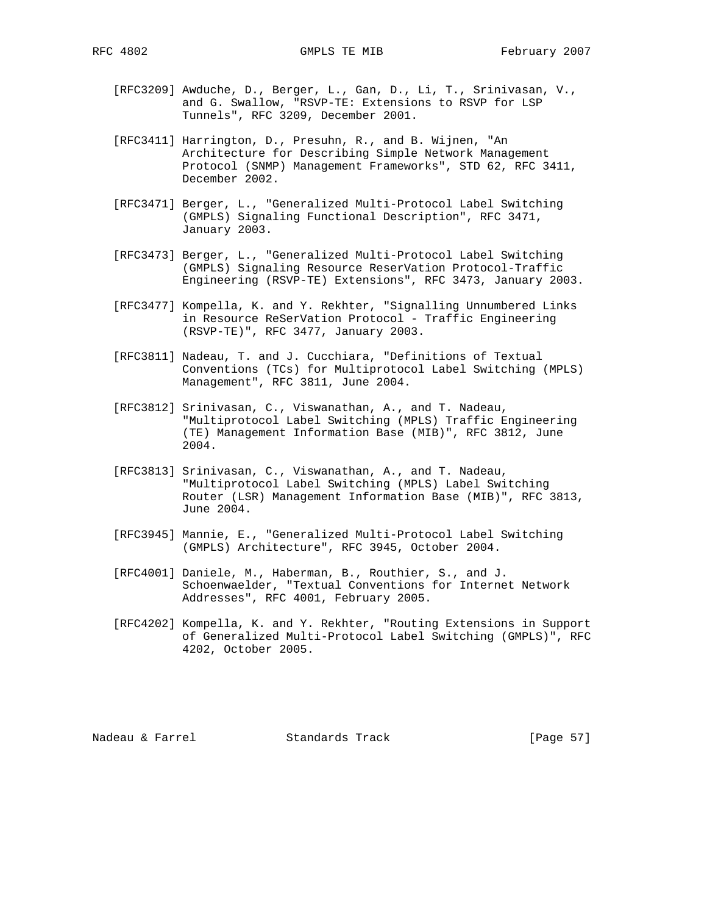- [RFC3209] Awduche, D., Berger, L., Gan, D., Li, T., Srinivasan, V., and G. Swallow, "RSVP-TE: Extensions to RSVP for LSP Tunnels", RFC 3209, December 2001.
- [RFC3411] Harrington, D., Presuhn, R., and B. Wijnen, "An Architecture for Describing Simple Network Management Protocol (SNMP) Management Frameworks", STD 62, RFC 3411, December 2002.
- [RFC3471] Berger, L., "Generalized Multi-Protocol Label Switching (GMPLS) Signaling Functional Description", RFC 3471, January 2003.
- [RFC3473] Berger, L., "Generalized Multi-Protocol Label Switching (GMPLS) Signaling Resource ReserVation Protocol-Traffic Engineering (RSVP-TE) Extensions", RFC 3473, January 2003.
- [RFC3477] Kompella, K. and Y. Rekhter, "Signalling Unnumbered Links in Resource ReSerVation Protocol - Traffic Engineering (RSVP-TE)", RFC 3477, January 2003.
- [RFC3811] Nadeau, T. and J. Cucchiara, "Definitions of Textual Conventions (TCs) for Multiprotocol Label Switching (MPLS) Management", RFC 3811, June 2004.
- [RFC3812] Srinivasan, C., Viswanathan, A., and T. Nadeau, "Multiprotocol Label Switching (MPLS) Traffic Engineering (TE) Management Information Base (MIB)", RFC 3812, June 2004.
- [RFC3813] Srinivasan, C., Viswanathan, A., and T. Nadeau, "Multiprotocol Label Switching (MPLS) Label Switching Router (LSR) Management Information Base (MIB)", RFC 3813, June 2004.
- [RFC3945] Mannie, E., "Generalized Multi-Protocol Label Switching (GMPLS) Architecture", RFC 3945, October 2004.
- [RFC4001] Daniele, M., Haberman, B., Routhier, S., and J. Schoenwaelder, "Textual Conventions for Internet Network Addresses", RFC 4001, February 2005.
- [RFC4202] Kompella, K. and Y. Rekhter, "Routing Extensions in Support of Generalized Multi-Protocol Label Switching (GMPLS)", RFC 4202, October 2005.

Nadeau & Farrel Standards Track [Page 57]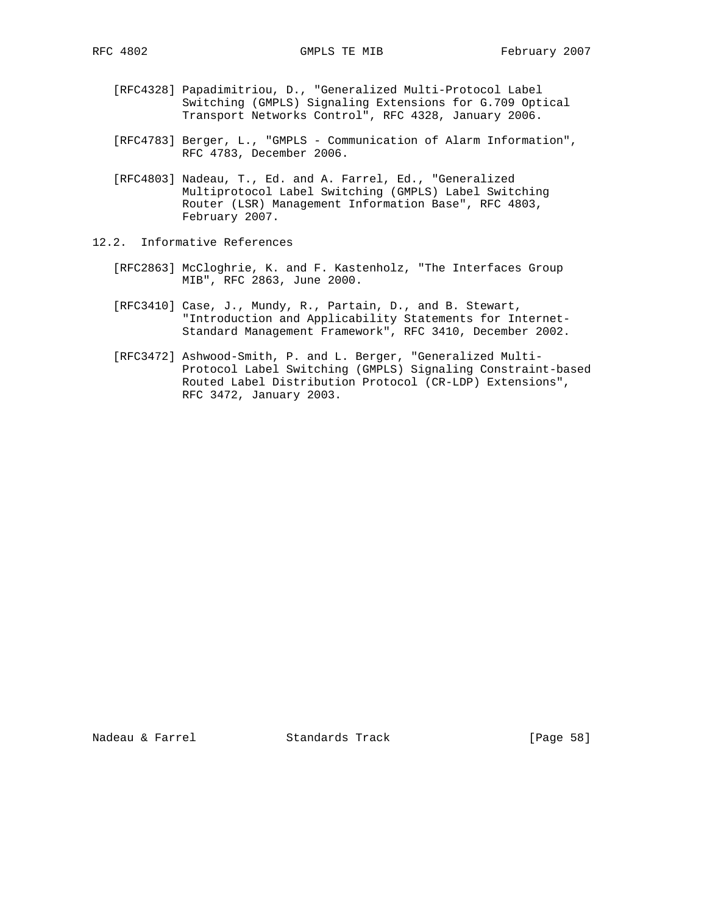- [RFC4328] Papadimitriou, D., "Generalized Multi-Protocol Label Switching (GMPLS) Signaling Extensions for G.709 Optical Transport Networks Control", RFC 4328, January 2006.
- [RFC4783] Berger, L., "GMPLS Communication of Alarm Information", RFC 4783, December 2006.
- [RFC4803] Nadeau, T., Ed. and A. Farrel, Ed., "Generalized Multiprotocol Label Switching (GMPLS) Label Switching Router (LSR) Management Information Base", RFC 4803, February 2007.
- 12.2. Informative References
	- [RFC2863] McCloghrie, K. and F. Kastenholz, "The Interfaces Group MIB", RFC 2863, June 2000.
	- [RFC3410] Case, J., Mundy, R., Partain, D., and B. Stewart, "Introduction and Applicability Statements for Internet- Standard Management Framework", RFC 3410, December 2002.
	- [RFC3472] Ashwood-Smith, P. and L. Berger, "Generalized Multi- Protocol Label Switching (GMPLS) Signaling Constraint-based Routed Label Distribution Protocol (CR-LDP) Extensions", RFC 3472, January 2003.

Nadeau & Farrel Standards Track [Page 58]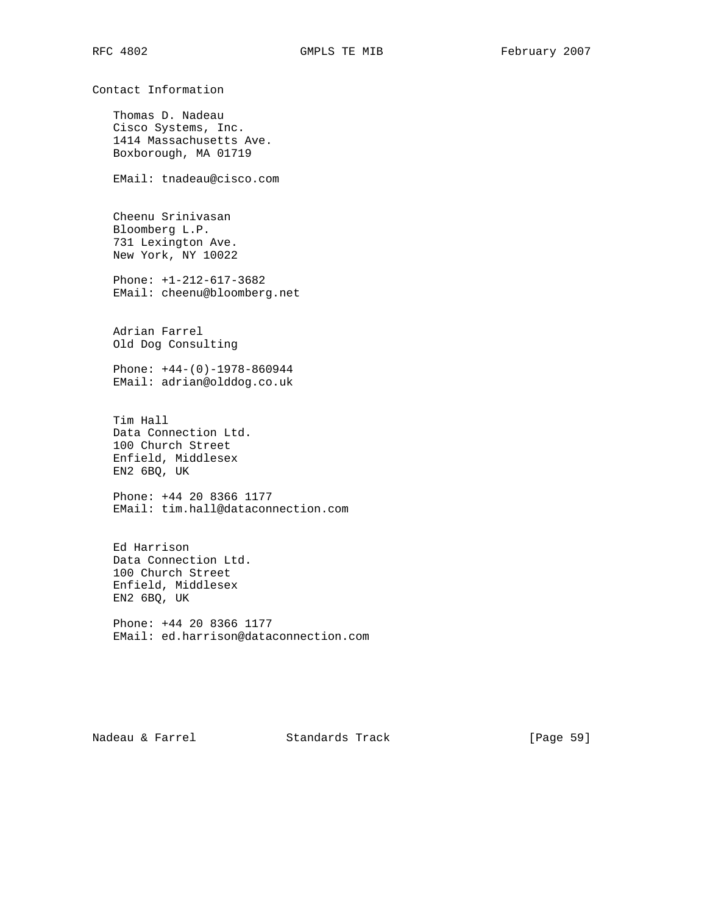Thomas D. Nadeau Cisco Systems, Inc. 1414 Massachusetts Ave. Boxborough, MA 01719

Contact Information

EMail: tnadeau@cisco.com

 Cheenu Srinivasan Bloomberg L.P. 731 Lexington Ave. New York, NY 10022

 Phone: +1-212-617-3682 EMail: cheenu@bloomberg.net

 Adrian Farrel Old Dog Consulting

 Phone: +44-(0)-1978-860944 EMail: adrian@olddog.co.uk

 Tim Hall Data Connection Ltd. 100 Church Street Enfield, Middlesex EN2 6BQ, UK

 Phone: +44 20 8366 1177 EMail: tim.hall@dataconnection.com

 Ed Harrison Data Connection Ltd. 100 Church Street Enfield, Middlesex EN2 6BQ, UK

 Phone: +44 20 8366 1177 EMail: ed.harrison@dataconnection.com

Nadeau & Farrel Standards Track [Page 59]